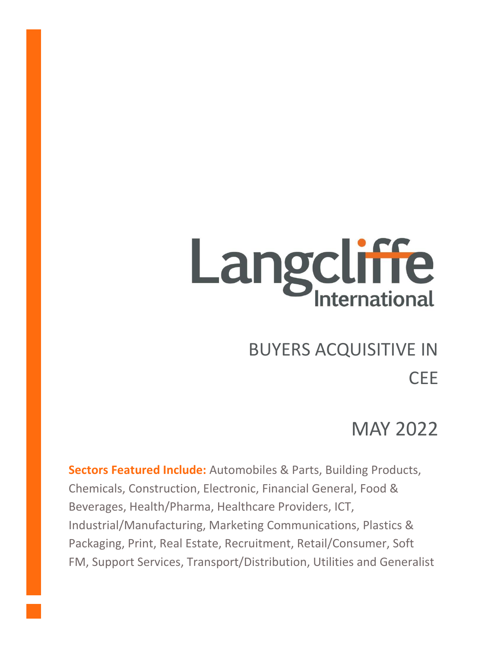# Langcliffe

# BUYERS ACQUISITIVE IN

# CEE

# MAY 2022

**Sectors Featured Include:** Automobiles & Parts, Building Products, Chemicals, Construction, Electronic, Financial General, Food & Beverages, Health/Pharma, Healthcare Providers, ICT, Industrial/Manufacturing, Marketing Communications, Plastics & Packaging, Print, Real Estate, Recruitment, Retail/Consumer, Soft FM, Support Services, Transport/Distribution, Utilities and Generalist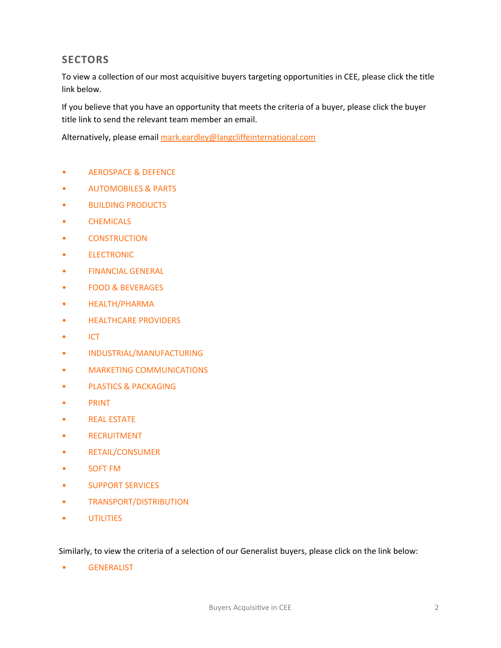### **SECTORS**

To view a collection of our most acquisitive buyers targeting opportunities in CEE, please click the title link below.

If you believe that you have an opportunity that meets the criteria of a buyer, please click the buyer title link to send the relevant team member an email.

Alternatively, please email [mark.eardley@langcliffeinternational.com](mailto:mark.eardley@langcliffeinternational.com?subject=Buyers%20Acquisitive%20in%20CEE%20May%202022)

- [AEROSPACE & DEFENCE](#page-2-0)
- [AUTOMOBILES & PARTS](#page-3-0)
- [BUILDING PRODUCTS](#page-5-0)
- [CHEMICALS](#page-6-0)
- [CONSTRUCTION](#page-7-0)
- [ELECTRONIC](#page-9-0)
- [FINANCIAL GENERAL](#page-11-0)
- [FOOD & BEVERAGES](#page-12-0)
- [HEALTH/PHARMA](#page-16-0)
- [HEALTHCARE PROVIDERS](#page-22-0)
- [ICT](#page-23-0)
- [INDUSTRIAL/MANUFACTURING](#page-35-0)
- [MARKETING COMMUNICATIONS](#page-45-0)
- [PLASTICS & PACKAGING](#page-50-0)
- [PRINT](#page-52-0)
- [REAL ESTATE](#page-53-0)
- [RECRUITMENT](#page-54-0)
- [RETAIL/CONSUMER](#page-55-0)
- [SOFT FM](#page-61-0)
- [SUPPORT SERVICES](#page-62-0)
- [TRANSPORT/DISTRIBUTION](#page-68-0)
- [UTILITIES](#page-70-0)

Similarly, to view the criteria of a selection of our Generalist buyers, please click on the link below:

• [GENERALIST](#page-71-0)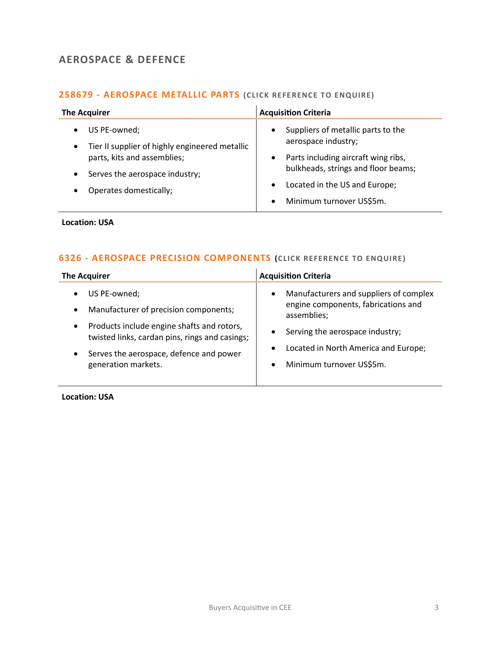### <span id="page-2-0"></span>**AEROSPACE & DEFENCE**

### **258679 - [AEROSPACE METALLIC PARTS](mailto:george.davies@langcliffeinternational.com?subject=258679%20-%20Aerospace%20Metallic%20Parts) (CLICK REFERENCE TO ENQUIRE)**

| <b>The Acquirer</b>                                                                                                                                                                                   | <b>Acquisition Criteria</b>                                                                                                                                                                                                                              |
|-------------------------------------------------------------------------------------------------------------------------------------------------------------------------------------------------------|----------------------------------------------------------------------------------------------------------------------------------------------------------------------------------------------------------------------------------------------------------|
| US PE-owned;<br>$\bullet$<br>Tier II supplier of highly engineered metallic<br>$\bullet$<br>parts, kits and assemblies;<br>Serves the aerospace industry;<br>$\bullet$<br>Operates domestically;<br>٠ | Suppliers of metallic parts to the<br>$\bullet$<br>aerospace industry;<br>Parts including aircraft wing ribs,<br>$\bullet$<br>bulkheads, strings and floor beams;<br>Located in the US and Europe;<br>$\bullet$<br>Minimum turnover US\$5m.<br>$\bullet$ |

### **Location: USA**

### **6326 - [AEROSPACE PRECISION COMPONENTS](mailto:george.davies@langcliffeinternational.com?subject=6326%20-%20Aerospace%20Precision%20Components) (CLICK REFERENCE TO ENQUIRE)**

| <b>The Acquirer</b>                            | <b>Acquisition Criteria</b>            |
|------------------------------------------------|----------------------------------------|
| US PE-owned;                                   | Manufacturers and suppliers of complex |
| ٠                                              | $\bullet$                              |
| Manufacturer of precision components;          | engine components, fabrications and    |
| $\bullet$                                      | assemblies;                            |
| Products include engine shafts and rotors,     | Serving the aerospace industry;        |
| $\bullet$                                      | $\bullet$                              |
| twisted links, cardan pins, rings and casings; | Located in North America and Europe;   |
| Serves the aerospace, defence and power        | $\bullet$                              |
| $\bullet$                                      | Minimum turnover US\$5m.               |
| generation markets.                            | $\bullet$                              |

**Location: USA**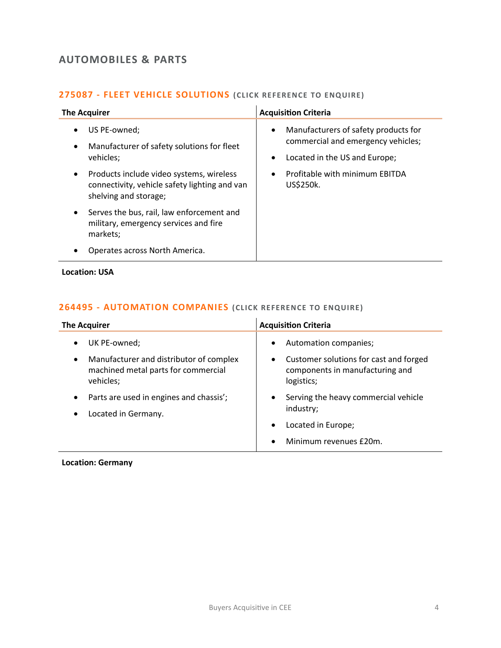### <span id="page-3-0"></span>**AUTOMOBILES & PARTS**

### **275087 - [FLEET VEHICLE SOLUTIONS](mailto:eloka.philip@langcliffeinternational.com?subject=275087%20-%20Fleet%20Vehicle%20Solutions) (CLICK RE FERENCE TO E NQUIRE)**

| <b>The Acquirer</b>                                                                                                             | <b>Acquisition Criteria</b>                                                                                                           |
|---------------------------------------------------------------------------------------------------------------------------------|---------------------------------------------------------------------------------------------------------------------------------------|
| US PE-owned;<br>٠<br>Manufacturer of safety solutions for fleet<br>٠<br>vehicles;                                               | Manufacturers of safety products for<br>$\bullet$<br>commercial and emergency vehicles;<br>Located in the US and Europe;<br>$\bullet$ |
| Products include video systems, wireless<br>$\bullet$<br>connectivity, vehicle safety lighting and van<br>shelving and storage; | Profitable with minimum EBITDA<br>$\bullet$<br>US\$250k.                                                                              |
| Serves the bus, rail, law enforcement and<br>$\bullet$<br>military, emergency services and fire<br>markets;                     |                                                                                                                                       |
| Operates across North America.                                                                                                  |                                                                                                                                       |

**Location: USA**

### **264495 - [AUTOMATION COMPANIES](mailto:maryia.amrez@langcliffeinternational.com?subject=264495%20-%20Automation%20Companies) (CLICK RE FERENCE TO E NQUIRE)**

| <b>The Acquirer</b>                                                                                      | <b>Acquisition Criteria</b>                                                                  |
|----------------------------------------------------------------------------------------------------------|----------------------------------------------------------------------------------------------|
| UK PE-owned;<br>$\bullet$                                                                                | Automation companies;<br>$\bullet$                                                           |
| Manufacturer and distributor of complex<br>$\bullet$<br>machined metal parts for commercial<br>vehicles; | Customer solutions for cast and forged<br>٠<br>components in manufacturing and<br>logistics; |
| Parts are used in engines and chassis';<br>$\bullet$                                                     | Serving the heavy commercial vehicle<br>$\bullet$                                            |
| Located in Germany.<br>$\bullet$                                                                         | industry;                                                                                    |
|                                                                                                          | Located in Europe;<br>٠                                                                      |
|                                                                                                          | Minimum revenues £20m.                                                                       |

**Location: Germany**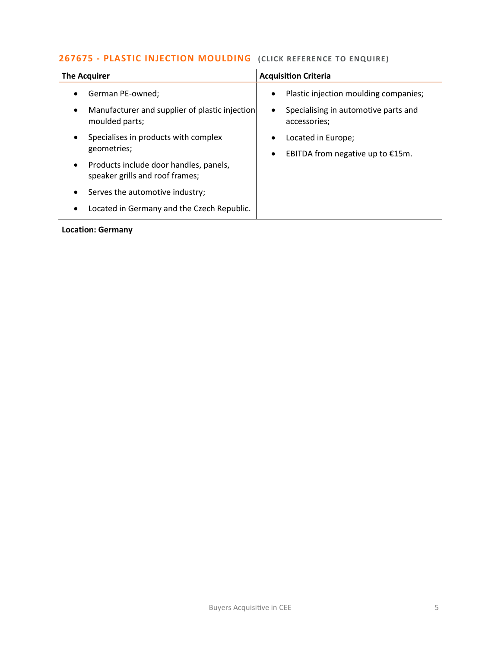### **267675 - [PLASTIC INJECTION MOULDING](mailto:poppy.briggs@langcliffeinternational.com?subject=267675%20-%20Plastic%20Injection%20Moulding%20)** (CLICK REFERENCE TO ENQUIRE)

| <b>The Acquirer</b>                                                                                            | <b>Acquisition Criteria</b>                                                                                             |
|----------------------------------------------------------------------------------------------------------------|-------------------------------------------------------------------------------------------------------------------------|
| German PE-owned;<br>$\bullet$<br>Manufacturer and supplier of plastic injection<br>$\bullet$<br>moulded parts; | Plastic injection moulding companies;<br>$\bullet$<br>Specialising in automotive parts and<br>$\bullet$<br>accessories; |
| Specialises in products with complex<br>$\bullet$<br>geometries;                                               | Located in Europe;<br>EBITDA from negative up to $£15m$ .<br>$\bullet$                                                  |
| Products include door handles, panels,<br>$\bullet$<br>speaker grills and roof frames;                         |                                                                                                                         |
| Serves the automotive industry;<br>$\bullet$                                                                   |                                                                                                                         |
| Located in Germany and the Czech Republic.<br>$\bullet$                                                        |                                                                                                                         |

**Location: Germany**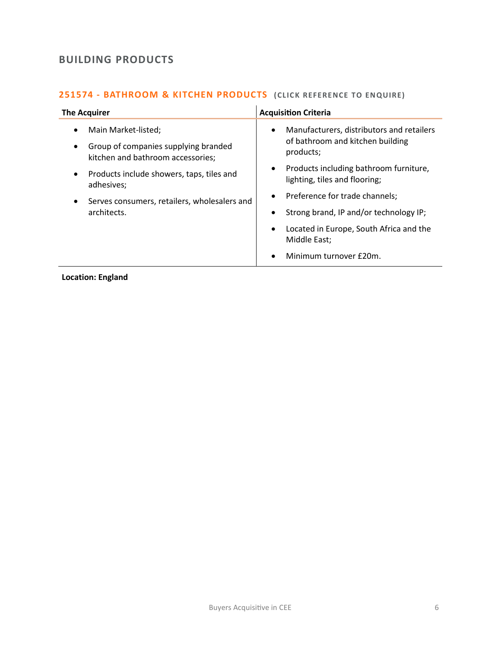### <span id="page-5-0"></span>**BUILDING PRODUCTS**

### **251574 - BATHROOM & KITCHEN PRODUCTS** (CLICK REFERENCE TO ENQUIRE)

| <b>The Acquirer</b>                                                                                                                                                                                                                                                    | <b>Acquisition Criteria</b>                                                                                                                                                                                                                                                                                                                                                                |
|------------------------------------------------------------------------------------------------------------------------------------------------------------------------------------------------------------------------------------------------------------------------|--------------------------------------------------------------------------------------------------------------------------------------------------------------------------------------------------------------------------------------------------------------------------------------------------------------------------------------------------------------------------------------------|
| Main Market-listed;<br>$\bullet$<br>Group of companies supplying branded<br>$\bullet$<br>kitchen and bathroom accessories;<br>Products include showers, taps, tiles and<br>$\bullet$<br>adhesives;<br>Serves consumers, retailers, wholesalers and<br>٠<br>architects. | Manufacturers, distributors and retailers<br>$\bullet$<br>of bathroom and kitchen building<br>products;<br>Products including bathroom furniture,<br>lighting, tiles and flooring;<br>Preference for trade channels;<br>$\bullet$<br>Strong brand, IP and/or technology IP;<br>Located in Europe, South Africa and the<br>$\bullet$<br>Middle East;<br>Minimum turnover £20m.<br>$\bullet$ |
|                                                                                                                                                                                                                                                                        |                                                                                                                                                                                                                                                                                                                                                                                            |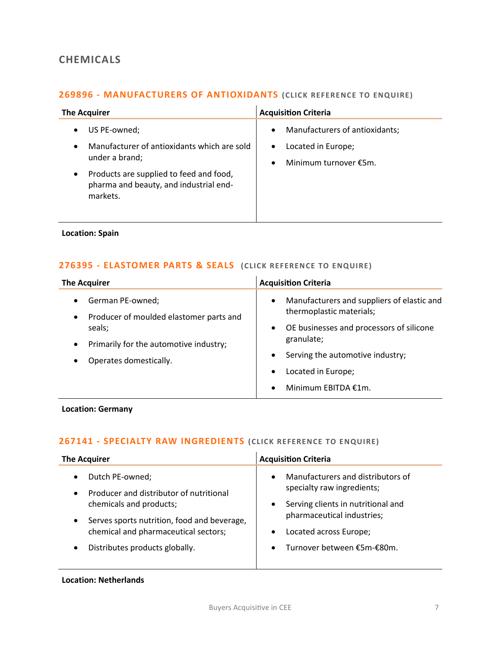### <span id="page-6-0"></span>**CHEMICALS**

### **269896 - [MANUFACTURERS OF ANTIOXIDANTS](mailto:george.davies@langcliffeinternational.com?subject=269896%20-%20Manufacturers%20of%20Antioxidants) (CLICK REFE RENCE TO ENQUIRE)**

| <b>The Acquirer</b>                                                                                                                                                                                           | <b>Acquisition Criteria</b>                                                                                          |
|---------------------------------------------------------------------------------------------------------------------------------------------------------------------------------------------------------------|----------------------------------------------------------------------------------------------------------------------|
| US PE-owned;<br>٠<br>Manufacturer of antioxidants which are sold<br>$\bullet$<br>under a brand;<br>Products are supplied to feed and food,<br>$\bullet$<br>pharma and beauty, and industrial end-<br>markets. | Manufacturers of antioxidants;<br>$\bullet$<br>Located in Europe;<br>$\bullet$<br>Minimum turnover €5m.<br>$\bullet$ |

### **Location: Spain**

### **276395 - [ELASTOMER PARTS & SEALS](mailto:poppy.briggs@langcliffeinternational.com?subject=276395%20-%20Elastomer%20Parts%20and%20Seals%20) (CLICK RE FERENCE TO E NQUIRE)**

| <b>The Acquirer</b>                                            | <b>Acquisition Criteria</b>                                                       |
|----------------------------------------------------------------|-----------------------------------------------------------------------------------|
| German PE-owned;<br>$\bullet$                                  | Manufacturers and suppliers of elastic and<br>$\bullet$                           |
| Producer of moulded elastomer parts and<br>$\bullet$<br>seals; | thermoplastic materials;<br>OE businesses and processors of silicone<br>$\bullet$ |
| Primarily for the automotive industry;<br>$\bullet$            | granulate;                                                                        |
| Operates domestically.<br>$\bullet$                            | Serving the automotive industry;<br>$\bullet$                                     |
|                                                                | Located in Europe;<br>$\bullet$                                                   |
|                                                                | Minimum EBITDA €1m.                                                               |

### **Location: Germany**

### **267141 - [SPECIALTY RAW INGREDIENTS](mailto:poppy.briggs@langcliffeinternational.com?subject=267141%20-%20Specialty%20Raw%20Ingredients) (CLICK REFERENCE TO ENQUIRE)**

| <b>The Acquirer</b>                                                                                                                                                                                                                                                | <b>Acquisition Criteria</b>                                                                                                                                                                                                                     |
|--------------------------------------------------------------------------------------------------------------------------------------------------------------------------------------------------------------------------------------------------------------------|-------------------------------------------------------------------------------------------------------------------------------------------------------------------------------------------------------------------------------------------------|
| Dutch PE-owned;<br>$\bullet$<br>Producer and distributor of nutritional<br>$\bullet$<br>chemicals and products;<br>Serves sports nutrition, food and beverage,<br>$\bullet$<br>chemical and pharmaceutical sectors;<br>Distributes products globally.<br>$\bullet$ | Manufacturers and distributors of<br>$\bullet$<br>specialty raw ingredients;<br>Serving clients in nutritional and<br>$\bullet$<br>pharmaceutical industries;<br>Located across Europe;<br>$\bullet$<br>Turnover between €5m-€80m.<br>$\bullet$ |
|                                                                                                                                                                                                                                                                    |                                                                                                                                                                                                                                                 |

### **Location: Netherlands**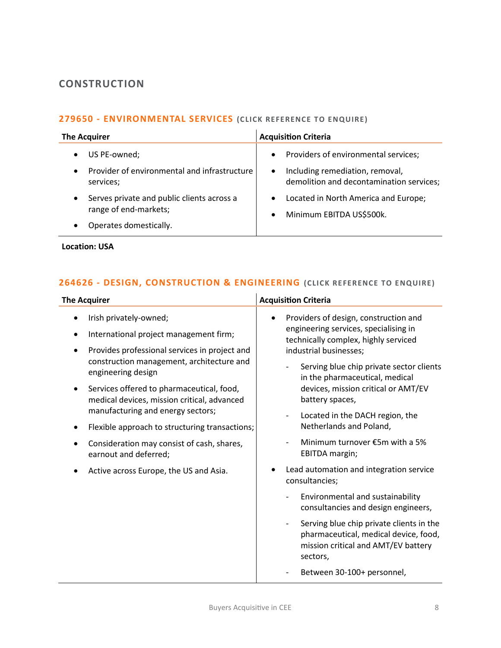### <span id="page-7-0"></span>**CONSTRUCTION**

### **279650 - [ENVIRONMENTAL SERVICES](mailto:george.davies@langcliffeinternational.com?subject=279650%20-%20Environmental%20Services%20) (CLICK REFE RENCE TO ENQUIRE)**

| <b>The Acquirer</b>                                                                                                     | <b>Acquisition Criteria</b>                                                                                                                   |
|-------------------------------------------------------------------------------------------------------------------------|-----------------------------------------------------------------------------------------------------------------------------------------------|
| US PE-owned;<br>$\bullet$<br>Provider of environmental and infrastructure<br>$\bullet$<br>services;                     | Providers of environmental services;<br>$\bullet$<br>Including remediation, removal,<br>$\bullet$<br>demolition and decontamination services; |
| Serves private and public clients across a<br>$\bullet$<br>range of end-markets;<br>Operates domestically.<br>$\bullet$ | Located in North America and Europe;<br>$\bullet$<br>Minimum EBITDA US\$500k.<br>$\bullet$                                                    |

**Location: USA**

### **264626 - [DESIGN, CONSTRUCTION & ENGINEERING](mailto:ola.ahmed@langcliffeinternational.com?subject=264626%20-%20Design,%20Construction%20and%20Engineering)** (CLICK REFERENCE TO ENQUIRE)

| <b>The Acquirer</b>                                                                                              | <b>Acquisition Criteria</b>                                                                                                                                      |
|------------------------------------------------------------------------------------------------------------------|------------------------------------------------------------------------------------------------------------------------------------------------------------------|
| Irish privately-owned;<br>International project management firm;                                                 | Providers of design, construction and<br>engineering services, specialising in<br>technically complex, highly serviced                                           |
| Provides professional services in project and<br>construction management, architecture and<br>engineering design | industrial businesses;<br>Serving blue chip private sector clients<br>in the pharmaceutical, medical                                                             |
| Services offered to pharmaceutical, food,<br>medical devices, mission critical, advanced                         | devices, mission critical or AMT/EV<br>battery spaces,                                                                                                           |
| manufacturing and energy sectors;<br>Flexible approach to structuring transactions;                              | Located in the DACH region, the<br>$\overline{\phantom{0}}$<br>Netherlands and Poland,                                                                           |
| Consideration may consist of cash, shares,<br>earnout and deferred;                                              | Minimum turnover €5m with a 5%<br>EBITDA margin;                                                                                                                 |
| Active across Europe, the US and Asia.                                                                           | Lead automation and integration service<br>consultancies;                                                                                                        |
|                                                                                                                  | Environmental and sustainability<br>consultancies and design engineers,                                                                                          |
|                                                                                                                  | Serving blue chip private clients in the<br>$\overline{\phantom{a}}$<br>pharmaceutical, medical device, food,<br>mission critical and AMT/EV battery<br>sectors, |
|                                                                                                                  | Between 30-100+ personnel,                                                                                                                                       |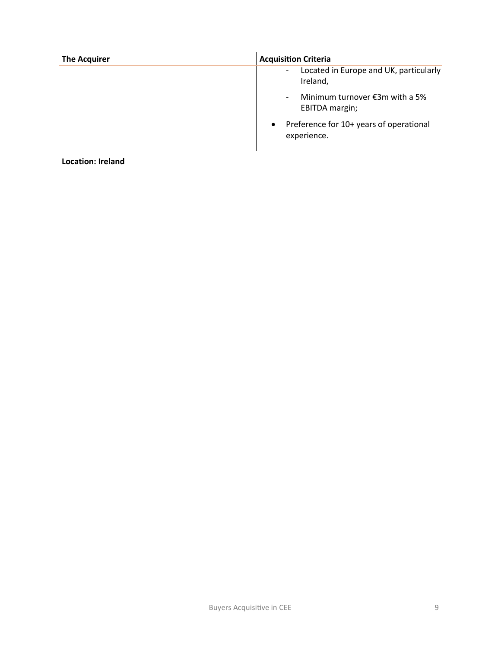| <b>The Acquirer</b> | <b>Acquisition Criteria</b>                                                    |
|---------------------|--------------------------------------------------------------------------------|
|                     | Located in Europe and UK, particularly<br>$\overline{\phantom{a}}$<br>Ireland, |
|                     | Minimum turnover €3m with a 5%<br>-<br>EBITDA margin;                          |
|                     | Preference for 10+ years of operational<br>$\bullet$<br>experience.            |

**Location: Ireland**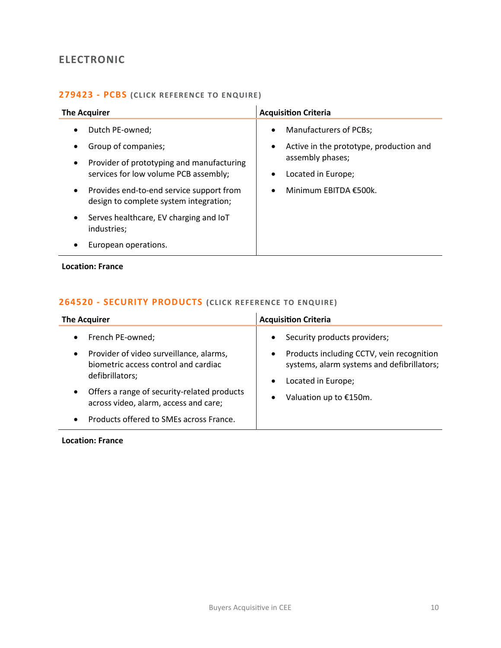### <span id="page-9-0"></span>**ELECTRONIC**

### **[279423 -](mailto:charlotte.keane@langcliffeinternational.com?subject=279423%20-%20PCBs) PCBS (CLICK REFERENCE TO E NQUIRE )**

| <b>The Acquirer</b>                                                                                                                                                                                                                                                                                                                                          | <b>Acquisition Criteria</b>                                                                                                                                                                     |
|--------------------------------------------------------------------------------------------------------------------------------------------------------------------------------------------------------------------------------------------------------------------------------------------------------------------------------------------------------------|-------------------------------------------------------------------------------------------------------------------------------------------------------------------------------------------------|
| Dutch PE-owned;<br>$\bullet$<br>Group of companies;<br>٠<br>Provider of prototyping and manufacturing<br>$\bullet$<br>services for low volume PCB assembly;<br>Provides end-to-end service support from<br>$\bullet$<br>design to complete system integration;<br>Serves healthcare, EV charging and IoT<br>$\bullet$<br>industries;<br>European operations. | <b>Manufacturers of PCBs;</b><br>$\bullet$<br>Active in the prototype, production and<br>$\bullet$<br>assembly phases;<br>Located in Europe;<br>$\bullet$<br>Minimum EBITDA €500k.<br>$\bullet$ |

### **Location: France**

### **264520 - [SECURITY PRODUCTS](mailto:maryia.amrez@langcliffeinternational.com?subject=264520%20-%20Security%20Products%20)** (CLICK REFERENCE TO ENQUIRE)

| <b>The Acquirer</b>                                                                                                                                                                                                                                                                                | <b>Acquisition Criteria</b>                                                                                                                                                                                    |
|----------------------------------------------------------------------------------------------------------------------------------------------------------------------------------------------------------------------------------------------------------------------------------------------------|----------------------------------------------------------------------------------------------------------------------------------------------------------------------------------------------------------------|
| • French PE-owned;<br>Provider of video surveillance, alarms,<br>$\bullet$<br>biometric access control and cardiac<br>defibrillators;<br>Offers a range of security-related products<br>$\bullet$<br>across video, alarm, access and care;<br>Products offered to SMEs across France.<br>$\bullet$ | Security products providers;<br>$\bullet$<br>Products including CCTV, vein recognition<br>$\bullet$<br>systems, alarm systems and defibrillators;<br>Located in Europe;<br>$\bullet$<br>Valuation up to €150m. |

### **Location: France**

÷,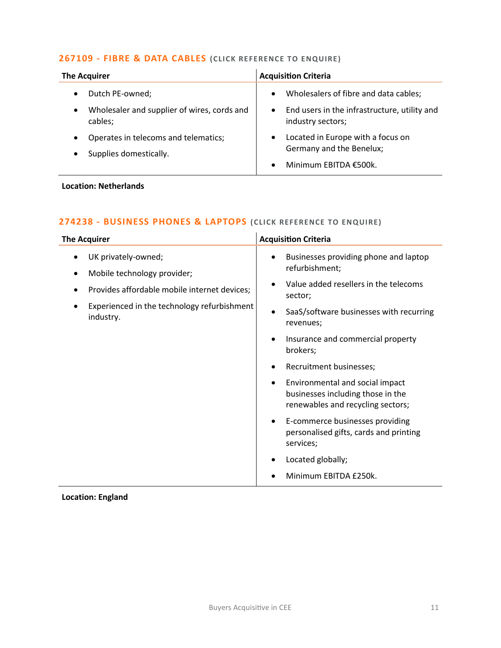### **267109 - [FIBRE & DATA CABLES](mailto:poppy.briggs@langcliffeinternational.com?subject=267109%20-%20Fibre%20and%20Data%20Cables%20) (CLICK RE FERENCE TO ENQUIRE)**

| <b>The Acquirer</b>                                                 | <b>Acquisition Criteria</b>                                                    |
|---------------------------------------------------------------------|--------------------------------------------------------------------------------|
| Dutch PE-owned;                                                     | Wholesalers of fibre and data cables;<br>$\bullet$                             |
| Wholesaler and supplier of wires, cords and<br>$\bullet$<br>cables; | End users in the infrastructure, utility and<br>$\bullet$<br>industry sectors; |
| Operates in telecoms and telematics;<br>Supplies domestically.      | Located in Europe with a focus on<br>$\bullet$<br>Germany and the Benelux;     |
|                                                                     | Minimum EBITDA €500k.<br>$\bullet$                                             |

### **Location: Netherlands**

### **274238 - [BUSINESS PHONES & LAPTOPS](mailto:lauren.parker@langcliffeinternational.com?subject=274238%20-%20Business%20Phones%20and%20Laptops) (CLICK REFE RENCE TO ENQUIRE)**

| <b>The Acquirer</b>                                                                                                                                            | <b>Acquisition Criteria</b>                                                                                                                                         |
|----------------------------------------------------------------------------------------------------------------------------------------------------------------|---------------------------------------------------------------------------------------------------------------------------------------------------------------------|
| UK privately-owned;<br>Mobile technology provider;<br>Provides affordable mobile internet devices;<br>Experienced in the technology refurbishment<br>industry. | Businesses providing phone and laptop<br>refurbishment;<br>Value added resellers in the telecoms<br>sector;<br>SaaS/software businesses with recurring<br>revenues; |
|                                                                                                                                                                | Insurance and commercial property<br>٠<br>brokers;<br>Recruitment businesses;                                                                                       |
|                                                                                                                                                                | Environmental and social impact<br>businesses including those in the<br>renewables and recycling sectors;                                                           |
|                                                                                                                                                                | E-commerce businesses providing<br>٠<br>personalised gifts, cards and printing<br>services;                                                                         |
|                                                                                                                                                                | Located globally;<br>Minimum EBITDA £250k.                                                                                                                          |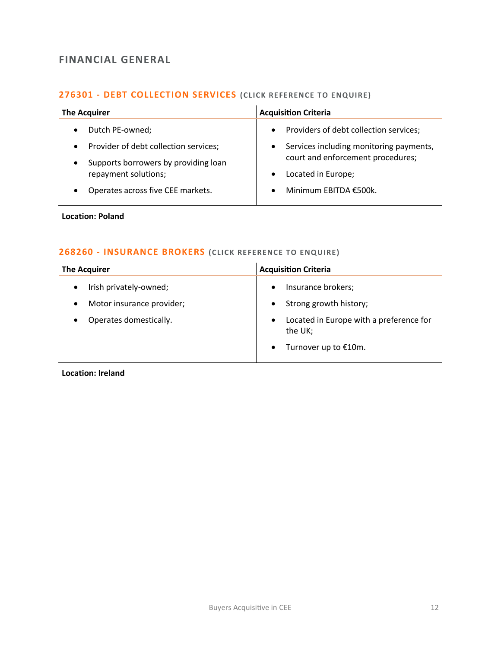### <span id="page-11-0"></span>**FINANCIAL GENERAL**

### **276301 - [DEBT COLLECTION SERVICES](mailto:poppy.briggs@langcliffeinternational.com?subject=276301%20-%20Debt%20Collection%20Services%20)** (CLICK REFERENCE TO ENQUIRE)

| <b>The Acquirer</b>                                                       | <b>Acquisition Criteria</b>                             |
|---------------------------------------------------------------------------|---------------------------------------------------------|
| Dutch PE-owned;                                                           | Providers of debt collection services;                  |
| $\bullet$                                                                 | $\bullet$                                               |
| Provider of debt collection services;                                     | Services including monitoring payments,                 |
| $\bullet$                                                                 | $\bullet$                                               |
| Supports borrowers by providing loan<br>$\bullet$<br>repayment solutions; | court and enforcement procedures;<br>Located in Europe; |
| Operates across five CEE markets.                                         | Minimum EBITDA €500k.                                   |
| $\bullet$                                                                 | $\bullet$                                               |

**Location: Poland**

### **268260 - [INSURANCE BROKERS](mailto:ewan.christian@langcliffeinternational.com?subject=268260%20-%20Insurance%20Brokers) (CLICK RE FE RENCE TO ENQUIRE)**

| <b>The Acquirer</b>       | <b>Acquisition Criteria</b>                                     |
|---------------------------|-----------------------------------------------------------------|
| Irish privately-owned;    | Insurance brokers;<br>$\bullet$                                 |
| Motor insurance provider; | Strong growth history;                                          |
| Operates domestically.    | Located in Europe with a preference for<br>$\bullet$<br>the UK; |
|                           | Turnover up to €10m.                                            |

**Location: Ireland**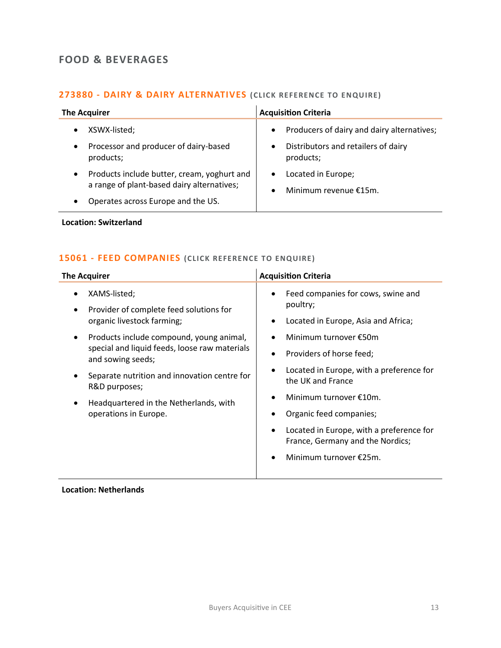### <span id="page-12-0"></span>**FOOD & BEVERAGES**

### **273880 - [DAIRY & DAIRY ALTERNATIVES](mailto:poppy.briggs@langcliffeinternational.com?subject=273880%20-%20Dairy%20and%20Dairy%20Alternatives%20) (CLICK RE FERENCE TO E NQUIRE)**

| <b>The Acquirer</b>                                                                                                                                       | <b>Acquisition Criteria</b>                                                                                              |
|-----------------------------------------------------------------------------------------------------------------------------------------------------------|--------------------------------------------------------------------------------------------------------------------------|
| XSWX-listed;<br>$\bullet$<br>Processor and producer of dairy-based<br>$\bullet$<br>products;                                                              | Producers of dairy and dairy alternatives;<br>$\bullet$<br>Distributors and retailers of dairy<br>$\bullet$<br>products; |
| Products include butter, cream, yoghurt and<br>$\bullet$<br>a range of plant-based dairy alternatives;<br>Operates across Europe and the US.<br>$\bullet$ | Located in Europe;<br>$\bullet$<br>Minimum revenue €15m.                                                                 |

**Location: Switzerland**

### **15061 - [FEED COMPANIES](mailto:poppy.briggs@langcliffeinternational.com?subject=15061%20-%20Feed%20Companies%20) (CLICK REFERE NCE TO ENQUIRE)**

| <b>The Acquirer</b>                                                                                                                                                                                                                                             | <b>Acquisition Criteria</b>                                                                                                                                                                                                                                                            |
|-----------------------------------------------------------------------------------------------------------------------------------------------------------------------------------------------------------------------------------------------------------------|----------------------------------------------------------------------------------------------------------------------------------------------------------------------------------------------------------------------------------------------------------------------------------------|
| XAMS-listed;<br>Provider of complete feed solutions for<br>organic livestock farming;                                                                                                                                                                           | Feed companies for cows, swine and<br>poultry;<br>Located in Europe, Asia and Africa;                                                                                                                                                                                                  |
| Products include compound, young animal,<br>$\bullet$<br>special and liquid feeds, loose raw materials<br>and sowing seeds;<br>Separate nutrition and innovation centre for<br>R&D purposes;<br>Headquartered in the Netherlands, with<br>operations in Europe. | Minimum turnover €50m<br>Providers of horse feed;<br>٠<br>Located in Europe, with a preference for<br>the UK and France<br>Minimum turnover €10m.<br>Organic feed companies;<br>Located in Europe, with a preference for<br>France, Germany and the Nordics;<br>Minimum turnover €25m. |

**Location: Netherlands**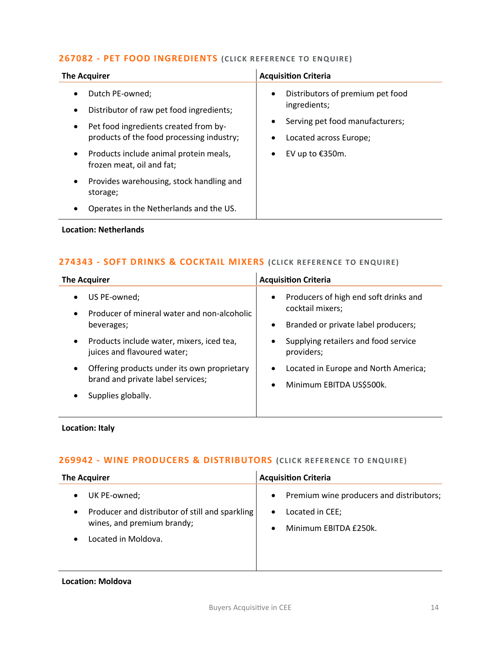### **267082 - [PET FOOD INGREDIENTS](mailto:poppy.briggs@langcliffeinternational.com?subject=267082%20-%20Pet%20Food%20Ingredients%20) (CLICK REFERENCE TO ENQUIRE )**

| <b>The Acquirer</b>                                                                                                                                                                                                                                                                                        | <b>Acquisition Criteria</b>                                                                                                                                                  |
|------------------------------------------------------------------------------------------------------------------------------------------------------------------------------------------------------------------------------------------------------------------------------------------------------------|------------------------------------------------------------------------------------------------------------------------------------------------------------------------------|
| Dutch PE-owned;<br>Distributor of raw pet food ingredients;<br>Pet food ingredients created from by-<br>$\bullet$<br>products of the food processing industry;<br>Products include animal protein meals,<br>frozen meat, oil and fat;<br>Provides warehousing, stock handling and<br>$\bullet$<br>storage; | Distributors of premium pet food<br>$\bullet$<br>ingredients;<br>Serving pet food manufacturers;<br>٠<br>Located across Europe;<br>$\bullet$<br>EV up to €350m.<br>$\bullet$ |
| Operates in the Netherlands and the US.<br>$\bullet$                                                                                                                                                                                                                                                       |                                                                                                                                                                              |
| <b>Location: Netherlands</b>                                                                                                                                                                                                                                                                               |                                                                                                                                                                              |

### **274343 - [SOFT DRINKS & COCKTAIL MIXERS](mailto:george.davies@langcliffeinternational.com?subject=274343%20-%20Soft%20Drinks%20and%20Cocktail%20Mixers%20) (CLICK REFE RENCE TO ENQUIRE)**

| <b>The Acquirer</b>                                                                           | <b>Acquisition Criteria</b>                                                                                   |
|-----------------------------------------------------------------------------------------------|---------------------------------------------------------------------------------------------------------------|
| US PE-owned;<br>Producer of mineral water and non-alcoholic<br>$\bullet$<br>beverages;        | Producers of high end soft drinks and<br>$\bullet$<br>cocktail mixers;<br>Branded or private label producers; |
| Products include water, mixers, iced tea,<br>$\bullet$<br>juices and flavoured water;         | Supplying retailers and food service<br>providers;                                                            |
| Offering products under its own proprietary<br>$\bullet$<br>brand and private label services; | Located in Europe and North America;<br>$\bullet$<br>Minimum EBITDA US\$500k.                                 |
| Supplies globally.                                                                            |                                                                                                               |

### **Location: Italy**

### **269942 - [WINE PRODUCERS & DISTRIBUTORS](mailto:maryia.amrez@langcliffeinternational.com?subject=269942%20-%20Wine%20Producers%20and%20Distributors%20) (CLICK RE FERENCE TO ENQUIRE)**

| <b>The Acquirer</b>                                                                                                     | <b>Acquisition Criteria</b>                                                                                                 |
|-------------------------------------------------------------------------------------------------------------------------|-----------------------------------------------------------------------------------------------------------------------------|
| UK PE-owned;<br>$\bullet$<br>Producer and distributor of still and sparkling<br>$\bullet$<br>wines, and premium brandy; | Premium wine producers and distributors;<br>$\bullet$<br>Located in CEE;<br>$\bullet$<br>Minimum EBITDA £250k.<br>$\bullet$ |
| Located in Moldova.<br>$\bullet$                                                                                        |                                                                                                                             |

### **Location: Moldova**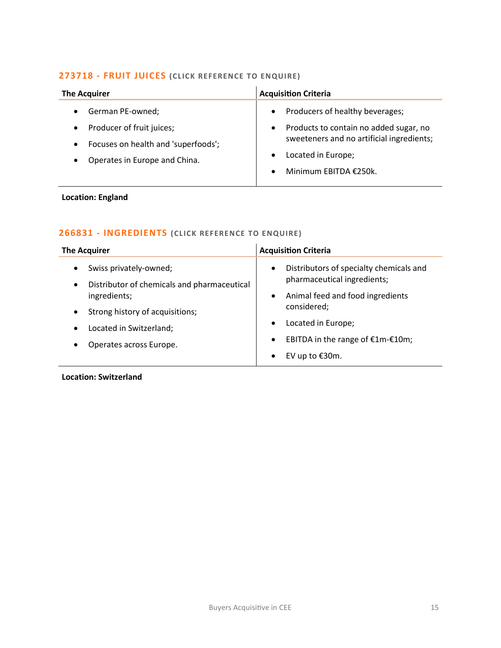### **273718 - [FRUIT JUICES](mailto:poppy.briggs@langcliffeinternational.com?subject=273718%20-%20Fruit%20Juices%20) (CLICK RE FERENCE TO ENQUIRE)**

| <b>The Acquirer</b>                                                                                            | <b>Acquisition Criteria</b>                                                                                                                                               |
|----------------------------------------------------------------------------------------------------------------|---------------------------------------------------------------------------------------------------------------------------------------------------------------------------|
| German PE-owned;                                                                                               | Producers of healthy beverages;<br>$\bullet$                                                                                                                              |
| Producer of fruit juices;<br>Focuses on health and 'superfoods';<br>$\bullet$<br>Operates in Europe and China. | Products to contain no added sugar, no<br>$\bullet$<br>sweeteners and no artificial ingredients;<br>Located in Europe;<br>$\bullet$<br>Minimum EBITDA €250k.<br>$\bullet$ |

### **Location: England**

### **266831 - [INGREDIENTS](mailto:joanna.hughes@langcliffeinternational.com?subject=266831%20-%20Ingredients%20) (CLICK REFERE NCE TO ENQUIRE)**

| <b>The Acquirer</b>                                                                                                                                                                                                                     | <b>Acquisition Criteria</b>                                                                                                                                                                                                                                            |
|-----------------------------------------------------------------------------------------------------------------------------------------------------------------------------------------------------------------------------------------|------------------------------------------------------------------------------------------------------------------------------------------------------------------------------------------------------------------------------------------------------------------------|
| Swiss privately-owned;<br>$\bullet$<br>Distributor of chemicals and pharmaceutical<br>$\bullet$<br>ingredients;<br>Strong history of acquisitions;<br>$\bullet$<br>Located in Switzerland;<br>$\bullet$<br>Operates across Europe.<br>٠ | Distributors of specialty chemicals and<br>$\bullet$<br>pharmaceutical ingredients;<br>Animal feed and food ingredients<br>$\bullet$<br>considered;<br>Located in Europe;<br>$\bullet$<br>EBITDA in the range of €1m-€10m;<br>$\bullet$<br>EV up to €30m.<br>$\bullet$ |

**Location: Switzerland**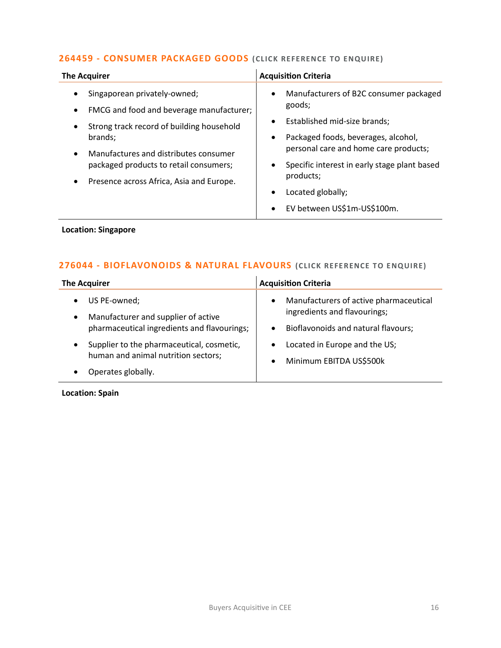### **264459 - [CONSUMER PACKAGED GOODS](mailto:emily.mcdermott@langcliffeinternational.com?subject=264459%20-%20Consumer%20Packaged%20Goods%20) (CLICK RE FERENCE TO E NQUIRE)**

| Singaporean privately-owned;<br>$\bullet$<br>goods;<br>FMCG and food and beverage manufacturer;<br>Established mid-size brands;<br>$\bullet$<br>Strong track record of building household<br>Packaged foods, beverages, alcohol,<br>brands;<br>$\bullet$<br>Manufactures and distributes consumer<br>packaged products to retail consumers;<br>$\bullet$ | <b>The Acquirer</b> | <b>Acquisition Criteria</b>                                                                                                                  |
|----------------------------------------------------------------------------------------------------------------------------------------------------------------------------------------------------------------------------------------------------------------------------------------------------------------------------------------------------------|---------------------|----------------------------------------------------------------------------------------------------------------------------------------------|
| Presence across Africa, Asia and Europe.<br>Located globally;<br>EV between US\$1m-US\$100m.<br>$\bullet$                                                                                                                                                                                                                                                |                     | Manufacturers of B2C consumer packaged<br>personal care and home care products;<br>Specific interest in early stage plant based<br>products; |

### **Location: Singapore**

### **276044 - [BIOFLAVONOIDS & NATURAL FLAVOURS](mailto:george.davies@langcliffeinternational.com?subject=276044%20-%20Bioflavonoids%20and%20Natural%20Flavours%20) (CLICK REFE RENCE TO E NQUIRE)**

| <b>The Acquirer</b>                                                                           | <b>Acquisition Criteria</b>                                                         |
|-----------------------------------------------------------------------------------------------|-------------------------------------------------------------------------------------|
| US PE-owned;<br>$\bullet$<br>Manufacturer and supplier of active<br>$\bullet$                 | Manufacturers of active pharmaceutical<br>$\bullet$<br>ingredients and flavourings; |
| pharmaceutical ingredients and flavourings;                                                   | Bioflavonoids and natural flavours;<br>$\bullet$                                    |
| Supplier to the pharmaceutical, cosmetic,<br>$\bullet$<br>human and animal nutrition sectors; | Located in Europe and the US;<br>$\bullet$                                          |
| Operates globally.<br>$\bullet$                                                               | Minimum EBITDA US\$500k<br>$\bullet$                                                |

### **Location: Spain**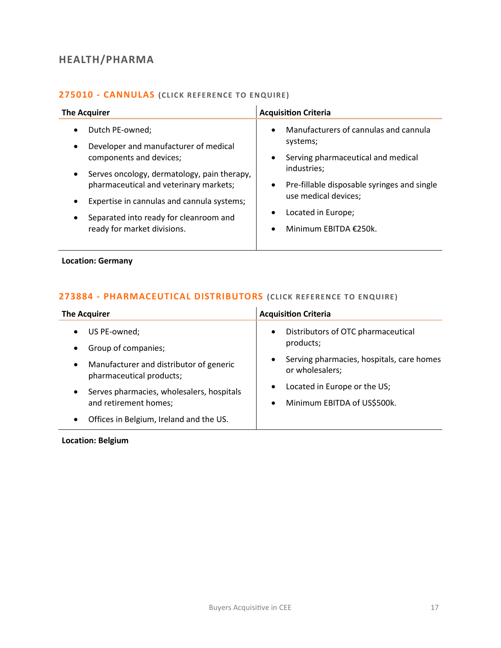### <span id="page-16-0"></span>**HEALTH/PHARMA**

### **275010 - [CANNULAS](mailto:poppy.briggs@langcliffeinternational.com?subject=275010%20-%20Cannulas%20) (CLICK REFERE NCE TO E NQUIRE )**

| <b>The Acquirer</b>                                                                                                                                                                                                                                                                                                                                  | <b>Acquisition Criteria</b>                                                                                                                                                                                                                            |
|------------------------------------------------------------------------------------------------------------------------------------------------------------------------------------------------------------------------------------------------------------------------------------------------------------------------------------------------------|--------------------------------------------------------------------------------------------------------------------------------------------------------------------------------------------------------------------------------------------------------|
| Dutch PE-owned;<br>$\bullet$<br>Developer and manufacturer of medical<br>٠<br>components and devices;<br>Serves oncology, dermatology, pain therapy,<br>$\bullet$<br>pharmaceutical and veterinary markets;<br>Expertise in cannulas and cannula systems;<br>٠<br>Separated into ready for cleanroom and<br>$\bullet$<br>ready for market divisions. | Manufacturers of cannulas and cannula<br>$\bullet$<br>systems;<br>Serving pharmaceutical and medical<br>industries;<br>Pre-fillable disposable syringes and single<br>$\bullet$<br>use medical devices;<br>Located in Europe;<br>Minimum EBITDA €250k. |

### **Location: Germany**

### **273884 - [PHARMACEUTICAL DISTRIBUTORS](mailto:george.davies@langcliffeinternational.com?subject=273884%20-%20Pharmaceutical%20Distributors) (CLICK REFE RENCE TO ENQUIRE)**

| <b>The Acquirer</b>                                                              | <b>Acquisition Criteria</b>                                               |
|----------------------------------------------------------------------------------|---------------------------------------------------------------------------|
| US PE-owned;<br>$\bullet$                                                        | Distributors of OTC pharmaceutical<br>$\bullet$                           |
| Group of companies;<br>$\bullet$                                                 | products;                                                                 |
| Manufacturer and distributor of generic<br>$\bullet$<br>pharmaceutical products; | Serving pharmacies, hospitals, care homes<br>$\bullet$<br>or wholesalers; |
| Serves pharmacies, wholesalers, hospitals<br>$\bullet$                           | Located in Europe or the US;<br>٠                                         |
| and retirement homes;                                                            | Minimum EBITDA of US\$500k.<br>$\bullet$                                  |
| Offices in Belgium, Ireland and the US.<br>$\bullet$                             |                                                                           |

### **Location: Belgium**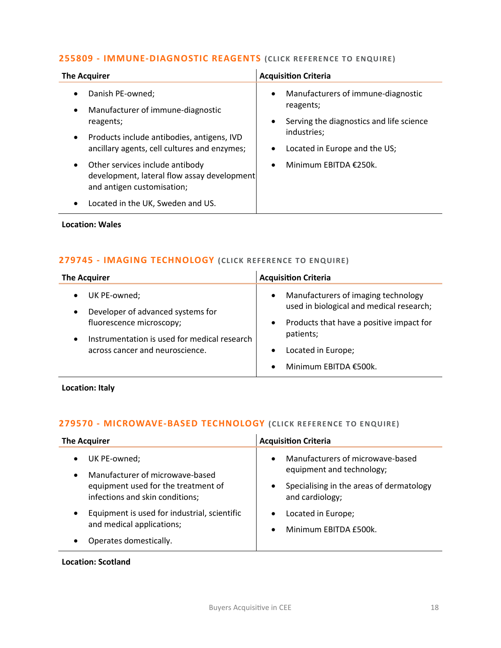### **255809 - [IMMUNE-DIAGNOSTIC REAGENTS](mailto:charlotte.keane@langcliffeinternational.com?subject=255809%20-%20Immune-Diagnostic%20Reagents) (CLICK RE FERENCE TO ENQUIRE )**

| Danish PE-owned;<br>$\bullet$<br>$\bullet$<br>reagents;<br>Manufacturer of immune-diagnostic<br>$\bullet$<br>reagents;<br>$\bullet$<br>industries;<br>Products include antibodies, antigens, IVD<br>$\bullet$<br>ancillary agents, cell cultures and enzymes;<br>Other services include antibody<br>$\bullet$<br>$\bullet$<br>development, lateral flow assay development<br>and antigen customisation; | <b>The Acquirer</b>               | <b>Acquisition Criteria</b>                                                                                     |
|---------------------------------------------------------------------------------------------------------------------------------------------------------------------------------------------------------------------------------------------------------------------------------------------------------------------------------------------------------------------------------------------------------|-----------------------------------|-----------------------------------------------------------------------------------------------------------------|
|                                                                                                                                                                                                                                                                                                                                                                                                         |                                   | Manufacturers of immune-diagnostic<br>Serving the diagnostics and life science<br>Located in Europe and the US; |
|                                                                                                                                                                                                                                                                                                                                                                                                         | Located in the UK, Sweden and US. | Minimum EBITDA €250k.                                                                                           |

**Location: Wales**

### **279745 - [IMAGING TECHNOLOGY](mailto:maryia.amrez@langcliffeinternational.com?subject=279745%20-%20Imaging%20Technology) (CLICK REFERENCE TO ENQUIRE )**

| <b>The Acquirer</b>                                                                                                                                              | <b>Acquisition Criteria</b>                                                                                                                                                                                                         |
|------------------------------------------------------------------------------------------------------------------------------------------------------------------|-------------------------------------------------------------------------------------------------------------------------------------------------------------------------------------------------------------------------------------|
| UK PE-owned;<br>Developer of advanced systems for<br>fluorescence microscopy;<br>Instrumentation is used for medical research<br>across cancer and neuroscience. | Manufacturers of imaging technology<br>$\bullet$<br>used in biological and medical research;<br>Products that have a positive impact for<br>٠<br>patients;<br>Located in Europe;<br>$\bullet$<br>Minimum EBITDA €500k.<br>$\bullet$ |

**Location: Italy**

### **279570 - [MICROWAVE-BASED TECHNOLOGY](mailto:maryia.amrez@langcliffeinternational.com?subject=279570%20-%20Microwave-Based%20Technology) (CLICK REFERENCE TO ENQUIRE)**

| <b>The Acquirer</b>                                                                                                                                 | <b>Acquisition Criteria</b>                                                                                                               |
|-----------------------------------------------------------------------------------------------------------------------------------------------------|-------------------------------------------------------------------------------------------------------------------------------------------|
| UK PE-owned;<br>$\bullet$<br>Manufacturer of microwave-based<br>$\bullet$<br>equipment used for the treatment of<br>infections and skin conditions; | Manufacturers of microwave-based<br>$\bullet$<br>equipment and technology;<br>Specialising in the areas of dermatology<br>and cardiology; |
| Equipment is used for industrial, scientific<br>$\bullet$<br>and medical applications;<br>Operates domestically.                                    | Located in Europe;<br>Minimum EBITDA £500k.<br>$\bullet$                                                                                  |

**Location: Scotland**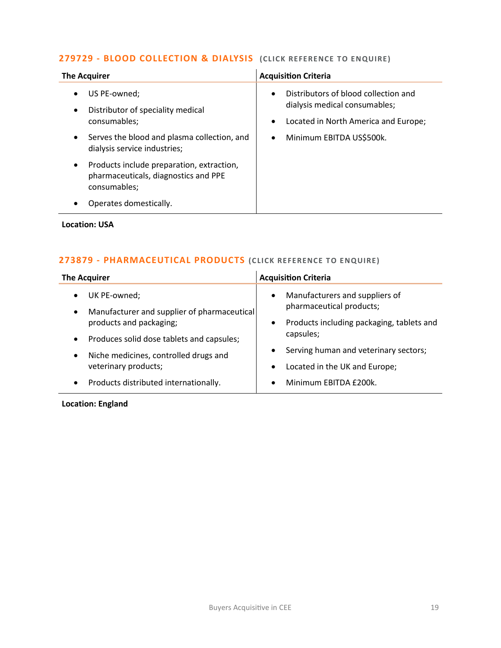### **279729 - [BLOOD COLLECTION &](mailto:george.davies@langcliffeinternational.com?subject=279729%20-%20Blood%20Collection%20and%20Dialysis%20) DIALYSIS (CLICK REFERE NCE TO E NQUIRE )**

| <b>The Acquirer</b>                                                                               | <b>Acquisition Criteria</b>                                                                                                             |
|---------------------------------------------------------------------------------------------------|-----------------------------------------------------------------------------------------------------------------------------------------|
| US PE-owned;<br>Distributor of speciality medical<br>consumables;                                 | Distributors of blood collection and<br>$\bullet$<br>dialysis medical consumables;<br>Located in North America and Europe;<br>$\bullet$ |
| Serves the blood and plasma collection, and<br>dialysis service industries;                       | Minimum EBITDA US\$500k.<br>$\bullet$                                                                                                   |
| Products include preparation, extraction,<br>pharmaceuticals, diagnostics and PPE<br>consumables; |                                                                                                                                         |
| Operates domestically.                                                                            |                                                                                                                                         |

### **Location: USA**

### **273879 - [PHARMACEUTICAL PRODUCTS](mailto:emily.mcdermott@langcliffeinternational.com?subject=273879%20-%20Pharmaceutical%20Products%20) (CLICK REFE RENCE TO ENQUIRE)**

| <b>The Acquirer</b>                                                                   | <b>Acquisition Criteria</b>                                                                      |
|---------------------------------------------------------------------------------------|--------------------------------------------------------------------------------------------------|
| UK PE-owned;<br>$\bullet$<br>Manufacturer and supplier of pharmaceutical<br>$\bullet$ | Manufacturers and suppliers of<br>$\bullet$<br>pharmaceutical products;                          |
| products and packaging;<br>Produces solid dose tablets and capsules;<br>$\bullet$     | Products including packaging, tablets and<br>$\bullet$<br>capsules;                              |
| Niche medicines, controlled drugs and<br>$\bullet$<br>veterinary products;            | Serving human and veterinary sectors;<br>$\bullet$<br>Located in the UK and Europe;<br>$\bullet$ |
| Products distributed internationally.<br>$\bullet$                                    | Minimum EBITDA £200k.<br>$\bullet$                                                               |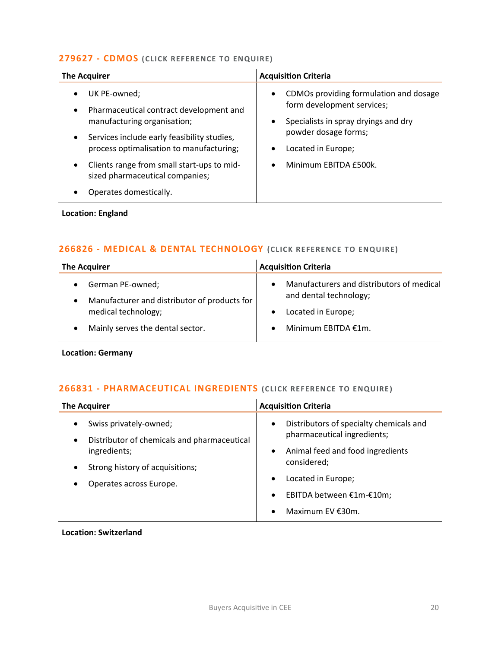### **[279627 -](mailto:maryia.amrez@langcliffeinternational.com?subject=279627%20-%20CDMOs) CDMOS (CLICK REFE RENCE TO ENQUIRE)**

| <b>The Acquirer</b>                                                                                                                                                                                              | <b>Acquisition Criteria</b>                                                                                                                                                                       |
|------------------------------------------------------------------------------------------------------------------------------------------------------------------------------------------------------------------|---------------------------------------------------------------------------------------------------------------------------------------------------------------------------------------------------|
| UK PE-owned;<br>٠<br>Pharmaceutical contract development and<br>$\bullet$<br>manufacturing organisation;<br>Services include early feasibility studies,<br>$\bullet$<br>process optimalisation to manufacturing; | CDMOs providing formulation and dosage<br>$\bullet$<br>form development services;<br>Specialists in spray dryings and dry<br>$\bullet$<br>powder dosage forms;<br>Located in Europe;<br>$\bullet$ |
| Clients range from small start-ups to mid-<br>$\bullet$<br>sized pharmaceutical companies;<br>Operates domestically.                                                                                             | Minimum EBITDA £500k.<br>$\bullet$                                                                                                                                                                |
| <b>Location: England</b>                                                                                                                                                                                         |                                                                                                                                                                                                   |

### **266826 - [MEDICAL & DENTAL TECHNOLOGY](mailto:poppy.briggs@langcliffeinternational.com?subject=266826%20-%20Medical%20and%20Dental%20Technology) (CLICK REFERENCE TO ENQUIRE)**

| <b>The Acquirer</b>                                                                                                         | <b>Acquisition Criteria</b>                                                                                                   |
|-----------------------------------------------------------------------------------------------------------------------------|-------------------------------------------------------------------------------------------------------------------------------|
| German PE-owned;<br>Manufacturer and distributor of products for<br>medical technology;<br>Mainly serves the dental sector. | Manufacturers and distributors of medical<br>$\bullet$<br>and dental technology;<br>Located in Europe;<br>Minimum EBITDA €1m. |
|                                                                                                                             |                                                                                                                               |

**Location: Germany** 

### **266831 - [PHARMACEUTICAL INGREDIENTS](mailto:joanna.hughes@langcliffeinternational.com?subject=266831%20-%20Pharmaceutical%20Ingredients%20) (CLICK REFERENCE TO ENQUIRE)**

| <b>The Acquirer</b>                                                        | <b>Acquisition Criteria</b>                                                         |
|----------------------------------------------------------------------------|-------------------------------------------------------------------------------------|
| Swiss privately-owned;<br>Distributor of chemicals and pharmaceutical<br>٠ | Distributors of specialty chemicals and<br>$\bullet$<br>pharmaceutical ingredients; |
| ingredients;<br>Strong history of acquisitions;<br>٠                       | Animal feed and food ingredients<br>$\bullet$<br>considered;                        |
| Operates across Europe.                                                    | Located in Europe;<br>$\bullet$                                                     |
|                                                                            | EBITDA between €1m-€10m;<br>$\bullet$                                               |
|                                                                            | Maximum EV $£30m$ .<br>$\bullet$                                                    |

**Location: Switzerland**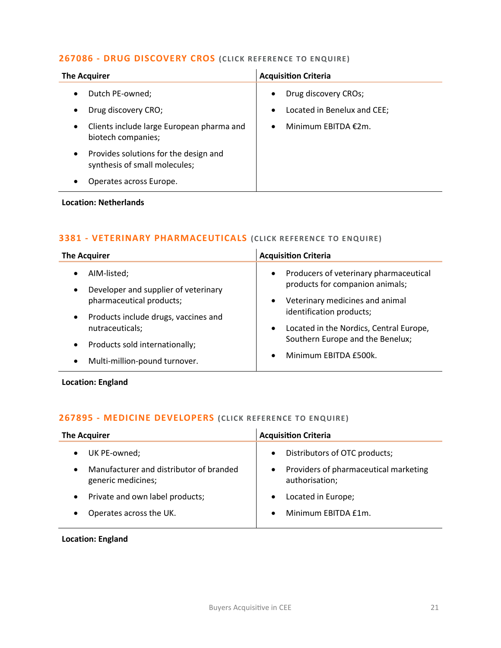### **267086 - [DRUG DISCOVERY CROS](mailto:maryia.amrez@langcliffeinternational.com?subject=267086%20-%20Drug%20Discovery%20CROs) (CLICK REFERENCE TO ENQUIRE )**

| <b>The Acquirer</b> |                                                                        |           | <b>Acquisition Criteria</b>   |
|---------------------|------------------------------------------------------------------------|-----------|-------------------------------|
|                     | Dutch PE-owned;                                                        | $\bullet$ | Drug discovery CROs;          |
| $\bullet$           | Drug discovery CRO;                                                    | $\bullet$ | Located in Benelux and CEE;   |
| $\bullet$           | Clients include large European pharma and<br>biotech companies;        | $\bullet$ | Minimum EBITDA $\epsilon$ 2m. |
| $\bullet$           | Provides solutions for the design and<br>synthesis of small molecules; |           |                               |
|                     | Operates across Europe.                                                |           |                               |

### **Location: Netherlands**

### **3381 - [VETERINARY PHARMACEUTICALS](mailto:katie.griffith@langcliffeinternational.com?subject=3381%20-%20Veterinary%20Pharmaceuticals%20) (CLICK RE FERENCE TO E NQUIRE)**

| <b>The Acquirer</b>                                                                                                                                                                                                                                                            | <b>Acquisition Criteria</b>                                                                                                                                                                                                                                                                          |
|--------------------------------------------------------------------------------------------------------------------------------------------------------------------------------------------------------------------------------------------------------------------------------|------------------------------------------------------------------------------------------------------------------------------------------------------------------------------------------------------------------------------------------------------------------------------------------------------|
| AIM-listed;<br>$\bullet$<br>Developer and supplier of veterinary<br>$\bullet$<br>pharmaceutical products;<br>Products include drugs, vaccines and<br>$\bullet$<br>nutraceuticals;<br>Products sold internationally;<br>$\bullet$<br>Multi-million-pound turnover.<br>$\bullet$ | Producers of veterinary pharmaceutical<br>$\bullet$<br>products for companion animals;<br>Veterinary medicines and animal<br>$\bullet$<br>identification products;<br>Located in the Nordics, Central Europe,<br>$\bullet$<br>Southern Europe and the Benelux;<br>Minimum EBITDA £500k.<br>$\bullet$ |

**Location: England**

### **267895 - [MEDICINE DEVELOPERS](mailto:maryia.amrez@langcliffeinternational.com?subject=267895%20-%20Medicine%20Developers) (CLICK REFERENCE TO ENQUIRE )**

| <b>The Acquirer</b>                                           | <b>Acquisition Criteria</b>                                          |
|---------------------------------------------------------------|----------------------------------------------------------------------|
| UK PE-owned;                                                  | Distributors of OTC products;<br>$\bullet$                           |
| Manufacturer and distributor of branded<br>generic medicines; | Providers of pharmaceutical marketing<br>$\bullet$<br>authorisation; |
| Private and own label products;                               | Located in Europe;                                                   |
| Operates across the UK.                                       | Minimum EBITDA £1m.<br>$\bullet$                                     |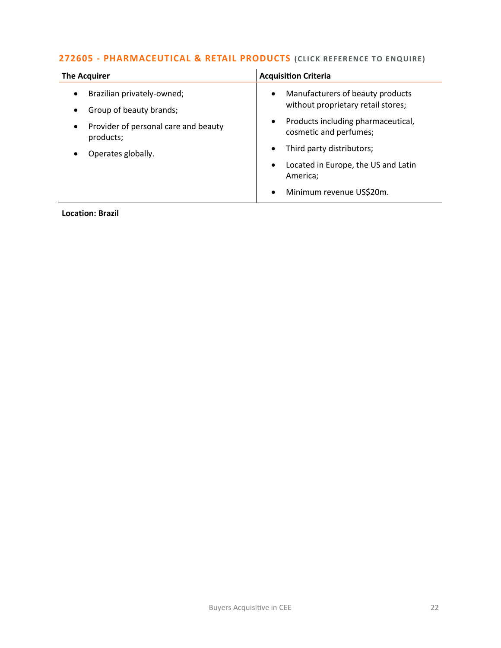### **272605 - [PHARMACEUTICAL & RETAIL PRODUCTS](mailto:lauren.parker@langcliffeinternational.com?subject=272605%20-%20Pharmaceutical%20and%20Retail%20Products)** (CLICK REFERENCE TO ENQUIRE)

| Manufacturers of beauty products<br>Brazilian privately-owned;<br>$\bullet$<br>without proprietary retail stores;                                                                                                                                                                                            | <b>The Acquirer</b>     | <b>Acquisition Criteria</b> |
|--------------------------------------------------------------------------------------------------------------------------------------------------------------------------------------------------------------------------------------------------------------------------------------------------------------|-------------------------|-----------------------------|
| Products including pharmaceutical,<br>٠<br>Provider of personal care and beauty<br>$\bullet$<br>cosmetic and perfumes;<br>products;<br>Third party distributors;<br>$\bullet$<br>Operates globally.<br>Located in Europe, the US and Latin<br>$\bullet$<br>America;<br>Minimum revenue US\$20m.<br>$\bullet$ | Group of beauty brands; |                             |

### **Location: Brazil**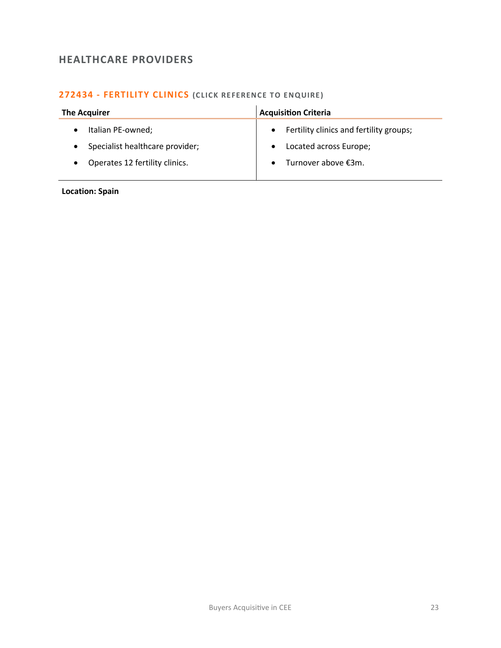### <span id="page-22-0"></span>**HEALTHCARE PROVIDERS**

### **272434 - [FERTILITY CLINICS](mailto:francesca.morra@langcliffeinternational.com?subject=272434%20-%20Fertility%20Clinics%20) (CLICK RE FERENCE TO ENQUIRE )**

| <b>The Acquirer</b>             | <b>Acquisition Criteria</b>                          |
|---------------------------------|------------------------------------------------------|
| Italian PE-owned;               | Fertility clinics and fertility groups;<br>$\bullet$ |
| Specialist healthcare provider; | Located across Europe;<br>$\bullet$                  |
| Operates 12 fertility clinics.  | Turnover above €3m.<br>$\bullet$                     |
|                                 |                                                      |

**Location: Spain**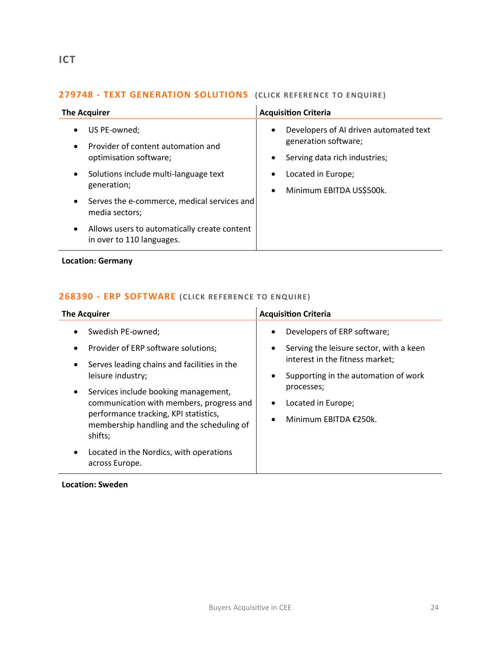### <span id="page-23-0"></span>**279748 - TEXT GENERATION SOLUTIONS** (CLICK REFERENCE TO ENQUIRE)

| <b>The Acquirer</b>                                                                                    | <b>Acquisition Criteria</b>                                                                                               |
|--------------------------------------------------------------------------------------------------------|---------------------------------------------------------------------------------------------------------------------------|
| US PE-owned;<br>$\bullet$<br>Provider of content automation and<br>$\bullet$<br>optimisation software; | Developers of AI driven automated text<br>$\bullet$<br>generation software;<br>Serving data rich industries;<br>$\bullet$ |
| Solutions include multi-language text<br>$\bullet$<br>generation;                                      | Located in Europe;<br>$\bullet$<br>Minimum EBITDA US\$500k.<br>$\bullet$                                                  |
| Serves the e-commerce, medical services and<br>$\bullet$<br>media sectors;                             |                                                                                                                           |
| Allows users to automatically create content<br>$\bullet$<br>in over to 110 languages.                 |                                                                                                                           |

**Location: Germany**

### **268390 - [ERP SOFTWARE](mailto:charlotte.keane@langcliffeinternational.com?subject=268390%20-%20ERP%20Software%20) (CLICK RE FERENCE TO E NQUIRE)**

| <b>The Acquirer</b>                                                                             | <b>Acquisition Criteria</b>                                                     |
|-------------------------------------------------------------------------------------------------|---------------------------------------------------------------------------------|
| Swedish PE-owned;                                                                               | Developers of ERP software;<br>٠                                                |
| Provider of ERP software solutions;<br>$\bullet$<br>Serves leading chains and facilities in the | Serving the leisure sector, with a keen<br>٠<br>interest in the fitness market; |
| leisure industry;<br>Services include booking management,<br>$\bullet$                          | Supporting in the automation of work<br>٠<br>processes;                         |
| communication with members, progress and<br>performance tracking, KPI statistics,               | Located in Europe;<br>Minimum EBITDA €250k.<br>$\bullet$                        |
| membership handling and the scheduling of<br>shifts;                                            |                                                                                 |
| Located in the Nordics, with operations<br>across Europe.                                       |                                                                                 |

**Location: Sweden**

 $\overline{a}$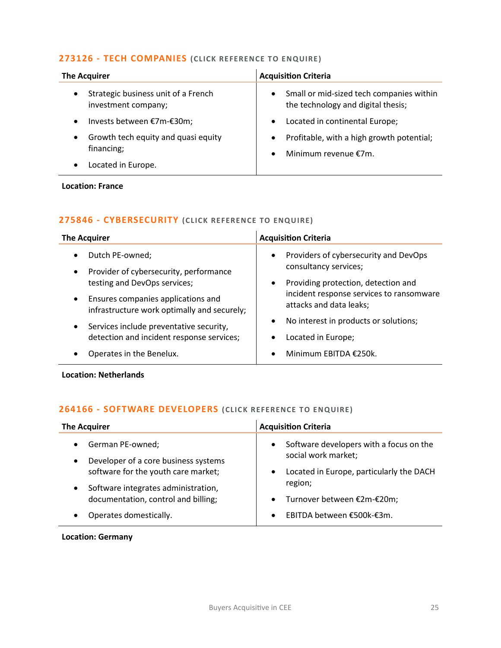### **273126 - [TECH COMPANIES](mailto:charlotte.keane@langcliffeinternational.com?subject=273126%20-%20Tech%20Companies%20)** (CLICK REFERENCE TO ENQUIRE)

| <b>The Acquirer</b>                                                     | <b>Acquisition Criteria</b>                                                                 |
|-------------------------------------------------------------------------|---------------------------------------------------------------------------------------------|
| Strategic business unit of a French<br>$\bullet$<br>investment company; | Small or mid-sized tech companies within<br>$\bullet$<br>the technology and digital thesis; |
| Invests between €7m-€30m;<br>$\bullet$                                  | Located in continental Europe;<br>$\bullet$                                                 |
| Growth tech equity and quasi equity<br>$\bullet$<br>financing;          | Profitable, with a high growth potential;<br>$\bullet$<br>Minimum revenue €7m.<br>$\bullet$ |
| Located in Europe.                                                      |                                                                                             |

**Location: France**

### **275846 - [CYBERSECURITY](mailto:poppy.briggs@langcliffeinternational.com?subject=275846%20-%20Cybersecurity%20) (CLICK RE FERENCE TO ENQUIRE)**

| <b>The Acquirer</b>                                                                               | <b>Acquisition Criteria</b>                                                           |
|---------------------------------------------------------------------------------------------------|---------------------------------------------------------------------------------------|
| Dutch PE-owned;<br>$\bullet$                                                                      | Providers of cybersecurity and DevOps<br>$\bullet$                                    |
| Provider of cybersecurity, performance<br>$\bullet$<br>testing and DevOps services;               | consultancy services;<br>Providing protection, detection and<br>$\bullet$             |
| Ensures companies applications and<br>$\bullet$<br>infrastructure work optimally and securely;    | incident response services to ransomware<br>attacks and data leaks;                   |
| Services include preventative security,<br>$\bullet$<br>detection and incident response services; | No interest in products or solutions;<br>$\bullet$<br>Located in Europe;<br>$\bullet$ |
| Operates in the Benelux.                                                                          | Minimum EBITDA €250k.<br>$\bullet$                                                    |

**Location: Netherlands**

### **264166 - [SOFTWARE DEVELOPERS](mailto:poppy.briggs@langcliffeinternational.com?subject=264166%20-%20Software%20Developers%20) (CLICK REFERENCE TO ENQUIRE )**

| <b>The Acquirer</b>                                                                                  | <b>Acquisition Criteria</b>                                                                                             |
|------------------------------------------------------------------------------------------------------|-------------------------------------------------------------------------------------------------------------------------|
| German PE-owned;<br>Developer of a core business systems<br>software for the youth care market;      | Software developers with a focus on the<br>$\bullet$<br>social work market;<br>Located in Europe, particularly the DACH |
| Software integrates administration,<br>documentation, control and billing;<br>Operates domestically. | region;<br>Turnover between €2m-€20m;<br>$\bullet$<br>EBITDA between €500k-€3m.<br>$\bullet$                            |

**Location: Germany**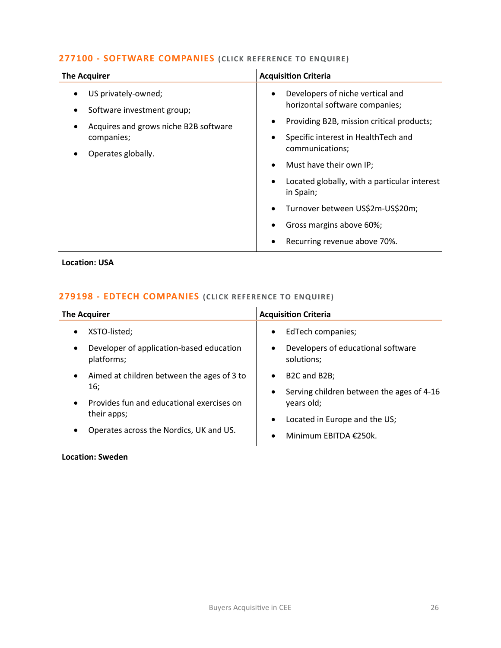### **277100 - [SOFTWARE COMPANIES](mailto:eloka.philip@langcliffeinternational.com?subject=277100%20-%20Software%20Companies%20) (CLICK RE FERENCE TO ENQUIRE )**

| <b>The Acquirer</b>                                                                                                            | <b>Acquisition Criteria</b>                                                                                                                                                                                                                                                                                                                                            |
|--------------------------------------------------------------------------------------------------------------------------------|------------------------------------------------------------------------------------------------------------------------------------------------------------------------------------------------------------------------------------------------------------------------------------------------------------------------------------------------------------------------|
| US privately-owned;<br>Software investment group;<br>Acquires and grows niche B2B software<br>companies;<br>Operates globally. | Developers of niche vertical and<br>٠<br>horizontal software companies;<br>Providing B2B, mission critical products;<br>Specific interest in HealthTech and<br>communications;<br>Must have their own IP;<br>Located globally, with a particular interest<br>in Spain;<br>Turnover between US\$2m-US\$20m;<br>Gross margins above 60%;<br>Recurring revenue above 70%. |

**Location: USA**

### **279198 - [EDTECH COMPANIES](mailto:charlotte.keane@langcliffeinternational.com?subject=279198%20-%20EdTech%20Companies%20) (CLICK RE FERENCE TO E NQUIRE)**

| <b>The Acquirer</b>                                            | <b>Acquisition Criteria</b>                                                                                   |
|----------------------------------------------------------------|---------------------------------------------------------------------------------------------------------------|
| XSTO-listed;<br>$\bullet$                                      | EdTech companies;<br>$\bullet$                                                                                |
| Developer of application-based education<br>platforms;         | Developers of educational software<br>٠<br>solutions;                                                         |
| Aimed at children between the ages of 3 to<br>$\bullet$<br>16: | B <sub>2</sub> C and B <sub>2</sub> B;<br>$\bullet$<br>Serving children between the ages of 4-16<br>$\bullet$ |
| Provides fun and educational exercises on                      | years old;                                                                                                    |
| their apps;                                                    | Located in Europe and the US;<br>$\bullet$                                                                    |
| Operates across the Nordics, UK and US.<br>$\bullet$           | Minimum EBITDA €250k.<br>$\bullet$                                                                            |

**Location: Sweden**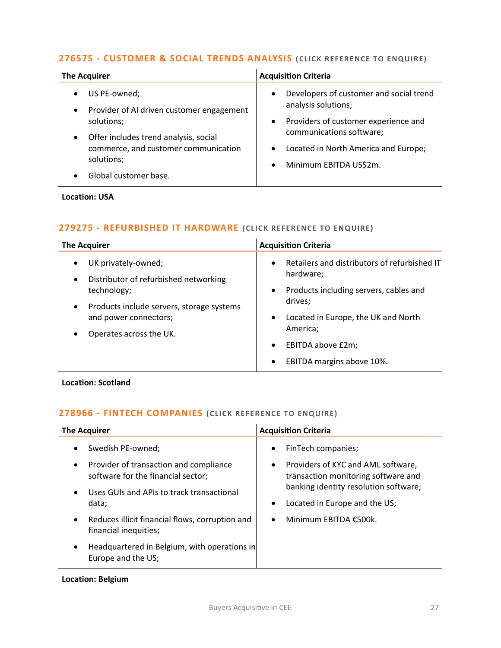### **276575 - [CUSTOMER & SOCIAL TRENDS ANALYSIS](mailto:george.davies@langcliffeinternational.com?subject=276575%20-%20Customer%20and%20Social%20Trends%20Analysis%20) (CLICK REFERE NCE TO E NQUIRE)**

| <b>The Acquirer</b>                                                                                                                                                                                                       | <b>Acquisition Criteria</b>                                                                                                                                                                                                                              |
|---------------------------------------------------------------------------------------------------------------------------------------------------------------------------------------------------------------------------|----------------------------------------------------------------------------------------------------------------------------------------------------------------------------------------------------------------------------------------------------------|
| US PE-owned;<br>Provider of AI driven customer engagement<br>$\bullet$<br>solutions;<br>Offer includes trend analysis, social<br>$\bullet$<br>commerce, and customer communication<br>solutions;<br>Global customer base. | Developers of customer and social trend<br>$\bullet$<br>analysis solutions;<br>Providers of customer experience and<br>$\bullet$<br>communications software;<br>Located in North America and Europe;<br>$\bullet$<br>Minimum EBITDA US\$2m.<br>$\bullet$ |

### **Location: USA**

### **279275 - [REFURBISHED IT HARDWARE](mailto:joanna.hughes@langcliffeinternational.com?subject=279275%20-%20Refurbished%20IT%20Hardware%20) (CLICK RE FERENCE TO E NQUIRE)**

| <b>The Acquirer</b>                       | <b>Acquisition Criteria</b>                                              |
|-------------------------------------------|--------------------------------------------------------------------------|
| UK privately-owned;                       | Retailers and distributors of refurbished IT                             |
| $\bullet$                                 | $\bullet$                                                                |
| Distributor of refurbished networking     | hardware;                                                                |
| $\bullet$                                 | Products including servers, cables and                                   |
| technology;                               | $\bullet$                                                                |
| Products include servers, storage systems | drives;                                                                  |
| $\bullet$                                 | Located in Europe, the UK and North                                      |
| and power connectors;                     | $\bullet$                                                                |
| Operates across the UK.                   | America;                                                                 |
|                                           | EBITDA above £2m;<br>$\bullet$<br>EBITDA margins above 10%.<br>$\bullet$ |

**Location: Scotland**

### **278966 - [FINTECH COMPANIES](mailto:charlotte.keane@langcliffeinternational.com?subject=278966%20-%20FinTech%20Companies%20) (CLICK RE FERENCE TO ENQUIRE)**

| <b>The Acquirer</b> |                                                                              |           | <b>Acquisition Criteria</b>                                               |
|---------------------|------------------------------------------------------------------------------|-----------|---------------------------------------------------------------------------|
|                     | Swedish PE-owned;                                                            | $\bullet$ | FinTech companies;                                                        |
| $\bullet$           | Provider of transaction and compliance<br>software for the financial sector; | $\bullet$ | Providers of KYC and AML software,<br>transaction monitoring software and |
|                     | Uses GUIs and APIs to track transactional<br>data;                           | $\bullet$ | banking identity resolution software;<br>Located in Europe and the US;    |
|                     | Reduces illicit financial flows, corruption and<br>financial inequities;     | $\bullet$ | Minimum EBITDA €500k.                                                     |
|                     | Headquartered in Belgium, with operations in<br>Europe and the US;           |           |                                                                           |

### **Location: Belgium**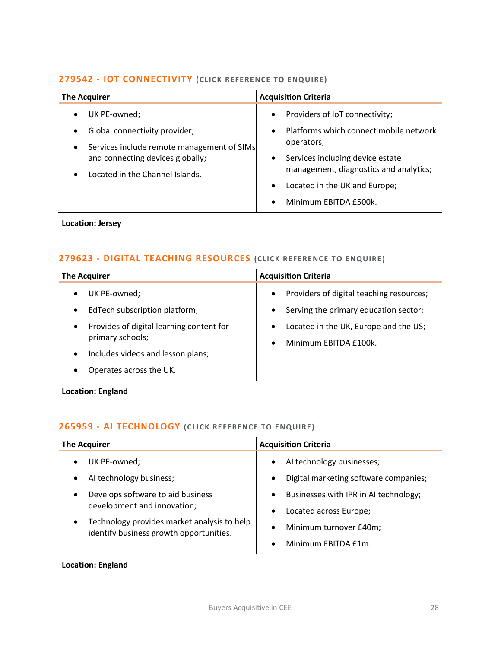### **279542 - [IOT CONNECTIVITY](mailto:maryia.amrez@langcliffeinternational.com?subject=279542%20-%20IoT%20Connectivity%20)** (CLICK REFERENCE TO ENQUIRE)

| <b>The Acquirer</b>                                                                                                                                                                                                    | <b>Acquisition Criteria</b>                                                                                                                                                                                                                                                                     |
|------------------------------------------------------------------------------------------------------------------------------------------------------------------------------------------------------------------------|-------------------------------------------------------------------------------------------------------------------------------------------------------------------------------------------------------------------------------------------------------------------------------------------------|
| UK PE-owned;<br>$\bullet$<br>Global connectivity provider;<br>$\bullet$<br>Services include remote management of SIMs<br>$\bullet$<br>and connecting devices globally;<br>Located in the Channel Islands.<br>$\bullet$ | Providers of IoT connectivity;<br>$\bullet$<br>Platforms which connect mobile network<br>$\bullet$<br>operators;<br>Services including device estate<br>$\bullet$<br>management, diagnostics and analytics;<br>Located in the UK and Europe;<br>$\bullet$<br>Minimum EBITDA £500k.<br>$\bullet$ |

### **Location: Jersey**

### **279623 - [DIGITAL TEACHING RESOURCES](mailto:emily.mcdermott@langcliffeinternational.com?subject=279623%20-%20Digital%20Teaching%20Resources%20)** (CLICK REFERENCE TO ENQUIRE)

| <b>The Acquirer</b>                                                       | <b>Acquisition Criteria</b>                                                                                 |
|---------------------------------------------------------------------------|-------------------------------------------------------------------------------------------------------------|
| UK PE-owned;<br>EdTech subscription platform;                             | Providers of digital teaching resources;<br>$\bullet$<br>Serving the primary education sector;<br>$\bullet$ |
| Provides of digital learning content for<br>$\bullet$<br>primary schools; | Located in the UK, Europe and the US;<br>$\bullet$<br>Minimum EBITDA £100k.<br>$\bullet$                    |
| Includes videos and lesson plans;                                         |                                                                                                             |
| Operates across the UK.                                                   |                                                                                                             |

**Location: England**

### **265959 - [AI TECHNOLOGY](mailto:emily.mcdermott@langcliffeinternational.com?subject=265959%20-%20AI%20Technology) (CLICK RE FERENCE TO ENQUIRE)**

| <b>The Acquirer</b>                                                                                 | <b>Acquisition Criteria</b>                                                                  |
|-----------------------------------------------------------------------------------------------------|----------------------------------------------------------------------------------------------|
| UK PE-owned;<br>AI technology business;                                                             | AI technology businesses;<br>$\bullet$<br>Digital marketing software companies;<br>$\bullet$ |
| Develops software to aid business<br>$\bullet$<br>development and innovation;                       | Businesses with IPR in AI technology;<br>$\bullet$<br>Located across Europe;<br>$\bullet$    |
| Technology provides market analysis to help<br>$\bullet$<br>identify business growth opportunities. | Minimum turnover £40m;<br>$\bullet$<br>Minimum EBITDA £1m.<br>$\bullet$                      |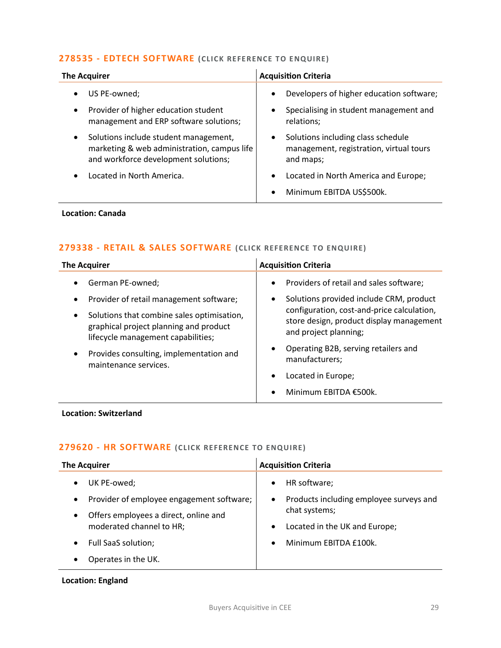### **278535 - [EDTECH SOFTWARE](mailto:george.davies@langcliffeinternational.com?subject=278535%20-%20EdTech%20Software%20) (CLICK REFERENCE TO E NQUIRE)**

| <b>The Acquirer</b>                         | <b>Acquisition Criteria</b>                       |
|---------------------------------------------|---------------------------------------------------|
| US PE-owned;                                | Developers of higher education software;          |
| $\bullet$                                   | $\bullet$                                         |
| Provider of higher education student        | Specialising in student management and            |
| $\bullet$                                   | $\bullet$                                         |
| management and ERP software solutions;      | relations;                                        |
| Solutions include student management,       | Solutions including class schedule                |
| $\bullet$                                   | $\bullet$                                         |
| marketing & web administration, campus life | management, registration, virtual tours           |
| and workforce development solutions;        | and maps;                                         |
| Located in North America.                   | Located in North America and Europe;<br>$\bullet$ |
|                                             | Minimum EBITDA US\$500k.<br>$\bullet$             |

### **Location: Canada**

### **279338 - [RETAIL & SALES SOFTWARE](mailto:poppy.briggs@langcliffeinternational.com?subject=279338%20-%20Retail%20and%20Sales%20Software%20) (CLICK REFE RENCE TO ENQUIRE)**

| <b>The Acquirer</b>                                                                                                                     | <b>Acquisition Criteria</b>                                                                                     |
|-----------------------------------------------------------------------------------------------------------------------------------------|-----------------------------------------------------------------------------------------------------------------|
| German PE-owned;                                                                                                                        | Providers of retail and sales software;<br>$\bullet$                                                            |
| Provider of retail management software;                                                                                                 | Solutions provided include CRM, product<br>٠                                                                    |
| Solutions that combine sales optimisation,<br>$\bullet$<br>graphical project planning and product<br>lifecycle management capabilities; | configuration, cost-and-price calculation,<br>store design, product display management<br>and project planning; |
| Provides consulting, implementation and<br>maintenance services.                                                                        | Operating B2B, serving retailers and<br>٠<br>manufacturers;                                                     |
|                                                                                                                                         | Located in Europe;<br>$\bullet$                                                                                 |
|                                                                                                                                         | Minimum EBITDA €500k.                                                                                           |

### **Location: Switzerland**

### **279620 - [HR SOFTWARE](mailto:emily.mcdermott@langcliffeinternational.com?subject=279620%20-%20HR%20Software%20) (CLICK RE FERENCE TO E NQUIRE)**

| <b>The Acquirer</b>                                                                | <b>Acquisition Criteria</b>                                                                        |
|------------------------------------------------------------------------------------|----------------------------------------------------------------------------------------------------|
| UK PE-owed;<br>$\bullet$<br>Provider of employee engagement software;<br>$\bullet$ | HR software;<br>$\bullet$<br>Products including employee surveys and<br>$\bullet$<br>chat systems; |
| Offers employees a direct, online and<br>$\bullet$<br>moderated channel to HR;     | Located in the UK and Europe;<br>$\bullet$                                                         |
| Full SaaS solution;<br>$\bullet$                                                   | Minimum EBITDA £100k.<br>$\bullet$                                                                 |
| Operates in the UK.                                                                |                                                                                                    |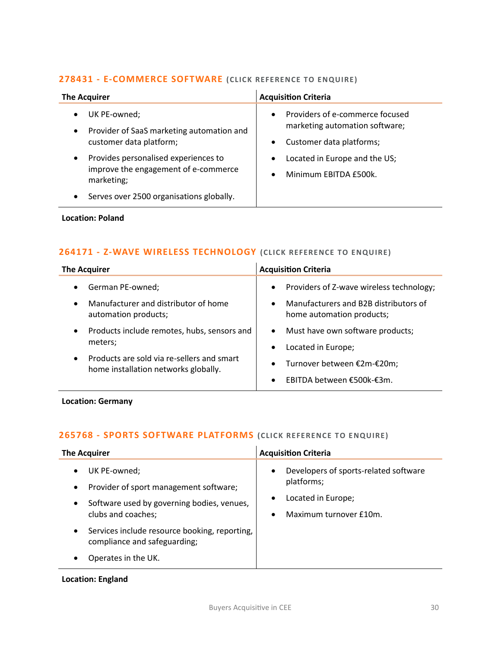### **278431 - [E-COMMERCE SOFTWARE](mailto:maryia.amrez@langcliffeinternational.com?subject=278431%20-%20E-Commerce%20Software%20) (CLICK REFERENCE TO E NQUIRE )**

| <b>The Acquirer</b>                                   | <b>Acquisition Criteria</b>     |
|-------------------------------------------------------|---------------------------------|
| UK PE-owned;                                          | Providers of e-commerce focused |
| $\bullet$                                             | $\bullet$                       |
| Provider of SaaS marketing automation and             | marketing automation software;  |
| $\bullet$                                             | Customer data platforms;        |
| customer data platform;                               | $\bullet$                       |
| Provides personalised experiences to                  | Located in Europe and the US;   |
| $\bullet$                                             | $\bullet$                       |
| improve the engagement of e-commerce                  | Minimum EBITDA £500k.           |
| marketing;                                            | $\bullet$                       |
| Serves over 2500 organisations globally.<br>$\bullet$ |                                 |

### **Location: Poland**

### **264171 - [Z-WAVE WIRELESS TECHNOLOGY](mailto:poppy.briggs@langcliffeinternational.com?subject=264171%20-%20Z-Wave%20Wireless%20Technology) (CLICK REFERE NCE TO E NQUIRE )**

| <b>The Acquirer</b>                                                                             | <b>Acquisition Criteria</b>                                                     |
|-------------------------------------------------------------------------------------------------|---------------------------------------------------------------------------------|
| German PE-owned;<br>$\bullet$                                                                   | Providers of Z-wave wireless technology;<br>$\bullet$                           |
| Manufacturer and distributor of home<br>$\bullet$<br>automation products;                       | Manufacturers and B2B distributors of<br>$\bullet$<br>home automation products; |
| Products include remotes, hubs, sensors and<br>$\bullet$                                        | Must have own software products;<br>$\bullet$                                   |
| meters;                                                                                         | Located in Europe;<br>$\bullet$                                                 |
| Products are sold via re-sellers and smart<br>$\bullet$<br>home installation networks globally. | Turnover between €2m-€20m;<br>$\bullet$                                         |
|                                                                                                 | EBITDA between €500k-€3m.<br>$\bullet$                                          |

### **Location: Germany**

### **265768 - [SPORTS SOFTWARE PLATFORMS](mailto:emily.mcdermott@langcliffeinternational.com?subject=265768%20-%20Sports%20Software%20Platforms%20) (CLICK REFERE NCE TO E NQUIRE )**

| <b>The Acquirer</b>                                                                                                                                               | <b>Acquisition Criteria</b>                                                                                                                |
|-------------------------------------------------------------------------------------------------------------------------------------------------------------------|--------------------------------------------------------------------------------------------------------------------------------------------|
| UK PE-owned;<br>$\bullet$<br>Provider of sport management software;<br>$\bullet$<br>Software used by governing bodies, venues,<br>$\bullet$<br>clubs and coaches; | Developers of sports-related software<br>$\bullet$<br>platforms;<br>Located in Europe;<br>$\bullet$<br>Maximum turnover £10m.<br>$\bullet$ |
| Services include resource booking, reporting,<br>$\bullet$<br>compliance and safeguarding;                                                                        |                                                                                                                                            |
| Operates in the UK.                                                                                                                                               |                                                                                                                                            |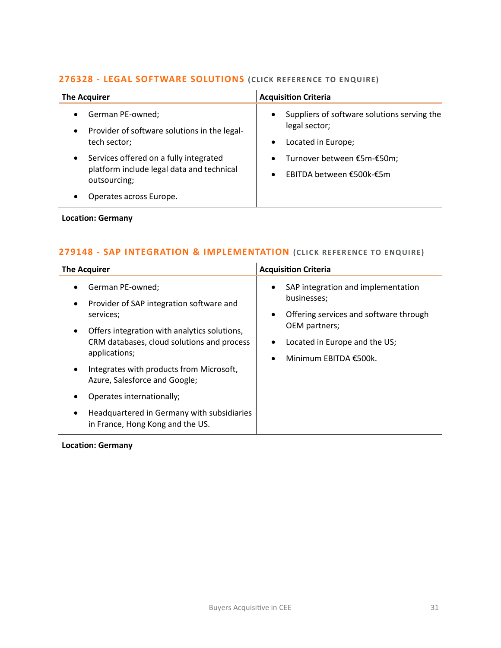### **276328 - [LEGAL SOFTWARE SOLUTIONS](mailto:poppy.briggs@langcliffeinternational.com?subject=276328%20-%20Legal%20Software%20Solutions%20) (CLICK RE FERENCE TO E NQUIRE)**

| <b>The Acquirer</b>                                                                                              | <b>Acquisition Criteria</b>                                                                                  |
|------------------------------------------------------------------------------------------------------------------|--------------------------------------------------------------------------------------------------------------|
| German PE-owned;<br>$\bullet$<br>Provider of software solutions in the legal-<br>$\bullet$<br>tech sector;       | Suppliers of software solutions serving the<br>$\bullet$<br>legal sector;<br>Located in Europe;<br>$\bullet$ |
| Services offered on a fully integrated<br>$\bullet$<br>platform include legal data and technical<br>outsourcing; | Turnover between €5m-€50m;<br>$\bullet$<br>EBITDA between €500k-€5m                                          |
| Operates across Europe.<br>٠                                                                                     |                                                                                                              |

### **Location: Germany**

### **279148 - [SAP INTEGRATION & IMPLEMENTATION](mailto:poppy.briggs@langcliffeinternational.com?subject=279148%20-%20SAP%20Integration%20and%20Implementation) (CLICK RE FERENCE TO E NQUIRE)**

| <b>The Acquirer</b>                                                                                                                                                                                   | <b>Acquisition Criteria</b>                                                                                                                                                                                |
|-------------------------------------------------------------------------------------------------------------------------------------------------------------------------------------------------------|------------------------------------------------------------------------------------------------------------------------------------------------------------------------------------------------------------|
| German PE-owned;<br>Provider of SAP integration software and<br>services;<br>Offers integration with analytics solutions,<br>$\bullet$<br>CRM databases, cloud solutions and process<br>applications; | SAP integration and implementation<br>$\bullet$<br>businesses;<br>Offering services and software through<br>٠<br>OEM partners;<br>Located in Europe and the US;<br>$\bullet$<br>Minimum EBITDA €500k.<br>٠ |
| Integrates with products from Microsoft,<br>Azure, Salesforce and Google;                                                                                                                             |                                                                                                                                                                                                            |
| Operates internationally;                                                                                                                                                                             |                                                                                                                                                                                                            |
| Headquartered in Germany with subsidiaries<br>in France, Hong Kong and the US.                                                                                                                        |                                                                                                                                                                                                            |

### **Location: Germany**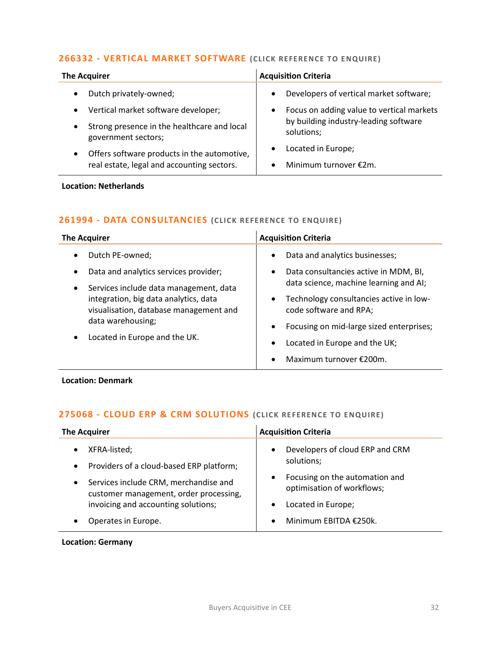### **266332 - [VERTICAL MARKET SOFTWARE](mailto:ewan.christian@langcliffeinternational.com?subject=266332%20-%20Vertical%20Market%20Software) (CLICK REFERE NCE TO E NQUIRE )**

| <b>The Acquirer</b>                                                             | <b>Acquisition Criteria</b>                            |
|---------------------------------------------------------------------------------|--------------------------------------------------------|
| Dutch privately-owned;                                                          | Developers of vertical market software;<br>$\bullet$   |
| Vertical market software developer;<br>$\bullet$                                | Focus on adding value to vertical markets<br>$\bullet$ |
| Strong presence in the healthcare and local<br>$\bullet$<br>government sectors; | by building industry-leading software<br>solutions;    |
| Offers software products in the automotive,<br>$\bullet$                        | Located in Europe;<br>$\bullet$                        |
| real estate, legal and accounting sectors.                                      | Minimum turnover €2m.                                  |

### **Location: Netherlands**

### **261994 - [DATA CONSULTANCIES](mailto:poppy.briggs@langcliffeinternational.com?subject=261994%20-%20Data%20Consultancies%20) (CLICK REFERENCE TO ENQUIRE)**

| <b>The Acquirer</b>                                                                                                                                                                                                                                                             | <b>Acquisition Criteria</b>                                                                                                                                                                                                                                                                                                                                        |
|---------------------------------------------------------------------------------------------------------------------------------------------------------------------------------------------------------------------------------------------------------------------------------|--------------------------------------------------------------------------------------------------------------------------------------------------------------------------------------------------------------------------------------------------------------------------------------------------------------------------------------------------------------------|
| Dutch PE-owned;<br>٠<br>Data and analytics services provider;<br>٠<br>Services include data management, data<br>$\bullet$<br>integration, big data analytics, data<br>visualisation, database management and<br>data warehousing;<br>Located in Europe and the UK.<br>$\bullet$ | Data and analytics businesses;<br>$\bullet$<br>Data consultancies active in MDM, BI,<br>$\bullet$<br>data science, machine learning and AI;<br>Technology consultancies active in low-<br>$\bullet$<br>code software and RPA;<br>Focusing on mid-large sized enterprises;<br>$\bullet$<br>Located in Europe and the UK;<br>Maximum turnover $£200m$ .<br>$\bullet$ |

**Location: Denmark**

### **275068 - [CLOUD ERP & CRM SOLUTIONS](mailto:poppy.briggs@langcliffeinternational.com?subject=275068%20-%20Cloud%20ERP%20and%20CRM%20Solutions%20) (CLICK RE FERENCE TO E NQUIRE)**

| <b>The Acquirer</b>                                                                          | <b>Acquisition Criteria</b>                                  |
|----------------------------------------------------------------------------------------------|--------------------------------------------------------------|
| XFRA-listed;<br>Providers of a cloud-based ERP platform;<br>$\bullet$                        | Developers of cloud ERP and CRM<br>solutions;                |
| Services include CRM, merchandise and<br>$\bullet$<br>customer management, order processing, | Focusing on the automation and<br>optimisation of workflows; |
| invoicing and accounting solutions;                                                          | Located in Europe;                                           |
| Operates in Europe.                                                                          | Minimum EBITDA €250k.                                        |

**Location: Germany**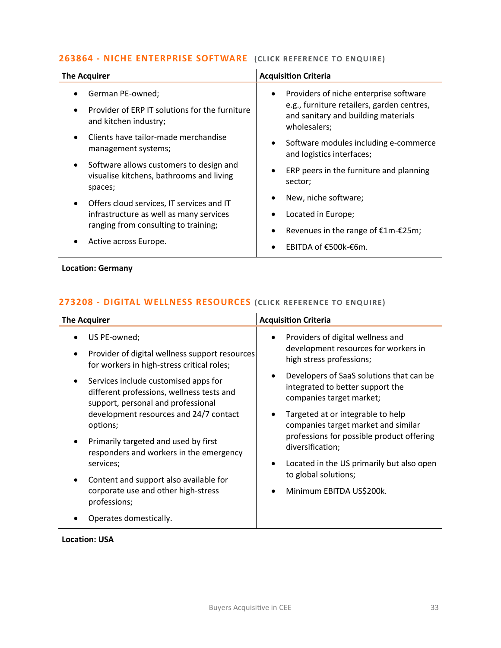### **263864 - NICHE ENTERPRISE SOFTWARE** (CLICK REFERENCE TO ENQUIRE)

| <b>The Acquirer</b>                                                                                         | <b>Acquisition Criteria</b>                                                                       |
|-------------------------------------------------------------------------------------------------------------|---------------------------------------------------------------------------------------------------|
| German PE-owned;                                                                                            | Providers of niche enterprise software<br>$\bullet$                                               |
| Provider of ERP IT solutions for the furniture<br>and kitchen industry;                                     | e.g., furniture retailers, garden centres,<br>and sanitary and building materials<br>wholesalers; |
| Clients have tailor-made merchandise<br>management systems;                                                 | Software modules including e-commerce<br>and logistics interfaces;                                |
| Software allows customers to design and<br>$\bullet$<br>visualise kitchens, bathrooms and living<br>spaces; | ERP peers in the furniture and planning<br>sector;                                                |
| Offers cloud services, IT services and IT<br>$\bullet$                                                      | New, niche software;                                                                              |
| infrastructure as well as many services                                                                     | Located in Europe;                                                                                |
| ranging from consulting to training;                                                                        | Revenues in the range of €1m-€25m;                                                                |
| Active across Europe.                                                                                       | EBITDA of €500k-€6m.                                                                              |
| <b>Location: Germany</b>                                                                                    |                                                                                                   |

# **273208 - [DIGITAL WELLNESS RESOURCES](mailto:george.davies@langcliffeinternational.com?subject=273208%20-%20Digital%20Wellness%20Resources) (CLICK REFERE NCE TO E NQUIRE )**

| <b>The Acquirer</b>                            | <b>Acquisition Criteria</b>               |
|------------------------------------------------|-------------------------------------------|
| US PE-owned;                                   | Providers of digital wellness and         |
| Provider of digital wellness support resources | $\bullet$                                 |
| for workers in high-stress critical roles;     | development resources for workers in      |
| Services include customised apps for           | high stress professions;                  |
| $\bullet$                                      | Developers of SaaS solutions that can be  |
| different professions, wellness tests and      | $\bullet$                                 |
| support, personal and professional             | integrated to better support the          |
| development resources and 24/7 contact         | companies target market;                  |
| options;                                       | Targeted at or integrable to help         |
| Primarily targeted and used by first           | companies target market and similar       |
| responders and workers in the emergency        | professions for possible product offering |
| services;                                      | diversification;                          |
| Content and support also available for         | Located in the US primarily but also open |
| corporate use and other high-stress            | $\bullet$                                 |
| professions;                                   | to global solutions;                      |
| Operates domestically.                         | Minimum EBITDA US\$200k.                  |

**Location: USA**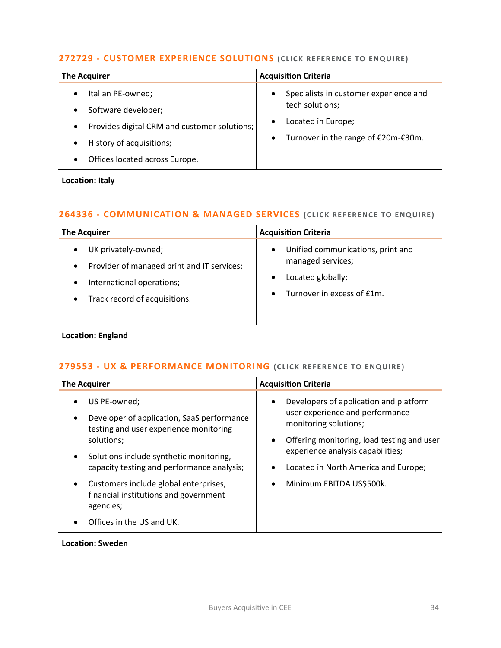### **272729 - [CUSTOMER EXPERIENCE SOLUTIONS](mailto:francesca.morra@langcliffeinternational.com?subject=272729%20-%20Customer%20Experience%20Solutions%20) (CLICK REFERENCE TO ENQUIRE)**

| <b>The Acquirer</b>                                                                                                                                                 | <b>Acquisition Criteria</b>                                                                                                                                   |
|---------------------------------------------------------------------------------------------------------------------------------------------------------------------|---------------------------------------------------------------------------------------------------------------------------------------------------------------|
| Italian PE-owned;<br>Software developer;<br>Provides digital CRM and customer solutions;<br>$\bullet$<br>History of acquisitions;<br>Offices located across Europe. | Specialists in customer experience and<br>$\bullet$<br>tech solutions;<br>Located in Europe;<br>$\bullet$<br>Turnover in the range of €20m-€30m.<br>$\bullet$ |

**Location: Italy**

### **264336 - [COMMUNICATION & MANAGED SERVICES](mailto:ewan.christian@langcliffeinternational.com?subject=264336%20-%20Communication%20and%20Managed%20Services) (CLICK RE FE RENCE TO ENQUIRE)**

| <b>The Acquirer</b>                                                                                                                                                                 | <b>Acquisition Criteria</b>                                                                                                                      |
|-------------------------------------------------------------------------------------------------------------------------------------------------------------------------------------|--------------------------------------------------------------------------------------------------------------------------------------------------|
| UK privately-owned;<br>$\bullet$<br>Provider of managed print and IT services;<br>$\bullet$<br>International operations;<br>$\bullet$<br>Track record of acquisitions.<br>$\bullet$ | Unified communications, print and<br>$\bullet$<br>managed services;<br>Located globally;<br>$\bullet$<br>Turnover in excess of £1m.<br>$\bullet$ |

### **Location: England**

### **279553 - [UX & PERFORMANCE MONITORING](mailto:george.davies@langcliffeinternational.com?subject=279553%20-%20UX%20and%20Performance%20Monitoring) (CLICK REFE RENCE TO E NQUIRE)**

| <b>The Acquirer</b>                                                                                                            | <b>Acquisition Criteria</b>                                                                                     |
|--------------------------------------------------------------------------------------------------------------------------------|-----------------------------------------------------------------------------------------------------------------|
| US PE-owned;<br>$\bullet$<br>Developer of application, SaaS performance<br>$\bullet$<br>testing and user experience monitoring | Developers of application and platform<br>$\bullet$<br>user experience and performance<br>monitoring solutions; |
| solutions;                                                                                                                     | Offering monitoring, load testing and user<br>٠                                                                 |
| Solutions include synthetic monitoring,<br>$\bullet$                                                                           | experience analysis capabilities;                                                                               |
| capacity testing and performance analysis;                                                                                     | Located in North America and Europe;<br>٠                                                                       |
| Customers include global enterprises,<br>$\bullet$<br>financial institutions and government<br>agencies;                       | Minimum EBITDA US\$500k.<br>$\bullet$                                                                           |
| Offices in the US and UK.                                                                                                      |                                                                                                                 |

### **Location: Sweden**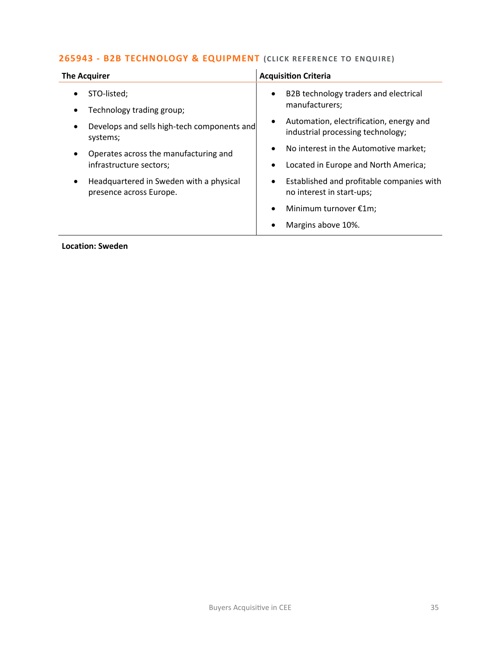### **265943 - [B2B TECHNOLOGY & EQUIPMENT](mailto:joanna.hughes@langcliffeinternational.com?subject=265943%20-%20B2B%20Technology%20and%20Equipment)** (CLICK REFERENCE TO ENQUIRE)

| <b>The Acquirer</b>                                                | <b>Acquisition Criteria</b>                                                               |
|--------------------------------------------------------------------|-------------------------------------------------------------------------------------------|
| STO-listed;<br>Technology trading group;                           | B2B technology traders and electrical<br>$\bullet$<br>manufacturers;                      |
| Develops and sells high-tech components and<br>systems;            | Automation, electrification, energy and<br>$\bullet$<br>industrial processing technology; |
| Operates across the manufacturing and<br>infrastructure sectors;   | No interest in the Automotive market;<br>Located in Europe and North America;             |
| Headquartered in Sweden with a physical<br>presence across Europe. | Established and profitable companies with<br>no interest in start-ups;                    |
|                                                                    | Minimum turnover €1m;                                                                     |
|                                                                    | Margins above 10%.                                                                        |

**Location: Sweden**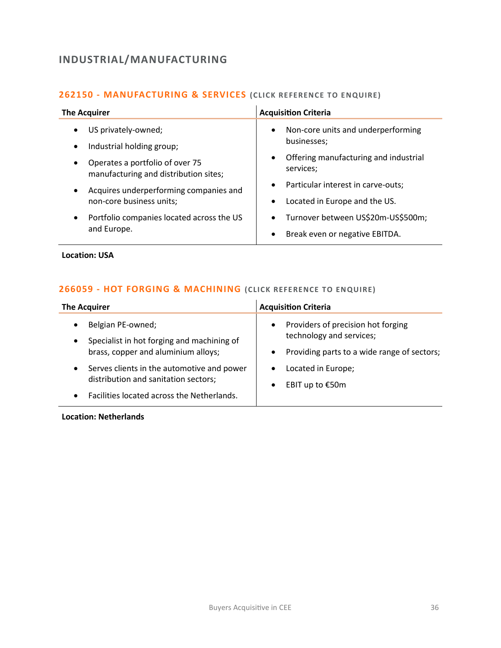## <span id="page-35-0"></span>**INDUSTRIAL/MANUFACTURING**

### **262150 - [MANUFACTURING & SERVICES](mailto:eloka.philip@langcliffeinternational.com?subject=262150%20-%20Manufacturing%20and%20Services) (CLICK RE FERENCE TO E NQUIRE)**

| <b>The Acquirer</b>                                                                   | <b>Acquisition Criteria</b>                                     |
|---------------------------------------------------------------------------------------|-----------------------------------------------------------------|
| US privately-owned;<br>$\bullet$                                                      | Non-core units and underperforming<br>$\bullet$                 |
| Industrial holding group;<br>$\bullet$                                                | businesses;                                                     |
| Operates a portfolio of over 75<br>$\bullet$<br>manufacturing and distribution sites; | Offering manufacturing and industrial<br>$\bullet$<br>services; |
| Acquires underperforming companies and<br>$\bullet$                                   | Particular interest in carve-outs;<br>$\bullet$                 |
| non-core business units;                                                              | Located in Europe and the US.<br>$\bullet$                      |
| Portfolio companies located across the US<br>$\bullet$<br>and Europe.                 | Turnover between US\$20m-US\$500m;<br>$\bullet$                 |
|                                                                                       | Break even or negative EBITDA.<br>$\bullet$                     |
|                                                                                       |                                                                 |

**Location: USA**

### **266059 - [HOT FORGING & MACHINING](mailto:poppy.briggs@langcliffeinternational.com?subject=266059%20-%20Hot%20Forging%20and%20Machining%20) (CLICK REFE RENCE TO ENQUIRE)**

| <b>The Acquirer</b>                                                                                                                                                                                                                                     | <b>Acquisition Criteria</b>                                                                                                                                                                                |
|---------------------------------------------------------------------------------------------------------------------------------------------------------------------------------------------------------------------------------------------------------|------------------------------------------------------------------------------------------------------------------------------------------------------------------------------------------------------------|
| Belgian PE-owned;<br>Specialist in hot forging and machining of<br>$\bullet$<br>brass, copper and aluminium alloys;<br>Serves clients in the automotive and power<br>distribution and sanitation sectors;<br>Facilities located across the Netherlands. | Providers of precision hot forging<br>$\bullet$<br>technology and services;<br>Providing parts to a wide range of sectors;<br>$\bullet$<br>Located in Europe;<br>$\bullet$<br>EBIT up to €50m<br>$\bullet$ |

**Location: Netherlands**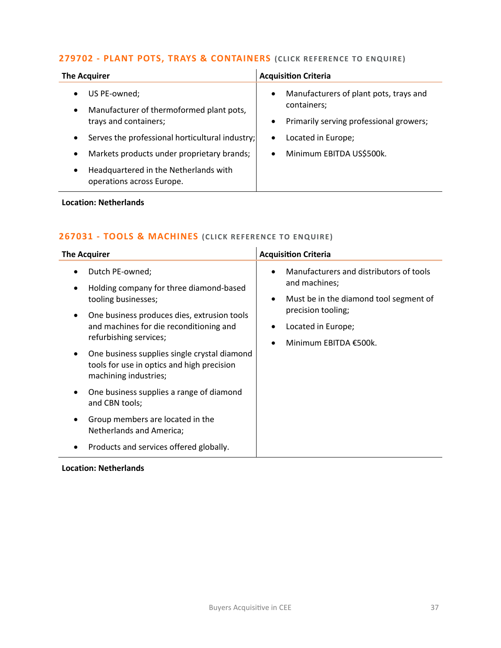# **279702 - [PLANT POTS, TRAYS & CONTAINERS](mailto:george.davies@langcliffeinternational.com?subject=279702%20-%20Plant%20Pots,%20Trays%20and%20Containers)** (CLICK REFERENCE TO ENQUIRE)

| <b>The Acquirer</b>                                                             | <b>Acquisition Criteria</b>                                        |
|---------------------------------------------------------------------------------|--------------------------------------------------------------------|
| US PE-owned;<br>$\bullet$                                                       | Manufacturers of plant pots, trays and<br>$\bullet$<br>containers; |
| Manufacturer of thermoformed plant pots,<br>$\bullet$<br>trays and containers;  | Primarily serving professional growers;<br>$\bullet$               |
| Serves the professional horticultural industry;<br>$\bullet$                    | Located in Europe;<br>$\bullet$                                    |
| Markets products under proprietary brands;<br>$\bullet$                         | Minimum EBITDA US\$500k.<br>$\bullet$                              |
| Headquartered in the Netherlands with<br>$\bullet$<br>operations across Europe. |                                                                    |

### **Location: Netherlands**

# **267031 - [TOOLS & MACHINES](mailto:poppy.briggs@langcliffeinternational.com?subject=267031%20-%20Tools%20and%20Machines%20) (CLICK RE FERENCE TO E NQUIRE)**

| Manufacturers and distributors of tools<br>Dutch PE-owned;<br>and machines;<br>Holding company for three diamond-based<br>٠<br>tooling businesses;<br>Must be in the diamond tool segment of<br>٠<br>precision tooling;<br>One business produces dies, extrusion tools<br>$\bullet$<br>and machines for die reconditioning and<br>Located in Europe;<br>refurbishing services;<br>Minimum EBITDA €500k.<br>One business supplies single crystal diamond<br>٠<br>tools for use in optics and high precision<br>machining industries;<br>One business supplies a range of diamond<br>٠<br>and CBN tools;<br>Group members are located in the<br>Netherlands and America; | <b>The Acquirer</b>                     | <b>Acquisition Criteria</b> |
|------------------------------------------------------------------------------------------------------------------------------------------------------------------------------------------------------------------------------------------------------------------------------------------------------------------------------------------------------------------------------------------------------------------------------------------------------------------------------------------------------------------------------------------------------------------------------------------------------------------------------------------------------------------------|-----------------------------------------|-----------------------------|
|                                                                                                                                                                                                                                                                                                                                                                                                                                                                                                                                                                                                                                                                        | Products and services offered globally. |                             |

## **Location: Netherlands**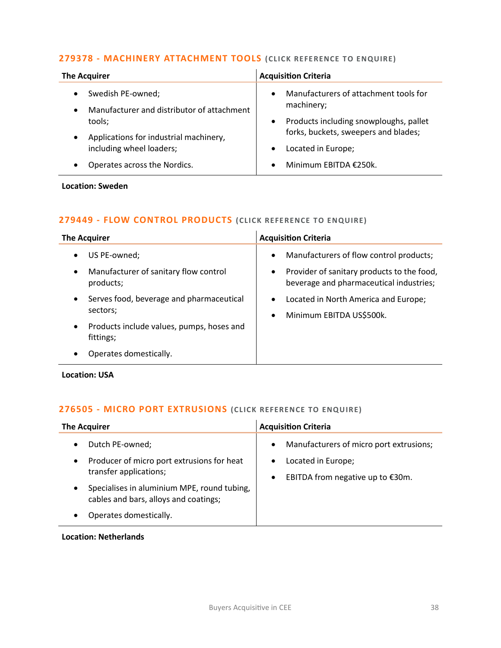## **279378 - [MACHINERY ATTACHMENT TOOLS](mailto:charlotte.keane@langcliffeinternational.com?subject=279378%20-%20Machinery%20Attachment%20Tools) (CLICK REFE RENCE TO ENQUIRE)**

| <b>The Acquirer</b>                                                          | <b>Acquisition Criteria</b>                                                                 |
|------------------------------------------------------------------------------|---------------------------------------------------------------------------------------------|
| Swedish PE-owned;<br>Manufacturer and distributor of attachment<br>$\bullet$ | Manufacturers of attachment tools for<br>$\bullet$<br>machinery;                            |
| tools;                                                                       | Products including snowploughs, pallet<br>$\bullet$<br>forks, buckets, sweepers and blades; |
| Applications for industrial machinery,<br>including wheel loaders;           | Located in Europe;                                                                          |
| Operates across the Nordics.                                                 | Minimum EBITDA €250k.                                                                       |

**Location: Sweden**

## **279449 - [FLOW CONTROL PRODUCTS](mailto:george.davies@langcliffeinternational.com?subject=279449%20-%20Flow%20Control%20Products%20) (CLICK REFE RENCE TO ENQUIRE)**

| The Acquirer                                                        | <b>Acquisition Criteria</b>                                                                        |
|---------------------------------------------------------------------|----------------------------------------------------------------------------------------------------|
| US PE-owned;<br>$\bullet$                                           | Manufacturers of flow control products;<br>$\bullet$                                               |
| Manufacturer of sanitary flow control<br>$\bullet$<br>products;     | Provider of sanitary products to the food,<br>$\bullet$<br>beverage and pharmaceutical industries; |
| Serves food, beverage and pharmaceutical<br>$\bullet$<br>sectors;   | Located in North America and Europe;<br>$\bullet$<br>Minimum EBITDA US\$500k.<br>$\bullet$         |
| Products include values, pumps, hoses and<br>$\bullet$<br>fittings; |                                                                                                    |
| Operates domestically.                                              |                                                                                                    |

## **Location: USA**

## **276505 - [MICRO PORT EXTRUSIONS](mailto:poppy.briggs@langcliffeinternational.com?subject=276505%20-%20Micro%20Port%20Extrusions%20) (CLICK REFERENCE TO ENQUIRE)**

| <b>The Acquirer</b>                                                                       | <b>Acquisition Criteria</b>                                         |
|-------------------------------------------------------------------------------------------|---------------------------------------------------------------------|
| Dutch PE-owned;<br>٠                                                                      | Manufacturers of micro port extrusions;<br>$\bullet$                |
| Producer of micro port extrusions for heat<br>٠<br>transfer applications;                 | Located in Europe;<br>EBITDA from negative up to €30m.<br>$\bullet$ |
| Specialises in aluminium MPE, round tubing,<br>٠<br>cables and bars, alloys and coatings; |                                                                     |
| Operates domestically.                                                                    |                                                                     |

## **Location: Netherlands**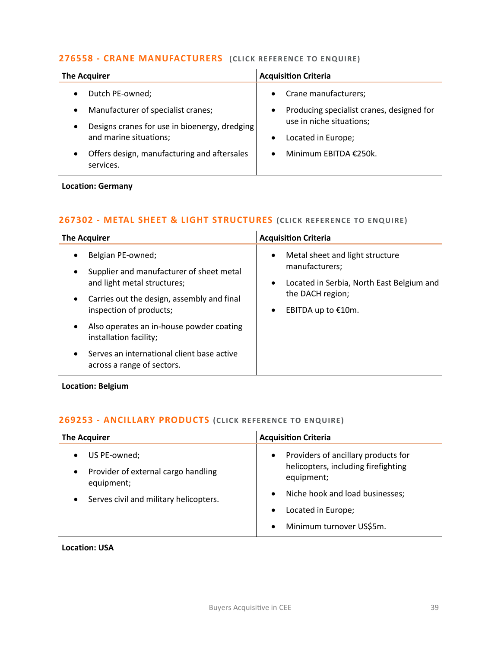## **276558 - [CRANE MANUFACTURERS](mailto:maryia.amrez@langcliffeinternational.com?subject=276558%20-%20Crane%20Manufacturers%20%20) (CLICK RE FERENCE TO E NQUIRE)**

| <b>The Acquirer</b>                                      | <b>Acquisition Criteria</b>                            |
|----------------------------------------------------------|--------------------------------------------------------|
| Dutch PE-owned;                                          | Crane manufacturers;<br>$\bullet$                      |
| Manufacturer of specialist cranes;                       | Producing specialist cranes, designed for<br>$\bullet$ |
| Designs cranes for use in bioenergy, dredging            | use in niche situations;                               |
| and marine situations;                                   | Located in Europe;<br>$\bullet$                        |
| Offers design, manufacturing and aftersales<br>services. | Minimum EBITDA €250k.<br>$\bullet$                     |

# **Location: Germany**

# **267302 - [METAL SHEET & LIGHT STRUCTURES](mailto:poppy.briggs@langcliffeinternational.com?subject=267302%20-%20Metal%20Sheet%20and%20Light%20Structures) (CLICK RE FERENCE TO E NQUIRE)**

| <b>The Acquirer</b>                                                                                            | <b>Acquisition Criteria</b>                                                                                              |
|----------------------------------------------------------------------------------------------------------------|--------------------------------------------------------------------------------------------------------------------------|
| Belgian PE-owned;<br>٠<br>Supplier and manufacturer of sheet metal<br>$\bullet$<br>and light metal structures; | Metal sheet and light structure<br>$\bullet$<br>manufacturers;<br>Located in Serbia, North East Belgium and<br>$\bullet$ |
| Carries out the design, assembly and final<br>$\bullet$<br>inspection of products;                             | the DACH region;<br>EBITDA up to €10m.<br>٠                                                                              |
| Also operates an in-house powder coating<br>$\bullet$<br>installation facility;                                |                                                                                                                          |
| Serves an international client base active<br>$\bullet$<br>across a range of sectors.                          |                                                                                                                          |

**Location: Belgium**

# **269253 - [ANCILLARY PRODUCTS](mailto:george.davies@langcliffeinternational.com?subject=269253%20-%20Ancillary%20Products) (CLICK REFERENCE TO ENQUIRE)**

| <b>The Acquirer</b>                                                                                                   | <b>Acquisition Criteria</b>                                                                                                                                                                                          |
|-----------------------------------------------------------------------------------------------------------------------|----------------------------------------------------------------------------------------------------------------------------------------------------------------------------------------------------------------------|
| US PE-owned;<br>Provider of external cargo handling<br>٠<br>equipment;<br>Serves civil and military helicopters.<br>٠ | Providers of ancillary products for<br>$\bullet$<br>helicopters, including firefighting<br>equipment;<br>Niche hook and load businesses;<br>$\bullet$<br>Located in Europe;<br>Minimum turnover US\$5m.<br>$\bullet$ |
|                                                                                                                       |                                                                                                                                                                                                                      |

**Location: USA**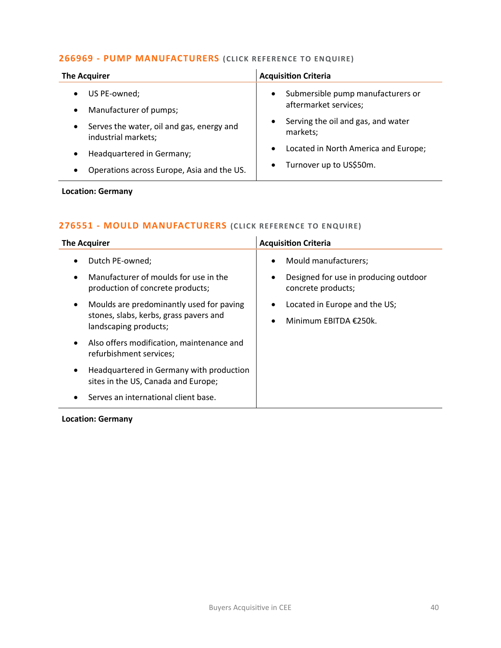## **266969 - [PUMP MANUFACTURERS](mailto:eloka.philip@langcliffeinternational.com?subject=266969%20-%20Pump%20Manufacturers) (CLICK REFERENCE TO ENQUIRE )**

| <b>The Acquirer</b>                                                           | <b>Acquisition Criteria</b>                                             |
|-------------------------------------------------------------------------------|-------------------------------------------------------------------------|
| US PE-owned;<br>$\bullet$                                                     | Submersible pump manufacturers or<br>$\bullet$<br>aftermarket services; |
| Manufacturer of pumps;<br>$\bullet$                                           | Serving the oil and gas, and water                                      |
| Serves the water, oil and gas, energy and<br>$\bullet$<br>industrial markets; | markets;                                                                |
| Headquartered in Germany;<br>٠                                                | Located in North America and Europe;<br>$\bullet$                       |
| Operations across Europe, Asia and the US.<br>٠                               | Turnover up to US\$50m.<br>$\bullet$                                    |

# **Location: Germany**

## **276551 - [MOULD MANUFACTURERS](mailto:maryia.amrez@langcliffeinternational.com?subject=276551%20-%20Mould%20Manufacturers%20) (CLICK REFERENCE TO ENQUIRE)**

| <b>The Acquirer</b>                                                                                                      | <b>Acquisition Criteria</b>                                              |
|--------------------------------------------------------------------------------------------------------------------------|--------------------------------------------------------------------------|
| Dutch PE-owned;<br>٠                                                                                                     | Mould manufacturers;<br>$\bullet$                                        |
| Manufacturer of moulds for use in the<br>$\bullet$<br>production of concrete products;                                   | Designed for use in producing outdoor<br>$\bullet$<br>concrete products; |
| Moulds are predominantly used for paving<br>$\bullet$<br>stones, slabs, kerbs, grass pavers and<br>landscaping products; | Located in Europe and the US;<br>Minimum EBITDA €250k.<br>$\bullet$      |
| Also offers modification, maintenance and<br>$\bullet$<br>refurbishment services;                                        |                                                                          |
| Headquartered in Germany with production<br>$\bullet$<br>sites in the US, Canada and Europe;                             |                                                                          |
| Serves an international client base.<br>$\bullet$                                                                        |                                                                          |

**Location: Germany**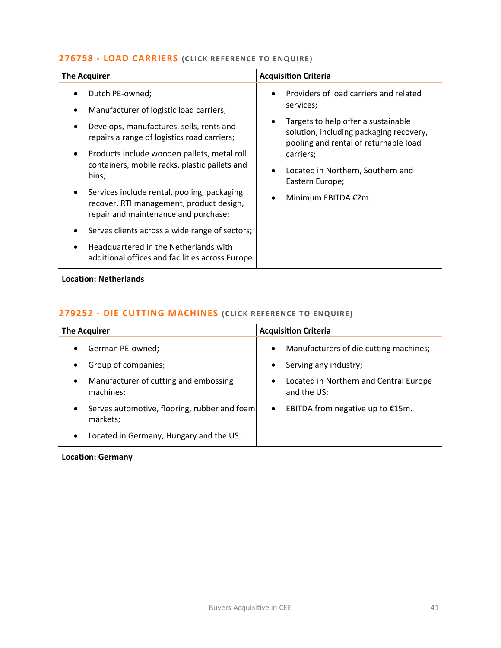## **276758 - [LOAD CARRIERS](mailto:poppy.briggs@langcliffeinternational.com?subject=276758%20-%20Load%20Carriers%20) (CLICK RE FERENCE TO ENQUIRE)**

| <b>The Acquirer</b>                                                                                                                                                                                                                                                                                                                                                                                                                                                                                                                                           | <b>Acquisition Criteria</b>                                                                                                                                                                                                                                                                |
|---------------------------------------------------------------------------------------------------------------------------------------------------------------------------------------------------------------------------------------------------------------------------------------------------------------------------------------------------------------------------------------------------------------------------------------------------------------------------------------------------------------------------------------------------------------|--------------------------------------------------------------------------------------------------------------------------------------------------------------------------------------------------------------------------------------------------------------------------------------------|
| Dutch PE-owned;<br>Manufacturer of logistic load carriers;<br>Develops, manufactures, sells, rents and<br>repairs a range of logistics road carriers;<br>Products include wooden pallets, metal roll<br>$\bullet$<br>containers, mobile racks, plastic pallets and<br>bins;<br>Services include rental, pooling, packaging<br>recover, RTI management, product design,<br>repair and maintenance and purchase;<br>Serves clients across a wide range of sectors;<br>Headquartered in the Netherlands with<br>additional offices and facilities across Europe. | Providers of load carriers and related<br>$\bullet$<br>services;<br>Targets to help offer a sustainable<br>solution, including packaging recovery,<br>pooling and rental of returnable load<br>carriers;<br>Located in Northern, Southern and<br>Eastern Europe;<br>Minimum EBITDA $£2m$ . |

## **Location: Netherlands**

# **279252 - [DIE CUTTING MACHINES](mailto:poppy.briggs@langcliffeinternational.com?subject=279252%20-%20Die%20Cutting%20Machines%20) (CLICK REFERENCE TO ENQUIRE )**

| <b>The Acquirer</b>                                                   | <b>Acquisition Criteria</b>                   |
|-----------------------------------------------------------------------|-----------------------------------------------|
| German PE-owned;                                                      | Manufacturers of die cutting machines;        |
| $\bullet$                                                             | $\bullet$                                     |
| Group of companies;                                                   | Serving any industry;                         |
| $\bullet$                                                             | $\bullet$                                     |
| Manufacturer of cutting and embossing                                 | Located in Northern and Central Europe        |
| $\bullet$                                                             | $\bullet$                                     |
| machines;                                                             | and the US;                                   |
| Serves automotive, flooring, rubber and foam<br>$\bullet$<br>markets; | EBITDA from negative up to €15m.<br>$\bullet$ |
| Located in Germany, Hungary and the US.<br>$\bullet$                  |                                               |

**Location: Germany**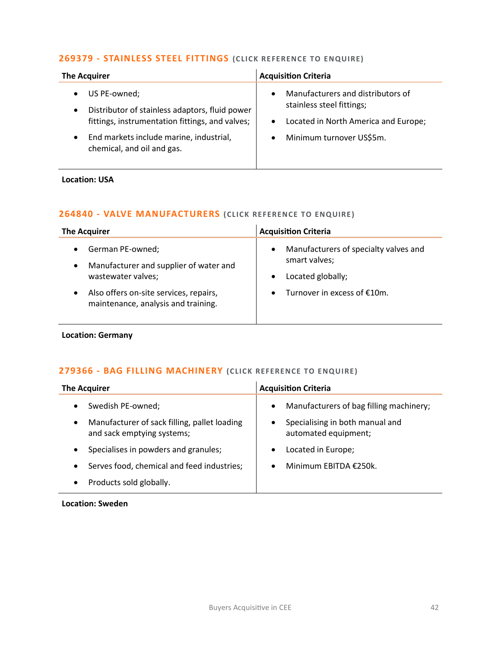## **269379 - [STAINLESS STEEL FITTINGS](mailto:george.davies@langcliffeinternational.com?subject=269379%20-%20Stainless%20Steel%20Fittings%20) (CLICK RE FERENCE TO E NQUIRE)**

| <b>The Acquirer</b>                                                                                                            | <b>Acquisition Criteria</b>                                                                                                      |
|--------------------------------------------------------------------------------------------------------------------------------|----------------------------------------------------------------------------------------------------------------------------------|
| US PE-owned;<br>Distributor of stainless adaptors, fluid power<br>$\bullet$<br>fittings, instrumentation fittings, and valves; | Manufacturers and distributors of<br>$\bullet$<br>stainless steel fittings;<br>Located in North America and Europe;<br>$\bullet$ |
| End markets include marine, industrial,<br>$\bullet$<br>chemical, and oil and gas.                                             | Minimum turnover US\$5m.<br>$\bullet$                                                                                            |

#### **Location: USA**

## **264840 - [VALVE MANUFACTURERS](mailto:maryia.amrez@langcliffeinternational.com?subject=264840%20-%20Valve%20Manufacturers%20) (CLICK REFERENCE TO ENQUIRE )**

| <b>The Acquirer</b>                                                                                        | <b>Acquisition Criteria</b>                                                                           |
|------------------------------------------------------------------------------------------------------------|-------------------------------------------------------------------------------------------------------|
| German PE-owned;<br>$\bullet$<br>Manufacturer and supplier of water and<br>$\bullet$<br>wastewater valves; | Manufacturers of specialty valves and<br>$\bullet$<br>smart valves;<br>Located globally;<br>$\bullet$ |
| Also offers on-site services, repairs,<br>$\bullet$<br>maintenance, analysis and training.                 | Turnover in excess of €10m.<br>$\bullet$                                                              |

## **Location: Germany**

# **279366 - [BAG FILLING MACHINERY](mailto:charlotte.keane@langcliffeinternational.com?subject=279366%20-%20Bag%20Filling%20Machinery%20) (CLICK REFERENCE TO E NQUIRE )**

| <b>The Acquirer</b>                                                                                          | <b>Acquisition Criteria</b>                                                                                     |
|--------------------------------------------------------------------------------------------------------------|-----------------------------------------------------------------------------------------------------------------|
| Swedish PE-owned;<br>Manufacturer of sack filling, pallet loading<br>$\bullet$<br>and sack emptying systems; | Manufacturers of bag filling machinery;<br>$\bullet$<br>Specialising in both manual and<br>automated equipment; |
| Specialises in powders and granules;                                                                         | Located in Europe;<br>$\bullet$                                                                                 |
| Serves food, chemical and feed industries;                                                                   | Minimum EBITDA €250k.                                                                                           |
| Products sold globally.                                                                                      |                                                                                                                 |
|                                                                                                              |                                                                                                                 |

#### **Location: Sweden**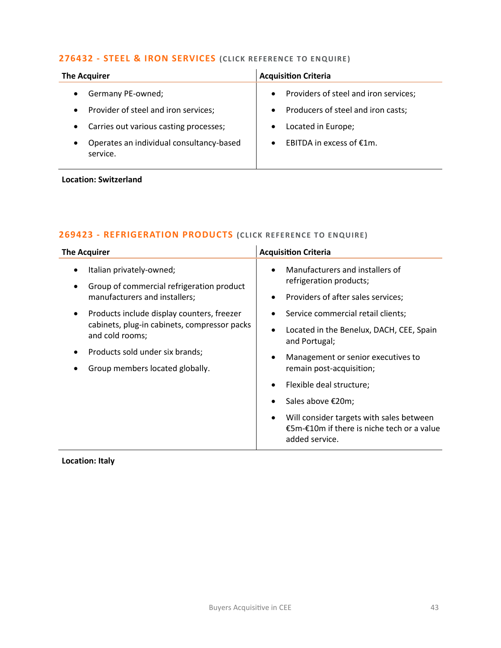# **276432 - [STEEL & IRON SERVICES](mailto:poppy.briggs@langcliffeinternational.com?subject=276432%20-%20Steel%20and%20Iron%20Services%20) (CLICK REFERENCE TO ENQUIRE )**

| <b>The Acquirer</b>                                               | <b>Acquisition Criteria</b>                        |
|-------------------------------------------------------------------|----------------------------------------------------|
| Germany PE-owned;                                                 | Providers of steel and iron services;<br>$\bullet$ |
| Provider of steel and iron services;<br>$\bullet$                 | Producers of steel and iron casts;<br>$\bullet$    |
| Carries out various casting processes;                            | Located in Europe;                                 |
| Operates an individual consultancy-based<br>$\bullet$<br>service. | EBITDA in excess of €1m.<br>$\bullet$              |

#### **Location: Switzerland**

# **269423 - [REFRIGERATION PRODUCTS](mailto:francesca.morra@langcliffeinternational.com?subject=269423%20-%20Refrigeration%20Products%20) (CLICK REFE RENCE TO ENQUIRE)**

| <b>The Acquirer</b>                                                                                                | <b>Acquisition Criteria</b>                                                                                   |
|--------------------------------------------------------------------------------------------------------------------|---------------------------------------------------------------------------------------------------------------|
| Italian privately-owned;                                                                                           | Manufacturers and installers of<br>$\bullet$                                                                  |
| Group of commercial refrigeration product                                                                          | refrigeration products;                                                                                       |
| manufacturers and installers;                                                                                      | Providers of after sales services;<br>$\bullet$                                                               |
| Products include display counters, freezer<br>٠<br>cabinets, plug-in cabinets, compressor packs<br>and cold rooms; | Service commercial retail clients;                                                                            |
|                                                                                                                    | Located in the Benelux, DACH, CEE, Spain<br>$\bullet$<br>and Portugal;                                        |
| Products sold under six brands;                                                                                    | Management or senior executives to                                                                            |
| Group members located globally.                                                                                    | remain post-acquisition;                                                                                      |
|                                                                                                                    | Flexible deal structure;<br>$\bullet$                                                                         |
|                                                                                                                    | Sales above €20m;                                                                                             |
|                                                                                                                    | Will consider targets with sales between<br>٠<br>€5m-€10m if there is niche tech or a value<br>added service. |

**Location: Italy**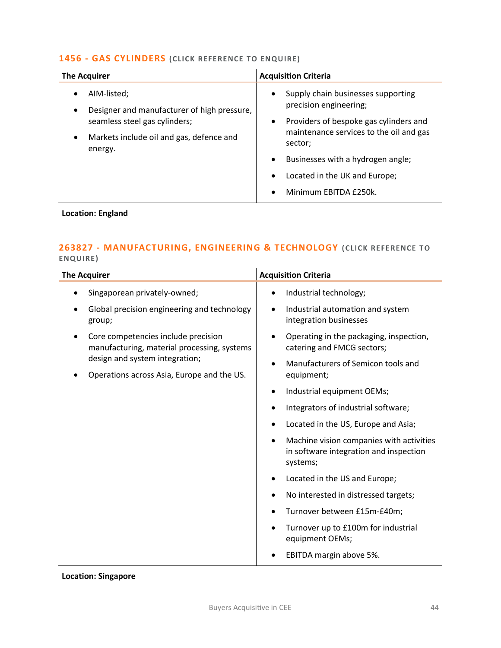## **1456 - [GAS CYLINDERS](mailto:jack.hutchinson@langcliffeinternational.com?subject=1456%20-%20Gas%20Cylinders) (CLICK REFE RENCE TO ENQUIRE)**

| <b>The Acquirer</b>                                                                                                                                                               | <b>Acquisition Criteria</b>                                                                                                                                                                                                                                                                                          |
|-----------------------------------------------------------------------------------------------------------------------------------------------------------------------------------|----------------------------------------------------------------------------------------------------------------------------------------------------------------------------------------------------------------------------------------------------------------------------------------------------------------------|
| AIM-listed;<br>٠<br>Designer and manufacturer of high pressure,<br>$\bullet$<br>seamless steel gas cylinders;<br>Markets include oil and gas, defence and<br>$\bullet$<br>energy. | Supply chain businesses supporting<br>$\bullet$<br>precision engineering;<br>Providers of bespoke gas cylinders and<br>٠<br>maintenance services to the oil and gas<br>sector;<br>Businesses with a hydrogen angle;<br>$\bullet$<br>Located in the UK and Europe;<br>$\bullet$<br>Minimum EBITDA £250k.<br>$\bullet$ |

# **Location: England**

# **263827 - [MANUFACTURING, ENGINEERING & TECHNOLOGY](mailto:emily.mcdermott@langcliffeinternational.com?subject=263827%20-%20Manufacturing,%20Engineering%20and%20Technology) (CLICK REFERENCE TO ENQUIRE )**

| <b>The Acquirer</b>                                                                                                                                                |                                                       |                                                                       | <b>Acquisition Criteria</b>                                                                    |
|--------------------------------------------------------------------------------------------------------------------------------------------------------------------|-------------------------------------------------------|-----------------------------------------------------------------------|------------------------------------------------------------------------------------------------|
|                                                                                                                                                                    | Singaporean privately-owned;                          | $\bullet$                                                             | Industrial technology;                                                                         |
|                                                                                                                                                                    | Global precision engineering and technology<br>group; | $\bullet$                                                             | Industrial automation and system<br>integration businesses                                     |
| Core competencies include precision<br>manufacturing, material processing, systems<br>design and system integration;<br>Operations across Asia, Europe and the US. | $\bullet$                                             | Operating in the packaging, inspection,<br>catering and FMCG sectors; |                                                                                                |
|                                                                                                                                                                    |                                                       | Manufacturers of Semicon tools and<br>equipment;                      |                                                                                                |
|                                                                                                                                                                    |                                                       | ٠                                                                     | Industrial equipment OEMs;                                                                     |
|                                                                                                                                                                    |                                                       |                                                                       | Integrators of industrial software;                                                            |
|                                                                                                                                                                    |                                                       |                                                                       | Located in the US, Europe and Asia;                                                            |
|                                                                                                                                                                    |                                                       |                                                                       | Machine vision companies with activities<br>in software integration and inspection<br>systems; |
|                                                                                                                                                                    |                                                       | $\bullet$                                                             | Located in the US and Europe;                                                                  |
|                                                                                                                                                                    |                                                       |                                                                       | No interested in distressed targets;                                                           |
|                                                                                                                                                                    |                                                       |                                                                       | Turnover between £15m-£40m;                                                                    |
|                                                                                                                                                                    |                                                       |                                                                       | Turnover up to £100m for industrial<br>equipment OEMs;                                         |
|                                                                                                                                                                    |                                                       |                                                                       | EBITDA margin above 5%.                                                                        |

## **Location: Singapore**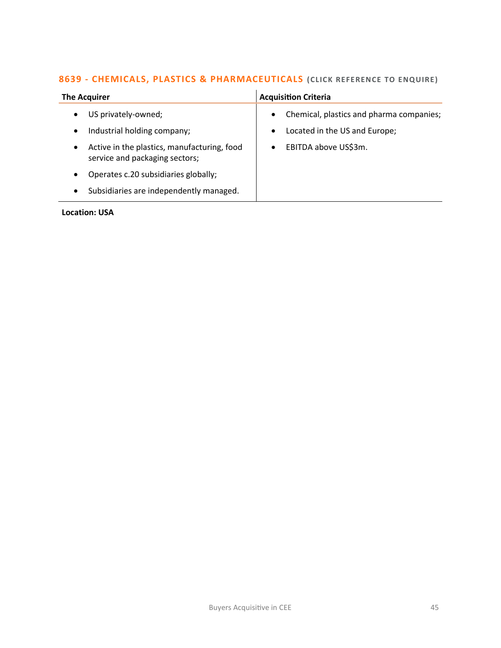#### **8639 - [CHEMICALS, PLASTICS & PHARMACEUTICALS](mailto:george.davies@langcliffeinternational.com?subject=8639%20-%20Chemicals,%20Plastics%20and%20Pharmaceuticals)** (CLICK REFERENCE TO ENQUIRE)  $\mathcal{L}$

| <b>The Acquirer</b>                                                                        | <b>Acquisition Criteria</b>                           |
|--------------------------------------------------------------------------------------------|-------------------------------------------------------|
| US privately-owned;<br>$\bullet$                                                           | Chemical, plastics and pharma companies;<br>$\bullet$ |
| Industrial holding company;<br>$\bullet$                                                   | Located in the US and Europe;<br>$\bullet$            |
| Active in the plastics, manufacturing, food<br>$\bullet$<br>service and packaging sectors; | EBITDA above US\$3m.<br>$\bullet$                     |
| Operates c.20 subsidiaries globally;<br>$\bullet$                                          |                                                       |
| Subsidiaries are independently managed.<br>٠                                               |                                                       |

## **Location: USA**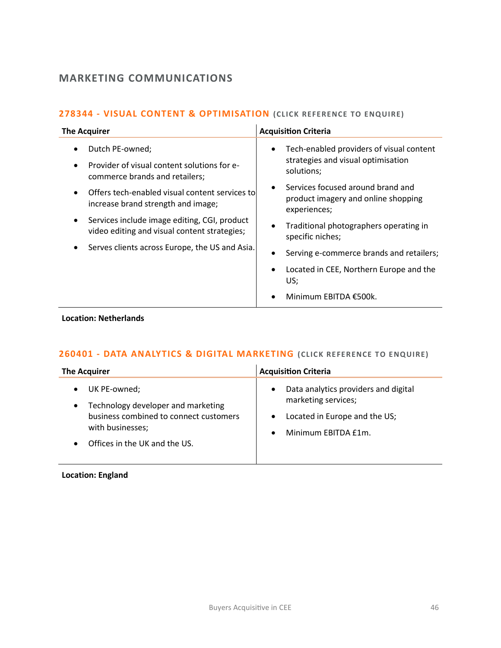# **MARKETING COMMUNICATIONS**

# **278344 - [VISUAL CONTENT & OPTIMISATION](mailto:poppy.briggs@langcliffeinternational.com?subject=278344%20-%20Visual%20Content%20and%20Optimisation)** (CLICK REFERENCE TO ENQUIRE)

| <b>The Acquirer</b>                                                                              | <b>Acquisition Criteria</b>                                                                  |
|--------------------------------------------------------------------------------------------------|----------------------------------------------------------------------------------------------|
| Dutch PE-owned;<br>Provider of visual content solutions for e-<br>commerce brands and retailers; | Tech-enabled providers of visual content<br>strategies and visual optimisation<br>solutions; |
| Offers tech-enabled visual content services to<br>increase brand strength and image;             | Services focused around brand and<br>product imagery and online shopping<br>experiences;     |
| Services include image editing, CGI, product<br>video editing and visual content strategies;     | Traditional photographers operating in<br>specific niches;                                   |
| Serves clients across Europe, the US and Asia.                                                   | Serving e-commerce brands and retailers;                                                     |
|                                                                                                  | Located in CEE, Northern Europe and the<br>US;                                               |
|                                                                                                  | Minimum EBITDA €500k.                                                                        |

### **Location: Netherlands**

# **260401 - [DATA ANALYTICS & DIGITAL MARKETING](mailto:maryia.amrez@langcliffeinternational.com?subject=260401%20-%20Data%20Analytics%20and%20Digital%20Marketing%20) (CLICK RE FERENCE TO E NQUIRE)**

| The Acquirer                           | <b>Acquisition Criteria</b>          |
|----------------------------------------|--------------------------------------|
| UK PE-owned;                           | Data analytics providers and digital |
| $\bullet$                              | $\bullet$                            |
| Technology developer and marketing     | marketing services;                  |
| $\bullet$                              | Located in Europe and the US;        |
| business combined to connect customers | $\bullet$                            |
| with businesses;                       | Minimum EBITDA £1m.                  |
| Offices in the UK and the US.          | $\bullet$                            |

# **Location: England**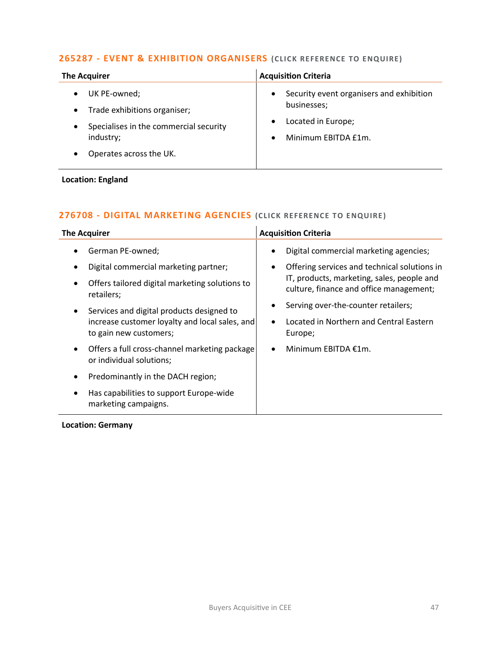# **265287 - [EVENT & EXHIBITION ORGANISERS](mailto:emily.mcdermott@langcliffeinternational.com?subject=265287%20-%20Event%20and%20Exhibition%20Organisers)** (CLICK REFERENCE TO ENQUIRE)

| <b>The Acquirer</b>                    | <b>Acquisition Criteria</b>              |
|----------------------------------------|------------------------------------------|
| UK PE-owned;                           | Security event organisers and exhibition |
| Trade exhibitions organiser;           | $\bullet$                                |
| $\bullet$                              | businesses;                              |
| Specialises in the commercial security | Located in Europe;                       |
| $\bullet$                              | $\bullet$                                |
| industry;                              | Minimum EBITDA £1m.                      |
| Operates across the UK.                | $\bullet$                                |

## **Location: England**

# **276708 - [DIGITAL MARKETING AGENCIES](mailto:poppy.briggs@langcliffeinternational.com?subject=276708%20-%20Digital%20Marketing%20Agencies) (CLICK REFERE NCE TO E NQUIRE )**

| <b>The Acquirer</b>                                                                    | <b>Acquisition Criteria</b>                                                           |
|----------------------------------------------------------------------------------------|---------------------------------------------------------------------------------------|
| German PE-owned;<br>$\bullet$                                                          | Digital commercial marketing agencies;                                                |
| Digital commercial marketing partner;                                                  | Offering services and technical solutions in                                          |
| Offers tailored digital marketing solutions to<br>٠<br>retailers;                      | IT, products, marketing, sales, people and<br>culture, finance and office management; |
| Services and digital products designed to<br>$\bullet$                                 | Serving over-the-counter retailers;                                                   |
| increase customer loyalty and local sales, and<br>to gain new customers;               | Located in Northern and Central Eastern<br>Europe;                                    |
| Offers a full cross-channel marketing package<br>$\bullet$<br>or individual solutions; | Minimum EBITDA €1m.                                                                   |
| Predominantly in the DACH region;<br>$\bullet$                                         |                                                                                       |
| Has capabilities to support Europe-wide<br>$\bullet$<br>marketing campaigns.           |                                                                                       |

#### **Location: Germany**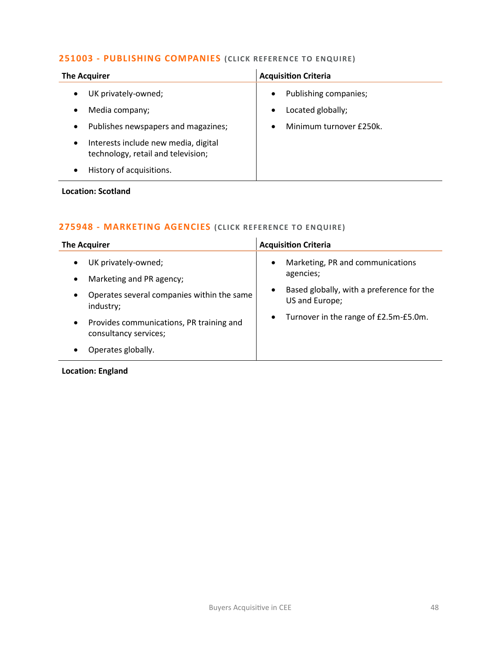# **251003 - [PUBLISHING COMPANIES](mailto:katie.griffith@langcliffeinternational.com?subject=251003%20-%20Publishing%20Companies%20) (CLICK REFERENCE TO E NQUIRE )**

| <b>The Acquirer</b>                                                                     | <b>Acquisition Criteria</b> |
|-----------------------------------------------------------------------------------------|-----------------------------|
| UK privately-owned;                                                                     | Publishing companies;       |
| $\bullet$                                                                               | $\bullet$                   |
| Media company;                                                                          | Located globally;           |
| $\bullet$                                                                               | $\bullet$                   |
| Publishes newspapers and magazines;                                                     | Minimum turnover £250k.     |
| $\bullet$                                                                               | $\bullet$                   |
| Interests include new media, digital<br>$\bullet$<br>technology, retail and television; |                             |
| History of acquisitions.<br>$\bullet$                                                   |                             |

## **Location: Scotland**

# **275948 - [MARKETING AGENCIES](mailto:jack.hutchinson@langcliffeinternational.com?subject=275948%20-%20Marketing%20Agencies) (CLICK RE FERENCE TO ENQUIRE )**

| <b>The Acquirer</b>                                                            | <b>Acquisition Criteria</b>                                              |
|--------------------------------------------------------------------------------|--------------------------------------------------------------------------|
| UK privately-owned;<br>$\bullet$<br>Marketing and PR agency;<br>$\bullet$      | Marketing, PR and communications<br>$\bullet$<br>agencies;               |
| Operates several companies within the same<br>$\bullet$<br>industry;           | Based globally, with a preference for the<br>$\bullet$<br>US and Europe; |
| Provides communications, PR training and<br>$\bullet$<br>consultancy services; | Turnover in the range of £2.5m-£5.0m.<br>$\bullet$                       |
| Operates globally.<br>٠                                                        |                                                                          |

# **Location: England**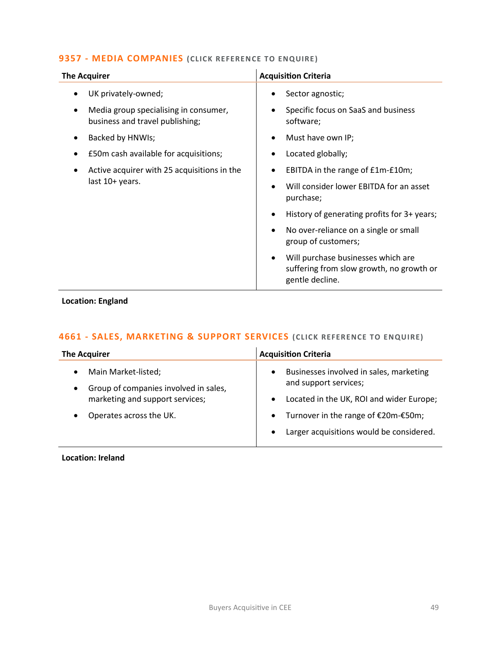## **9357 - [MEDIA COMPANIES](mailto:katie.griffith@langcliffeinternational.com?subject=9357%20-%20Media%20Companies%20)** (CLICK REFERENCE TO ENQUIRE)

| <b>The Acquirer</b>                                                           | <b>Acquisition Criteria</b>                                                                                    |
|-------------------------------------------------------------------------------|----------------------------------------------------------------------------------------------------------------|
| UK privately-owned;                                                           | Sector agnostic;                                                                                               |
| Media group specialising in consumer,<br>٠<br>business and travel publishing; | Specific focus on SaaS and business<br>$\bullet$<br>software;                                                  |
| Backed by HNWIs;<br>$\bullet$                                                 | Must have own IP;<br>٠                                                                                         |
| £50m cash available for acquisitions;                                         | Located globally;<br>٠                                                                                         |
| Active acquirer with 25 acquisitions in the<br>last 10+ years.                | EBITDA in the range of £1m-£10m;                                                                               |
|                                                                               | Will consider lower EBITDA for an asset<br>purchase;                                                           |
|                                                                               | History of generating profits for 3+ years;<br>٠                                                               |
|                                                                               | No over-reliance on a single or small<br>group of customers;                                                   |
|                                                                               | Will purchase businesses which are<br>$\bullet$<br>suffering from slow growth, no growth or<br>gentle decline. |

**Location: England**

# **4661 - [SALES, MARKETING & SUPPORT SERVICES](mailto:ola.ahmed@langcliffeinternational.com?subject=4661%20-%20Sales,%20Marketing%20and%20Support%20Services) (CLICK REFERENCE TO E NQUIRE)**

| <b>The Acquirer</b>                                                                                                       | <b>Acquisition Criteria</b>                                                   |
|---------------------------------------------------------------------------------------------------------------------------|-------------------------------------------------------------------------------|
| Main Market-listed;<br>$\bullet$<br>Group of companies involved in sales,<br>$\bullet$<br>marketing and support services; | Businesses involved in sales, marketing<br>$\bullet$<br>and support services; |
|                                                                                                                           | Located in the UK, ROI and wider Europe;<br>$\bullet$                         |
| Operates across the UK.<br>$\bullet$                                                                                      | Turnover in the range of €20m-€50m;<br>$\bullet$                              |
|                                                                                                                           | Larger acquisitions would be considered.<br>$\bullet$                         |

**Location: Ireland**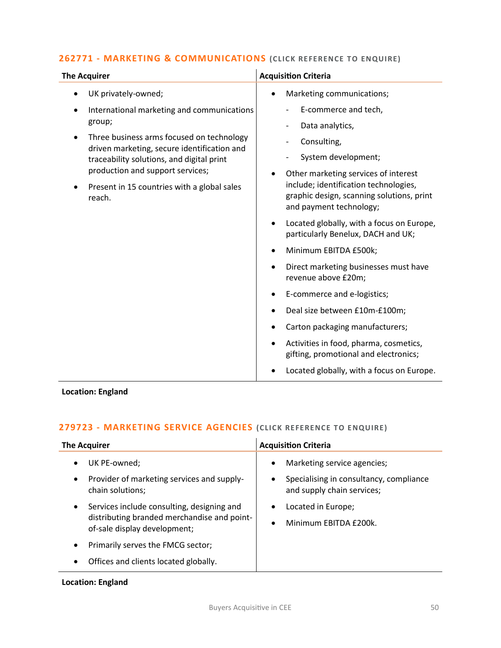# **262771 - [MARKETING & COMMUNICATIONS](mailto:poppy.briggs@langcliffeinternational.com?subject=262771%20-%20Marketing%20and%20Communications) (CLICK RE FERENCE TO ENQUIRE)**

| <b>The Acquirer</b>                                                                                                                                                                                                                | <b>Acquisition Criteria</b>                                                                                                                                                                                                                                                                                                                                                                                                                                                                                                                                                                                                                                      |
|------------------------------------------------------------------------------------------------------------------------------------------------------------------------------------------------------------------------------------|------------------------------------------------------------------------------------------------------------------------------------------------------------------------------------------------------------------------------------------------------------------------------------------------------------------------------------------------------------------------------------------------------------------------------------------------------------------------------------------------------------------------------------------------------------------------------------------------------------------------------------------------------------------|
| UK privately-owned;                                                                                                                                                                                                                | Marketing communications;<br>$\bullet$                                                                                                                                                                                                                                                                                                                                                                                                                                                                                                                                                                                                                           |
| International marketing and communications<br>group;                                                                                                                                                                               | E-commerce and tech,<br>Data analytics,                                                                                                                                                                                                                                                                                                                                                                                                                                                                                                                                                                                                                          |
| Three business arms focused on technology<br>driven marketing, secure identification and<br>traceability solutions, and digital print<br>production and support services;<br>Present in 15 countries with a global sales<br>reach. | Consulting,<br>System development;<br>$\overline{\phantom{a}}$<br>Other marketing services of interest<br>include; identification technologies,<br>graphic design, scanning solutions, print<br>and payment technology;<br>Located globally, with a focus on Europe,<br>$\bullet$<br>particularly Benelux, DACH and UK;<br>Minimum EBITDA £500k;<br>Direct marketing businesses must have<br>$\bullet$<br>revenue above £20m;<br>E-commerce and e-logistics;<br>Deal size between £10m-£100m;<br>Carton packaging manufacturers;<br>Activities in food, pharma, cosmetics,<br>gifting, promotional and electronics;<br>Located globally, with a focus on Europe. |

**Location: England**

# **279723 - [MARKETING SERVICE AGENCIES](mailto:maryia.amrez@langcliffeinternational.com?subject=279723%20-%20Marketing%20Service%20Agencies) (CLICK REFERE NCE TO E NQUIRE )**

| <b>The Acquirer</b>                                                                                                                    | <b>Acquisition Criteria</b>                                                                               |
|----------------------------------------------------------------------------------------------------------------------------------------|-----------------------------------------------------------------------------------------------------------|
| UK PE-owned;<br>٠<br>Provider of marketing services and supply-<br>$\bullet$<br>chain solutions;                                       | Marketing service agencies;<br>٠<br>Specialising in consultancy, compliance<br>and supply chain services; |
| Services include consulting, designing and<br>$\bullet$<br>distributing branded merchandise and point-<br>of-sale display development; | Located in Europe;<br>Minimum EBITDA £200k.                                                               |
| Primarily serves the FMCG sector;<br>٠                                                                                                 |                                                                                                           |
| Offices and clients located globally.                                                                                                  |                                                                                                           |

# **Location: England**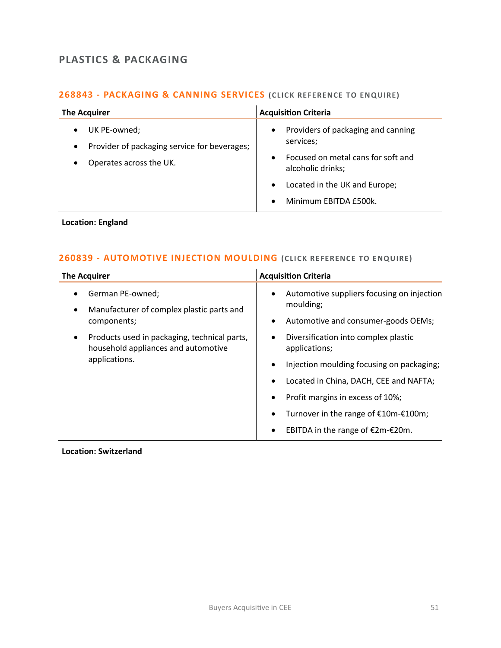# **PLASTICS & PACKAGING**

# **268843 - [PACKAGING & CANNING SERVICES](mailto:emily.mcdermott@langcliffeinternational.com?subject=268843%20-%20Packaging%20and%20Canning%20Services) (CLICK RE FERENCE TO ENQUIRE)**

| <b>The Acquirer</b>                                                                                  | <b>Acquisition Criteria</b>                                                                                                          |
|------------------------------------------------------------------------------------------------------|--------------------------------------------------------------------------------------------------------------------------------------|
| UK PE-owned;<br>Provider of packaging service for beverages;<br>$\bullet$<br>Operates across the UK. | Providers of packaging and canning<br>$\bullet$<br>services;<br>Focused on metal cans for soft and<br>$\bullet$<br>alcoholic drinks; |
|                                                                                                      | Located in the UK and Europe;<br>$\bullet$<br>Minimum EBITDA £500k.<br>$\bullet$                                                     |

# **Location: England**

# **260839 - [AUTOMOTIVE INJECTION MOULDING](mailto:poppy.briggs@langcliffeinternational.com?subject=260839%20-%20Automotive%20Injection%20Moulding%20)** (CLICK REFERENCE TO ENQUIRE)

## **Location: Switzerland**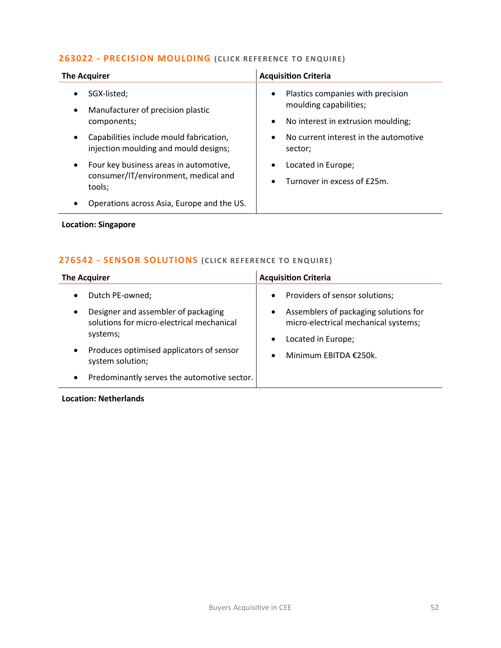## **263022 - [PRECISION MOULDING](mailto:emily.mcdermott@langcliffeinternational.com?subject=263022%20-%20Precision%20Moulding%20)** (CLICK REFERENCE TO ENQUIRE)

| <b>The Acquirer</b>                                                                                   | <b>Acquisition Criteria</b>                                                                                         |
|-------------------------------------------------------------------------------------------------------|---------------------------------------------------------------------------------------------------------------------|
| SGX-listed;<br>٠<br>Manufacturer of precision plastic<br>$\bullet$<br>components;                     | Plastics companies with precision<br>$\bullet$<br>moulding capabilities;<br>No interest in extrusion moulding;<br>٠ |
| Capabilities include mould fabrication,<br>injection moulding and mould designs;                      | No current interest in the automotive<br>$\bullet$<br>sector;                                                       |
| Four key business areas in automotive,<br>$\bullet$<br>consumer/IT/environment, medical and<br>tools; | Located in Europe;<br>$\bullet$<br>Turnover in excess of £25m.<br>$\bullet$                                         |
| Operations across Asia, Europe and the US.                                                            |                                                                                                                     |
| <b>Location: Singapore</b>                                                                            |                                                                                                                     |

# **276542 - [SENSOR SOLUTIONS](mailto:maryia.amrez@langcliffeinternational.com?subject=276542%20-%20Sensor%20Solutions) (CLICK RE FERENCE TO E NQUIRE)**

| <b>The Acquirer</b>                         | <b>Acquisition Criteria</b>           |
|---------------------------------------------|---------------------------------------|
| Dutch PE-owned;                             | Providers of sensor solutions;        |
| Designer and assembler of packaging         | $\bullet$                             |
| $\bullet$                                   | Assemblers of packaging solutions for |
| solutions for micro-electrical mechanical   | $\bullet$                             |
| systems;                                    | micro-electrical mechanical systems;  |
| Produces optimised applicators of sensor    | Located in Europe;                    |
| $\bullet$                                   | $\bullet$                             |
| system solution;                            | Minimum EBITDA €250k.                 |
| Predominantly serves the automotive sector. | $\bullet$                             |

## **Location: Netherlands**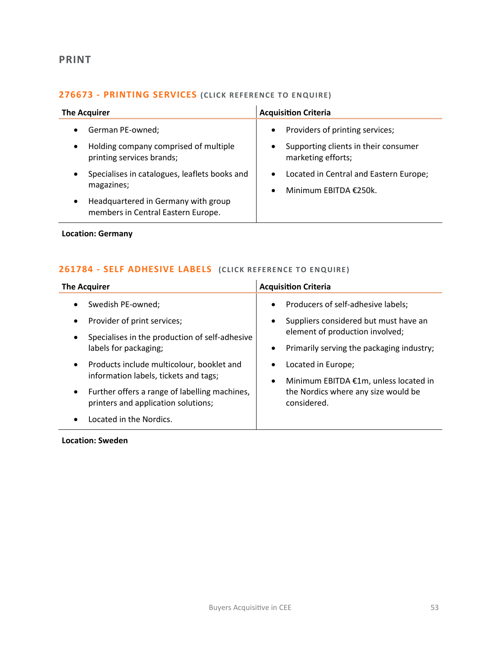# **PRINT**

# **276673 - [PRINTING SERVICES](mailto:poppy.briggs@langcliffeinternational.com?subject=276673%20-%20Printing%20Services%20) (CLICK REFERENCE TO E NQUIRE)**

| <b>The Acquirer</b>                                                                                 | <b>Acquisition Criteria</b>                                                                                |
|-----------------------------------------------------------------------------------------------------|------------------------------------------------------------------------------------------------------------|
| German PE-owned:<br>Holding company comprised of multiple<br>$\bullet$<br>printing services brands; | Providers of printing services;<br>$\bullet$<br>Supporting clients in their consumer<br>marketing efforts; |
| Specialises in catalogues, leaflets books and<br>magazines;                                         | Located in Central and Eastern Europe;<br>$\bullet$<br>Minimum EBITDA €250k.                               |
| Headquartered in Germany with group<br>$\bullet$<br>members in Central Eastern Europe.              |                                                                                                            |

**Location: Germany**

# **261784 - [SELF ADHESIVE LABELS](mailto:charlotte.keane@langcliffeinternational.com?subject=261784%20-%20Self%20Adhesive%20Labels%20) (CLICK REFERENCE TO ENQUIRE )**

| <b>The Acquirer</b>                            | <b>Acquisition Criteria</b>               |
|------------------------------------------------|-------------------------------------------|
| Swedish PE-owned;                              | Producers of self-adhesive labels;        |
| $\bullet$                                      | $\bullet$                                 |
| Provider of print services;                    | Suppliers considered but must have an     |
| $\bullet$                                      | $\bullet$                                 |
| Specialises in the production of self-adhesive | element of production involved;           |
| $\bullet$                                      | Primarily serving the packaging industry; |
| labels for packaging;                          | $\bullet$                                 |
| Products include multicolour, booklet and      | Located in Europe;                        |
| $\bullet$                                      | $\bullet$                                 |
| information labels, tickets and tags;          | Minimum EBITDA €1m, unless located in     |
| Further offers a range of labelling machines,  | $\bullet$                                 |
| $\bullet$                                      | the Nordics where any size would be       |
| printers and application solutions;            | considered.                               |
| Located in the Nordics.                        |                                           |

**Location: Sweden**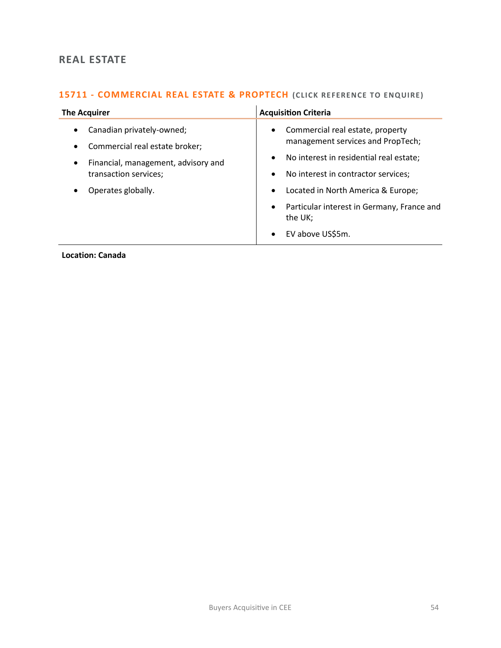# **REAL ESTATE**

# **15711 - [COMMERCIAL REAL ESTATE & PROPTECH](mailto:eloka.philip@langcliffeinternational.com?subject=15711%20-%20Commercial%20Real%20Estate%20and%20PropTech) (CLICK REFERENCE TO ENQUIRE)**

| <b>The Acquirer</b>                                                                                                                                                                      | <b>Acquisition Criteria</b>                                                                                                                                                                                                                                                                                                                              |
|------------------------------------------------------------------------------------------------------------------------------------------------------------------------------------------|----------------------------------------------------------------------------------------------------------------------------------------------------------------------------------------------------------------------------------------------------------------------------------------------------------------------------------------------------------|
| Canadian privately-owned;<br>$\bullet$<br>Commercial real estate broker;<br>$\bullet$<br>Financial, management, advisory and<br>$\bullet$<br>transaction services;<br>Operates globally. | Commercial real estate, property<br>$\bullet$<br>management services and PropTech;<br>No interest in residential real estate;<br>$\bullet$<br>No interest in contractor services;<br>$\bullet$<br>Located in North America & Europe;<br>$\bullet$<br>Particular interest in Germany, France and<br>$\bullet$<br>the UK;<br>EV above US\$5m.<br>$\bullet$ |

**Location: Canada**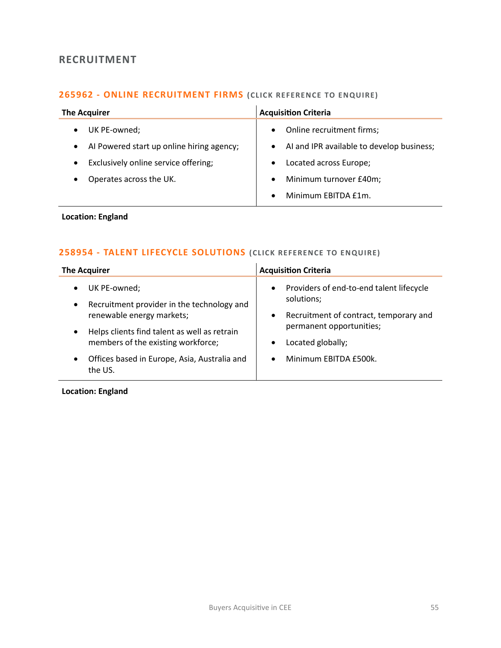# **RECRUITMENT**

# **265962 - [ONLINE RECRUITMENT FIRMS](mailto:emily.mcdermott@langcliffeinternational.com?subject=265962%20-%20Online%20Recruitment%20Firms%20) (CLICK RE FERENCE TO E NQUIRE)**

| <b>The Acquirer</b>                       | <b>Acquisition Criteria</b>               |
|-------------------------------------------|-------------------------------------------|
| UK PE-owned;                              | Online recruitment firms;                 |
| $\bullet$                                 | $\bullet$                                 |
| Al Powered start up online hiring agency; | AI and IPR available to develop business; |
| $\bullet$                                 | $\bullet$                                 |
| Exclusively online service offering;      | Located across Europe;                    |
| $\bullet$                                 | $\bullet$                                 |
| Operates across the UK.                   | Minimum turnover £40m;                    |
| $\bullet$                                 | $\bullet$                                 |
|                                           | Minimum EBITDA £1m.<br>$\bullet$          |

## **Location: England**

# **258954 - [TALENT LIFECYCLE SOLUTIONS](mailto:maryia.amrez@langcliffeinternational.com?subject=258954%20-%20Talent%20Lifecycle%20Solutions%20)** (CLICK REFERENCE TO ENQUIRE)

| Providers of end-to-end talent lifecycle<br>UK PE-owned;<br>$\bullet$<br>$\bullet$                                                                                                                                                                                                                                                                                                                                         | <b>The Acquirer</b> | <b>Acquisition Criteria</b> |
|----------------------------------------------------------------------------------------------------------------------------------------------------------------------------------------------------------------------------------------------------------------------------------------------------------------------------------------------------------------------------------------------------------------------------|---------------------|-----------------------------|
| Recruitment provider in the technology and<br>$\bullet$<br>Recruitment of contract, temporary and<br>renewable energy markets;<br>$\bullet$<br>permanent opportunities;<br>Helps clients find talent as well as retrain<br>$\bullet$<br>members of the existing workforce;<br>Located globally;<br>$\bullet$<br>Offices based in Europe, Asia, Australia and<br>Minimum EBITDA £500k.<br>$\bullet$<br>$\bullet$<br>the US. |                     | solutions;                  |

**Location: England**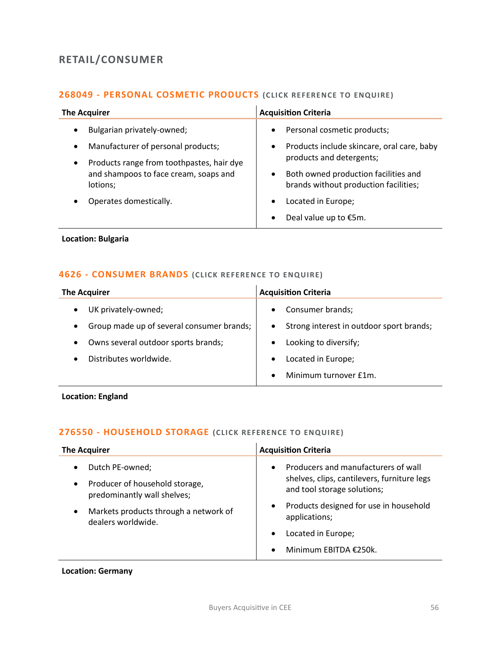# **RETAIL/CONSUMER**

# **268049 - [PERSONAL COSMETIC PRODUCTS](mailto:charlotte.keane@langcliffeinternational.com?subject=268049%20-%20Personal%20Cosmetic%20Products%20) (CLICK REFERENCE TO ENQUIRE)**

| <b>The Acquirer</b>                                                                                                                                                                                                                 | <b>Acquisition Criteria</b>                                                                                                                                                                                                                                                                            |
|-------------------------------------------------------------------------------------------------------------------------------------------------------------------------------------------------------------------------------------|--------------------------------------------------------------------------------------------------------------------------------------------------------------------------------------------------------------------------------------------------------------------------------------------------------|
| Bulgarian privately-owned;<br>$\bullet$<br>Manufacturer of personal products;<br>$\bullet$<br>Products range from toothpastes, hair dye<br>$\bullet$<br>and shampoos to face cream, soaps and<br>lotions;<br>Operates domestically. | Personal cosmetic products;<br>$\bullet$<br>Products include skincare, oral care, baby<br>$\bullet$<br>products and detergents;<br>Both owned production facilities and<br>$\bullet$<br>brands without production facilities;<br>Located in Europe;<br>$\bullet$<br>Deal value up to €5m.<br>$\bullet$ |

### **Location: Bulgaria**

### **4626 - [CONSUMER BRANDS](mailto:katie.griffith@langcliffeinternational.com?subject=4626%20-%20Consumer%20Brands%20) (CLICK RE FERE NCE TO E NQUIRE)**

| <b>The Acquirer</b>                       | <b>Acquisition Criteria</b>              |
|-------------------------------------------|------------------------------------------|
| UK privately-owned;                       | Consumer brands;                         |
| $\bullet$                                 | $\bullet$                                |
| Group made up of several consumer brands; | Strong interest in outdoor sport brands; |
| $\bullet$                                 | $\bullet$                                |
| Owns several outdoor sports brands;       | Looking to diversify;                    |
| $\bullet$                                 | $\bullet$                                |
| Distributes worldwide.                    | Located in Europe;<br>$\bullet$          |
|                                           | Minimum turnover £1m.                    |

**Location: England**

# **276550 - [HOUSEHOLD STORAGE](mailto:maryia.amrez@langcliffeinternational.com?subject=276550%20-%20Household%20Storage%20) (CLICK RE FERENCE TO ENQUIRE )**

| <b>The Acquirer</b>                                                                                        | <b>Acquisition Criteria</b>                                                                                                    |
|------------------------------------------------------------------------------------------------------------|--------------------------------------------------------------------------------------------------------------------------------|
| Dutch PE-owned;<br>$\bullet$<br>Producer of household storage,<br>$\bullet$<br>predominantly wall shelves; | Producers and manufacturers of wall<br>$\bullet$<br>shelves, clips, cantilevers, furniture legs<br>and tool storage solutions; |
| Markets products through a network of<br>$\bullet$<br>dealers worldwide.                                   | Products designed for use in household<br>$\bullet$<br>applications;                                                           |
|                                                                                                            | Located in Europe;                                                                                                             |
|                                                                                                            | Minimum EBITDA €250k.                                                                                                          |

#### **Location: Germany**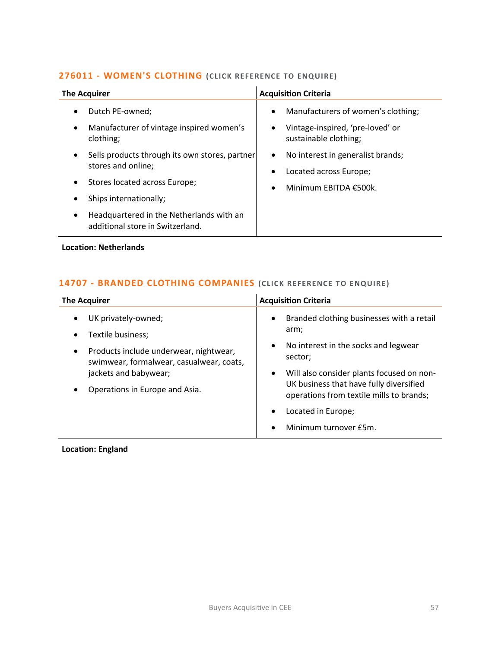## **276011 - [WOMEN'S CLOTHING](mailto:poppy.briggs@langcliffeinternational.com?subject=276011%20-%20Women)** (CLICK REFERENCE TO ENQUIRE)

| <b>The Acquirer</b>                                                               | <b>Acquisition Criteria</b>                                                   |
|-----------------------------------------------------------------------------------|-------------------------------------------------------------------------------|
| Dutch PE-owned;<br>$\bullet$                                                      | Manufacturers of women's clothing;<br>$\bullet$                               |
| Manufacturer of vintage inspired women's<br>$\bullet$<br>clothing;                | Vintage-inspired, 'pre-loved' or<br>٠<br>sustainable clothing;                |
| Sells products through its own stores, partner<br>$\bullet$<br>stores and online; | No interest in generalist brands;<br>$\bullet$<br>Located across Europe;<br>٠ |
| Stores located across Europe;<br>٠                                                | Minimum EBITDA €500k.<br>$\bullet$                                            |
| Ships internationally;                                                            |                                                                               |
| Headquartered in the Netherlands with an<br>٠<br>additional store in Switzerland. |                                                                               |

### **Location: Netherlands**

# **14707 - [BRANDED CLOTHING COMPANIES](mailto:katie.griffith@langcliffeinternational.com?subject=14707%20-%20Branded%20Clothing%20Companies%20) (CLICK REFERE NCE TO E NQUIRE )**

| <b>The Acquirer</b>                                                                                                                                                                                                           | <b>Acquisition Criteria</b>                                                                                                                                                                                                                                                     |
|-------------------------------------------------------------------------------------------------------------------------------------------------------------------------------------------------------------------------------|---------------------------------------------------------------------------------------------------------------------------------------------------------------------------------------------------------------------------------------------------------------------------------|
| UK privately-owned;<br>$\bullet$<br>Textile business;<br>$\bullet$<br>Products include underwear, nightwear,<br>٠<br>swimwear, formalwear, casualwear, coats,<br>jackets and babywear;<br>Operations in Europe and Asia.<br>٠ | Branded clothing businesses with a retail<br>$\bullet$<br>arm;<br>No interest in the socks and legwear<br>$\bullet$<br>sector;<br>Will also consider plants focused on non-<br>$\bullet$<br>UK business that have fully diversified<br>operations from textile mills to brands; |
|                                                                                                                                                                                                                               | Located in Europe;<br>$\bullet$<br>Minimum turnover £5m.                                                                                                                                                                                                                        |

# **Location: England**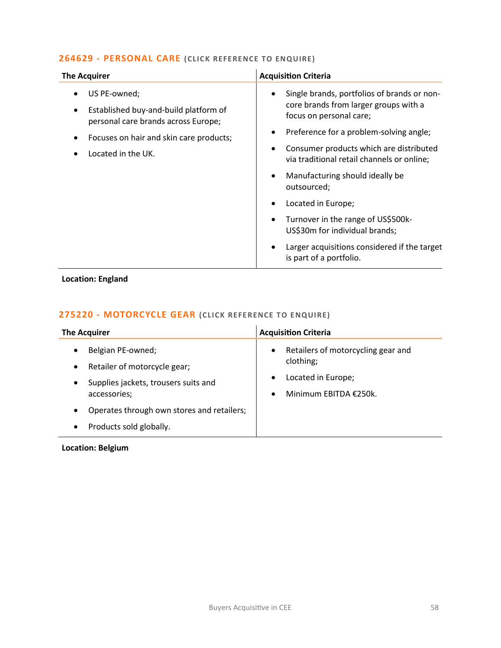## **264629 - [PERSONAL CARE](mailto:maryia.amrez@langcliffeinternational.com?subject=264629%20-%20Personal%20Care%20) (CLICK REFERE NCE TO ENQUIRE)**

| <b>The Acquirer</b>                                                          | <b>Acquisition Criteria</b>                                                                        |
|------------------------------------------------------------------------------|----------------------------------------------------------------------------------------------------|
| US PE-owned;                                                                 | Single brands, portfolios of brands or non-<br>core brands from larger groups with a               |
| Established buy-and-build platform of<br>personal care brands across Europe; | focus on personal care;                                                                            |
| Focuses on hair and skin care products;                                      | Preference for a problem-solving angle;<br>$\bullet$                                               |
| Located in the UK.                                                           | Consumer products which are distributed<br>$\bullet$<br>via traditional retail channels or online; |
|                                                                              | Manufacturing should ideally be<br>$\bullet$<br>outsourced;                                        |
|                                                                              | Located in Europe;<br>$\bullet$                                                                    |
|                                                                              | Turnover in the range of US\$500k-<br>$\bullet$<br>US\$30m for individual brands;                  |
|                                                                              | Larger acquisitions considered if the target<br>is part of a portfolio.                            |

**Location: England**

# **275220 - [MOTORCYCLE GEAR](mailto:poppy.briggs@langcliffeinternational.com?subject=275220%20-%20Motorcycle%20Gear%20) (CLICK REFE RENCE TO E NQUIRE)**

| <b>The Acquirer</b>                                                                                                                              | <b>Acquisition Criteria</b>                                                                                 |
|--------------------------------------------------------------------------------------------------------------------------------------------------|-------------------------------------------------------------------------------------------------------------|
| Belgian PE-owned;<br>$\bullet$<br>Retailer of motorcycle gear;<br>$\bullet$<br>Supplies jackets, trousers suits and<br>$\bullet$<br>accessories; | Retailers of motorcycling gear and<br>$\bullet$<br>clothing;<br>Located in Europe;<br>Minimum EBITDA €250k. |
| Operates through own stores and retailers;<br>$\bullet$<br>Products sold globally.                                                               |                                                                                                             |

# **Location: Belgium**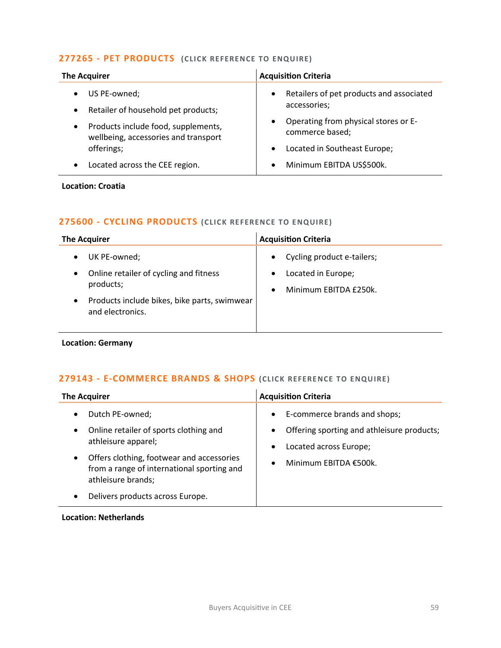## **277265 - [PET PRODUCTS](mailto:george.davies@langcliffeinternational.com?subject=277265%20-%20Pet%20Products%20) (CLICK RE FERENCE TO ENQUIRE)**

| <b>The Acquirer</b>                                                                                                                                          | <b>Acquisition Criteria</b>                                                                                                      |
|--------------------------------------------------------------------------------------------------------------------------------------------------------------|----------------------------------------------------------------------------------------------------------------------------------|
| US PE-owned;<br>Retailer of household pet products;<br>$\bullet$<br>Products include food, supplements,<br>$\bullet$<br>wellbeing, accessories and transport | Retailers of pet products and associated<br>$\bullet$<br>accessories;<br>Operating from physical stores or E-<br>commerce based; |
| offerings;                                                                                                                                                   | Located in Southeast Europe;                                                                                                     |
| Located across the CEE region.                                                                                                                               | Minimum EBITDA US\$500k.                                                                                                         |

### **Location: Croatia**

## **275600 - [CYCLING PRODUCTS](mailto:george.davies@langcliffeinternational.com?subject=275600%20-%20Cycling%20Products%20) (CLICK RE FERENCE TO E NQUIRE)**

| <b>The Acquirer</b>                          | <b>Acquisition Criteria</b> |
|----------------------------------------------|-----------------------------|
| UK PE-owned;                                 | Cycling product e-tailers;  |
| Online retailer of cycling and fitness       | $\bullet$                   |
| products;                                    | Located in Europe;          |
| Products include bikes, bike parts, swimwear | $\bullet$                   |
| $\bullet$                                    | Minimum EBITDA £250k.       |
| and electronics.                             | $\bullet$                   |

# **Location: Germany**

## **279143 - [E-COMMERCE BRANDS & SHOPS](mailto:poppy.briggs@langcliffeinternational.com?subject=279143%20-%20E-Commerce%20Brands%20and%20Shops%20) (CLICK REFERE NCE TO E NQUIRE )**

| <b>The Acquirer</b>                                                                                                                                                                                                                   | <b>Acquisition Criteria</b>                                                                                                                                                       |  |
|---------------------------------------------------------------------------------------------------------------------------------------------------------------------------------------------------------------------------------------|-----------------------------------------------------------------------------------------------------------------------------------------------------------------------------------|--|
| Dutch PE-owned;<br>Online retailer of sports clothing and<br>athleisure apparel;<br>Offers clothing, footwear and accessories<br>from a range of international sporting and<br>athleisure brands;<br>Delivers products across Europe. | E-commerce brands and shops;<br>$\bullet$<br>Offering sporting and athleisure products;<br>$\bullet$<br>Located across Europe;<br>$\bullet$<br>Minimum EBITDA €500k.<br>$\bullet$ |  |

#### **Location: Netherlands**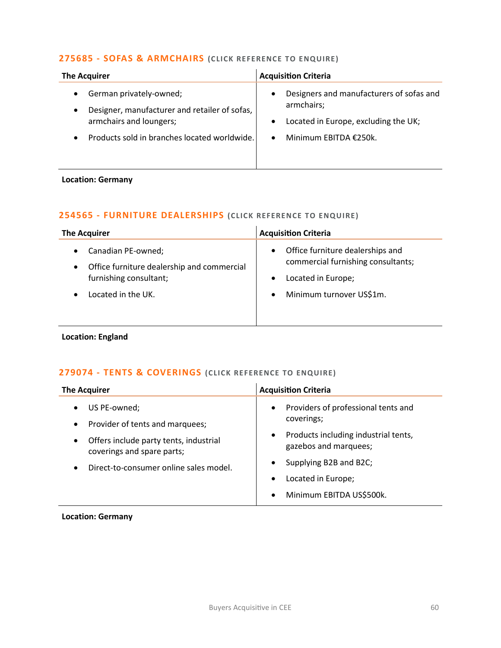## **275685 - [SOFAS & ARMCHAIRS](mailto:joanna.hughes@langcliffeinternational.com?subject=275685%20-%20Sofas%20and%20Armchairs%20) (CLICK REFERENCE TO ENQUIRE)**

| <b>The Acquirer</b>                                                      | <b>Acquisition Criteria</b>                                         |
|--------------------------------------------------------------------------|---------------------------------------------------------------------|
| German privately-owned;<br>Designer, manufacturer and retailer of sofas, | Designers and manufacturers of sofas and<br>$\bullet$<br>armchairs; |
| armchairs and loungers;                                                  | Located in Europe, excluding the UK;<br>$\bullet$                   |
| Products sold in branches located worldwide.                             | Minimum EBITDA €250k.                                               |
|                                                                          |                                                                     |

#### **Location: Germany**

## **254565 - [FURNITURE DEALERSHIPS](mailto:maryia.amrez@langcliffeinternational.com?subject=254565%20-%20Furniture%20Dealerships%20) (CLICK REFERENCE TO E NQUIRE )**

| <b>The Acquirer</b>                                                                                                  | <b>Acquisition Criteria</b>                                                                                            |  |
|----------------------------------------------------------------------------------------------------------------------|------------------------------------------------------------------------------------------------------------------------|--|
| Canadian PE-owned;<br>$\bullet$<br>Office furniture dealership and commercial<br>$\bullet$<br>furnishing consultant; | Office furniture dealerships and<br>$\bullet$<br>commercial furnishing consultants;<br>Located in Europe;<br>$\bullet$ |  |
| Located in the UK.<br>$\bullet$                                                                                      | Minimum turnover US\$1m.                                                                                               |  |

#### **Location: England**

# **279074 - [TENTS & COVERINGS](mailto:george.davies@langcliffeinternational.com?subject=279074%20-%20Tents%20and%20Coverings%20) (CLICK RE FERENCE TO ENQUIRE)**

| <b>The Acquirer</b>                                                               | <b>Acquisition Criteria</b>                                   |
|-----------------------------------------------------------------------------------|---------------------------------------------------------------|
| US PE-owned;<br>$\bullet$<br>Provider of tents and marquees;<br>$\bullet$         | Providers of professional tents and<br>coverings;             |
| Offers include party tents, industrial<br>$\bullet$<br>coverings and spare parts; | Products including industrial tents,<br>gazebos and marquees; |
| Direct-to-consumer online sales model.<br>$\bullet$                               | Supplying B2B and B2C;                                        |
|                                                                                   | Located in Europe;                                            |
|                                                                                   | Minimum EBITDA US\$500k.                                      |

#### **Location: Germany**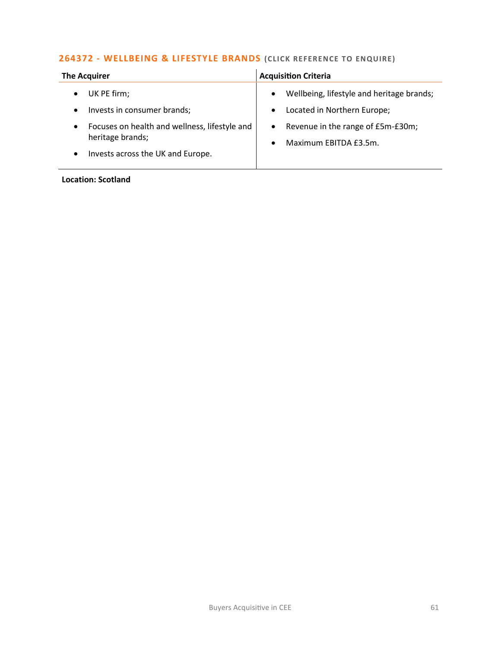# **264372 - [WELLBEING & LIFESTYLE BRANDS](mailto:maryia.amrez@langcliffeinternational.com?subject=264372%20-%20Wellbeing%20and%20Lifestyle%20Brands)** (CLICK REFERENCE TO ENQUIRE)

| <b>The Acquirer</b>                                        | <b>Acquisition Criteria</b>                            |
|------------------------------------------------------------|--------------------------------------------------------|
| UK PE firm;                                                | Wellbeing, lifestyle and heritage brands;<br>$\bullet$ |
| Invests in consumer brands;<br>$\bullet$                   | Located in Northern Europe;<br>$\bullet$               |
| Focuses on health and wellness, lifestyle and<br>$\bullet$ | Revenue in the range of £5m-£30m;<br>$\bullet$         |
| heritage brands;                                           | Maximum EBITDA £3.5m.<br>$\bullet$                     |
| Invests across the UK and Europe.<br>$\bullet$             |                                                        |

#### **Location: Scotland**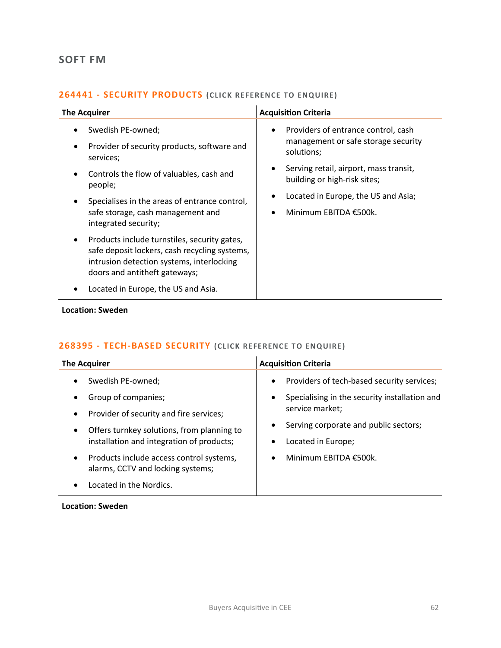# **SOFT FM**

# **264441 - [SECURITY PRODUCTS](mailto:charlotte.keane@langcliffeinternational.com?subject=264441%20-%20Security%20Products%20) (CLICK RE FE RENCE TO ENQUIRE)**

| <b>The Acquirer</b>                                                                                                                                                                      | <b>Acquisition Criteria</b>                                                                           |
|------------------------------------------------------------------------------------------------------------------------------------------------------------------------------------------|-------------------------------------------------------------------------------------------------------|
| Swedish PE-owned;<br>Provider of security products, software and<br>services;                                                                                                            | Providers of entrance control, cash<br>$\bullet$<br>management or safe storage security<br>solutions; |
| Controls the flow of valuables, cash and<br>people;                                                                                                                                      | Serving retail, airport, mass transit,<br>building or high-risk sites;                                |
| Specialises in the areas of entrance control,<br>safe storage, cash management and<br>integrated security;                                                                               | Located in Europe, the US and Asia;<br>Minimum EBITDA €500k.                                          |
| Products include turnstiles, security gates,<br>$\bullet$<br>safe deposit lockers, cash recycling systems,<br>intrusion detection systems, interlocking<br>doors and antitheft gateways; |                                                                                                       |
| Located in Europe, the US and Asia.                                                                                                                                                      |                                                                                                       |

#### **Location: Sweden**

# **268395 - [TECH-BASED SECURITY](mailto:charlotte.keane@langcliffeinternational.com?subject=268395%20-%20Tech-Based%20Security) (CLICK REFERENCE TO ENQUIRE)**

| <b>The Acquirer</b>                                                                        | <b>Acquisition Criteria</b>                                |
|--------------------------------------------------------------------------------------------|------------------------------------------------------------|
| Swedish PE-owned;<br>٠                                                                     | Providers of tech-based security services;<br>$\bullet$    |
| Group of companies;<br>٠                                                                   | Specialising in the security installation and<br>$\bullet$ |
| Provider of security and fire services;<br>$\bullet$                                       | service market;                                            |
| Offers turnkey solutions, from planning to<br>$\bullet$                                    | Serving corporate and public sectors;<br>٠                 |
| installation and integration of products;                                                  | Located in Europe;                                         |
| Products include access control systems,<br>$\bullet$<br>alarms, CCTV and locking systems; | Minimum EBITDA €500k.<br>$\bullet$                         |
| Located in the Nordics.                                                                    |                                                            |

#### **Location: Sweden**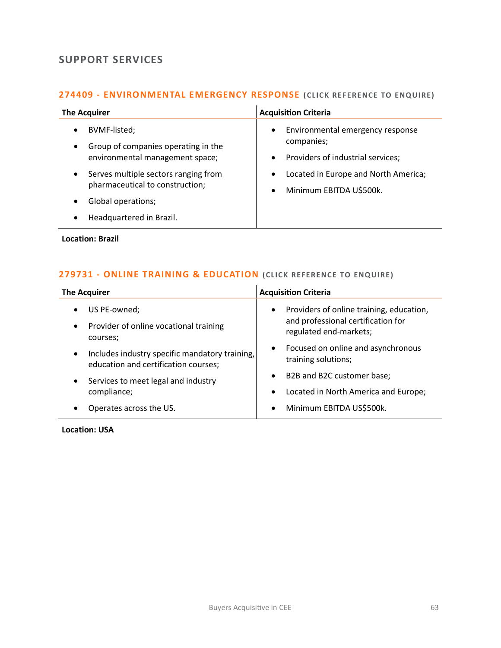# **SUPPORT SERVICES**

# **274409 - [ENVIRONMENTAL EMERGENCY RESPONSE](mailto:jack.hutchinson@langcliffeinternational.com?subject=274409%20-%20Environmental%20Emergency%20Response%20) (CLICK RE FERENCE TO ENQUIRE)**

| <b>The Acquirer</b>                                                                                                                    | <b>Acquisition Criteria</b>                                                                                   |
|----------------------------------------------------------------------------------------------------------------------------------------|---------------------------------------------------------------------------------------------------------------|
| BVMF-listed;<br>$\bullet$<br>Group of companies operating in the<br>$\bullet$<br>environmental management space;                       | Environmental emergency response<br>$\bullet$<br>companies;<br>Providers of industrial services;<br>$\bullet$ |
| Serves multiple sectors ranging from<br>$\bullet$<br>pharmaceutical to construction;<br>Global operations;<br>Headquartered in Brazil. | Located in Europe and North America;<br>$\bullet$<br>Minimum EBITDA U\$500k.<br>$\bullet$                     |

**Location: Brazil**

## **279731 - [ONLINE TRAINING & EDUCATION](mailto:george.davies@langcliffeinternational.com?subject=279731%20-%20Online%20Training%20and%20Education%20)** (CLICK REFERENCE TO ENQUIRE)

|           | <b>The Acquirer</b>                                                                    |           | <b>Acquisition Criteria</b>                                  |
|-----------|----------------------------------------------------------------------------------------|-----------|--------------------------------------------------------------|
| $\bullet$ | US PE-owned;                                                                           | $\bullet$ | Providers of online training, education,                     |
| $\bullet$ | Provider of online vocational training<br>courses;                                     |           | and professional certification for<br>regulated end-markets; |
| $\bullet$ | Includes industry specific mandatory training,<br>education and certification courses; |           | Focused on online and asynchronous<br>training solutions;    |
| $\bullet$ | Services to meet legal and industry                                                    |           | B2B and B2C customer base;                                   |
|           | compliance;                                                                            |           | Located in North America and Europe;                         |
|           | Operates across the US.                                                                |           | Minimum EBITDA US\$500k.                                     |

**Location: USA**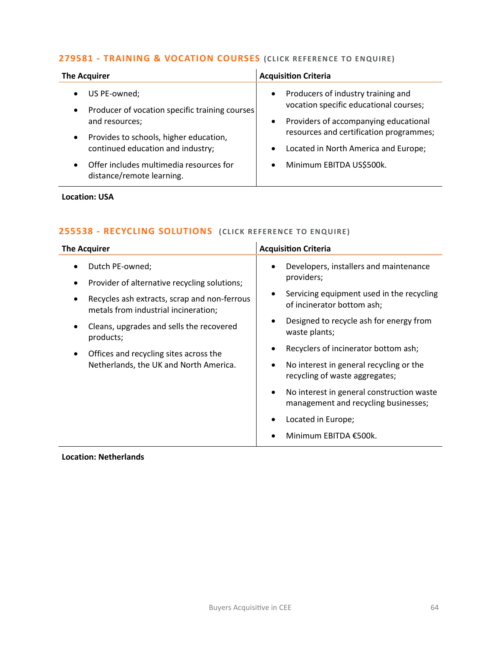# **279581 - [TRAINING & VOCATION COURSES](mailto:george.davies@langcliffeinternational.com?subject=279581%20-%20Training%20and%20Vocation%20Courses) (CLICK RE FERENCE TO ENQUIRE)**

| <b>The Acquirer</b>                                                                                                                                                                                                                                               | <b>Acquisition Criteria</b>                                                                                                                                                                                                                                                              |
|-------------------------------------------------------------------------------------------------------------------------------------------------------------------------------------------------------------------------------------------------------------------|------------------------------------------------------------------------------------------------------------------------------------------------------------------------------------------------------------------------------------------------------------------------------------------|
| US PE-owned;<br>Producer of vocation specific training courses<br>$\bullet$<br>and resources;<br>Provides to schools, higher education,<br>$\bullet$<br>continued education and industry;<br>Offer includes multimedia resources for<br>distance/remote learning. | Producers of industry training and<br>$\bullet$<br>vocation specific educational courses;<br>Providers of accompanying educational<br>$\bullet$<br>resources and certification programmes;<br>Located in North America and Europe;<br>$\bullet$<br>Minimum EBITDA US\$500k.<br>$\bullet$ |
|                                                                                                                                                                                                                                                                   |                                                                                                                                                                                                                                                                                          |

#### **Location: USA**

# **255538 - [RECYCLING SOLUTIONS](mailto:poppy.briggs@langcliffeinternational.com?subject=255538%20-%20Recycling%20Solutions) (CLICK RE FERENCE TO ENQUIRE )**

| <b>The Acquirer</b>                                                                                                                                                                                                                                                                                                 | <b>Acquisition Criteria</b>                                                                                                                                                                                                                                                                                                                                                                                                                                                                                        |
|---------------------------------------------------------------------------------------------------------------------------------------------------------------------------------------------------------------------------------------------------------------------------------------------------------------------|--------------------------------------------------------------------------------------------------------------------------------------------------------------------------------------------------------------------------------------------------------------------------------------------------------------------------------------------------------------------------------------------------------------------------------------------------------------------------------------------------------------------|
| Dutch PE-owned;<br>Provider of alternative recycling solutions;<br>٠<br>Recycles ash extracts, scrap and non-ferrous<br>٠<br>metals from industrial incineration;<br>Cleans, upgrades and sells the recovered<br>٠<br>products;<br>Offices and recycling sites across the<br>Netherlands, the UK and North America. | Developers, installers and maintenance<br>$\bullet$<br>providers;<br>Servicing equipment used in the recycling<br>٠<br>of incinerator bottom ash;<br>Designed to recycle ash for energy from<br>$\bullet$<br>waste plants;<br>Recyclers of incinerator bottom ash;<br>$\bullet$<br>No interest in general recycling or the<br>٠<br>recycling of waste aggregates;<br>No interest in general construction waste<br>$\bullet$<br>management and recycling businesses;<br>Located in Europe;<br>Minimum EBITDA €500k. |

## **Location: Netherlands**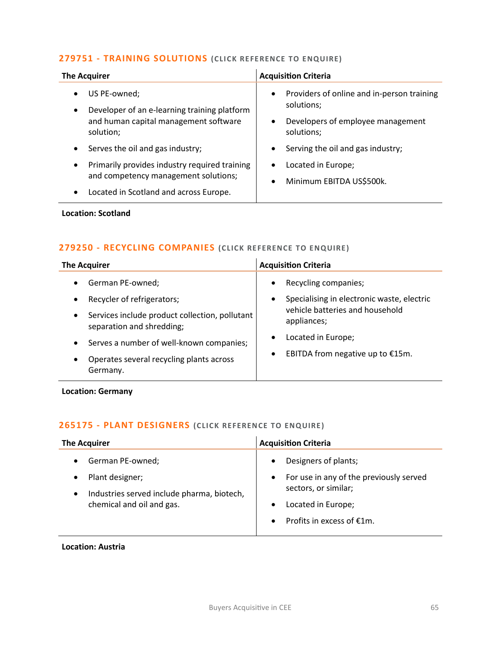## **279751 - [TRAINING SOLUTIONS](mailto:george.davies@langcliffeinternational.com?subject=279751%20-%20Training%20Solutions%20) (CLICK RE FE RENCE TO ENQUIRE)**

| <b>The Acquirer</b>                                                                                                                                       | <b>Acquisition Criteria</b>                                                                                                           |
|-----------------------------------------------------------------------------------------------------------------------------------------------------------|---------------------------------------------------------------------------------------------------------------------------------------|
| US PE-owned;<br>$\bullet$<br>Developer of an e-learning training platform<br>$\bullet$<br>and human capital management software<br>solution;              | Providers of online and in-person training<br>$\bullet$<br>solutions;<br>Developers of employee management<br>$\bullet$<br>solutions; |
| Serves the oil and gas industry;<br>$\bullet$                                                                                                             | Serving the oil and gas industry;<br>٠                                                                                                |
| Primarily provides industry required training<br>$\bullet$<br>and competency management solutions;<br>Located in Scotland and across Europe.<br>$\bullet$ | Located in Europe;<br>$\bullet$<br>Minimum EBITDA US\$500k.<br>$\bullet$                                                              |
|                                                                                                                                                           |                                                                                                                                       |

## **Location: Scotland**

## **279250 - [RECYCLING COMPANIES](mailto:poppy.briggs@langcliffeinternational.com?subject=279250%20-%20Recycling%20Companies%20) (CLICK RE FERENCE TO ENQUIRE )**

| <b>The Acquirer</b>                                                                                                                                                                                                                                                      | <b>Acquisition Criteria</b>                                                                                                                                                    |
|--------------------------------------------------------------------------------------------------------------------------------------------------------------------------------------------------------------------------------------------------------------------------|--------------------------------------------------------------------------------------------------------------------------------------------------------------------------------|
| German PE-owned;<br>Recycler of refrigerators;<br>Services include product collection, pollutant<br>$\bullet$<br>separation and shredding;<br>Serves a number of well-known companies;<br>$\bullet$<br>Operates several recycling plants across<br>$\bullet$<br>Germany. | Recycling companies;<br>Specialising in electronic waste, electric<br>vehicle batteries and household<br>appliances;<br>Located in Europe;<br>EBITDA from negative up to €15m. |

**Location: Germany**

# **265175 - [PLANT DESIGNERS](mailto:poppy.briggs@langcliffeinternational.com?subject=265175%20-%20Plant%20Designers) (CLICK RE FERENCE TO ENQUIRE )**

| <b>The Acquirer</b>                                                                             | <b>Acquisition Criteria</b>                                                  |
|-------------------------------------------------------------------------------------------------|------------------------------------------------------------------------------|
| German PE-owned;                                                                                | Designers of plants;                                                         |
| Plant designer;<br>Industries served include pharma, biotech,<br>٠<br>chemical and oil and gas. | For use in any of the previously served<br>$\bullet$<br>sectors, or similar; |
|                                                                                                 | Located in Europe;                                                           |
|                                                                                                 | Profits in excess of €1m.                                                    |

#### **Location: Austria**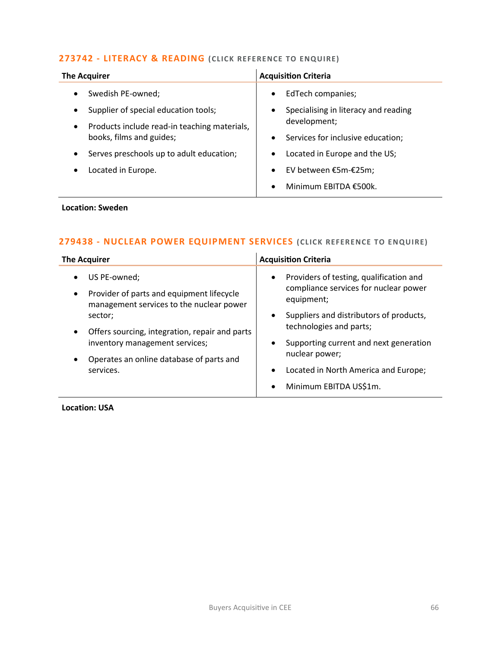## **273742 - [LITERACY & READING](mailto:charlotte.keane@langcliffeinternational.com?subject=273742%20-%20Literacy%20and%20Reading%20) (CLICK REFE RENCE TO ENQUIRE)**

| <b>The Acquirer</b>                                       | <b>Acquisition Criteria</b>                       |
|-----------------------------------------------------------|---------------------------------------------------|
| Swedish PE-owned;                                         | EdTech companies;<br>$\bullet$                    |
| Supplier of special education tools;<br>$\bullet$         | Specialising in literacy and reading<br>$\bullet$ |
| Products include read-in teaching materials,<br>$\bullet$ | development;                                      |
| books, films and guides;                                  | Services for inclusive education;<br>$\bullet$    |
| Serves preschools up to adult education;<br>$\bullet$     | Located in Europe and the US;<br>$\bullet$        |
| Located in Europe.                                        | EV between €5m-€25m;<br>$\bullet$                 |
|                                                           | Minimum EBITDA €500k.<br>$\bullet$                |

## **Location: Sweden**

# **279438 - [NUCLEAR POWER EQUIPMENT SERVICES](mailto:george.davies@langcliffeinternational.com?subject=279438%20-%20Nuclear%20Power%20Equipment%20Services) (CLICK REFERENCE TO E NQUIRE)**

| <b>The Acquirer</b>                                                                                                             | <b>Acquisition Criteria</b>                                                                                 |
|---------------------------------------------------------------------------------------------------------------------------------|-------------------------------------------------------------------------------------------------------------|
| US PE-owned;<br>$\bullet$<br>Provider of parts and equipment lifecycle<br>$\bullet$<br>management services to the nuclear power | Providers of testing, qualification and<br>$\bullet$<br>compliance services for nuclear power<br>equipment; |
| sector;<br>Offers sourcing, integration, repair and parts                                                                       | Suppliers and distributors of products,<br>$\bullet$<br>technologies and parts;                             |
| inventory management services;<br>Operates an online database of parts and                                                      | Supporting current and next generation<br>$\bullet$<br>nuclear power;                                       |
| services.                                                                                                                       | Located in North America and Europe;<br>$\bullet$<br>Minimum EBITDA US\$1m.<br>$\bullet$                    |

**Location: USA**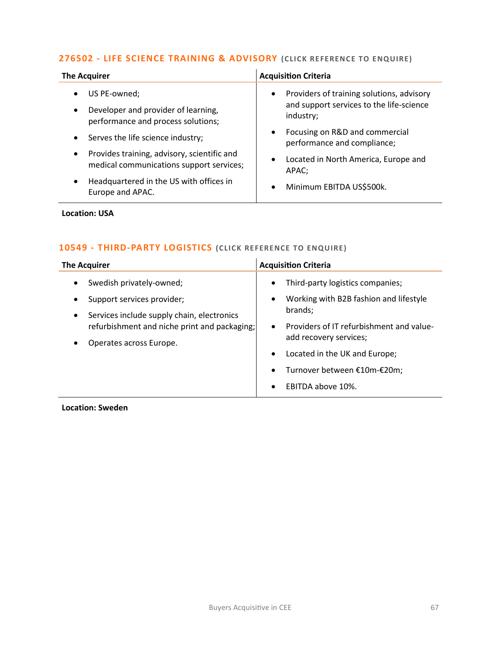# **276502 - [LIFE SCIENCE TRAINING & ADVISORY](mailto:george.davies@langcliffeinternational.com?subject=276502%20-%20Life%20Science%20Training%20and%20Advisory) (CLICK RE FERENCE TO ENQUIRE)**

| <b>The Acquirer</b>                            | <b>Acquisition Criteria</b>                                                |
|------------------------------------------------|----------------------------------------------------------------------------|
| US PE-owned;                                   | Providers of training solutions, advisory                                  |
| Developer and provider of learning,            | $\bullet$                                                                  |
| $\bullet$                                      | and support services to the life-science                                   |
| performance and process solutions;             | industry;                                                                  |
| Serves the life science industry;<br>$\bullet$ | Focusing on R&D and commercial<br>$\bullet$<br>performance and compliance; |
| Provides training, advisory, scientific and    | Located in North America, Europe and                                       |
| $\bullet$                                      | $\bullet$                                                                  |
| medical communications support services;       | APAC;                                                                      |
| Headquartered in the US with offices in        | Minimum EBITDA US\$500k.                                                   |
| Europe and APAC.                               | $\bullet$                                                                  |

## **Location: USA**

## **10549 - [THIRD-PARTY LOGISTICS](mailto:joanna.hughes@langcliffeinternational.com?subject=10549%20-%20Third-Party%20Logistics) (CLICK RE FERENCE TO ENQUIRE )**

| <b>The Acquirer</b>                                                                                                                                                                          | <b>Acquisition Criteria</b>                                                                                                                                                                                                                                                                                                    |
|----------------------------------------------------------------------------------------------------------------------------------------------------------------------------------------------|--------------------------------------------------------------------------------------------------------------------------------------------------------------------------------------------------------------------------------------------------------------------------------------------------------------------------------|
| Swedish privately-owned;<br>Support services provider;<br>Services include supply chain, electronics<br>$\bullet$<br>refurbishment and niche print and packaging;<br>Operates across Europe. | Third-party logistics companies;<br>$\bullet$<br>Working with B2B fashion and lifestyle<br>$\bullet$<br>brands:<br>Providers of IT refurbishment and value-<br>$\bullet$<br>add recovery services;<br>Located in the UK and Europe;<br>$\bullet$<br>Turnover between €10m-€20m;<br>$\bullet$<br>EBITDA above 10%.<br>$\bullet$ |
|                                                                                                                                                                                              |                                                                                                                                                                                                                                                                                                                                |

**Location: Sweden**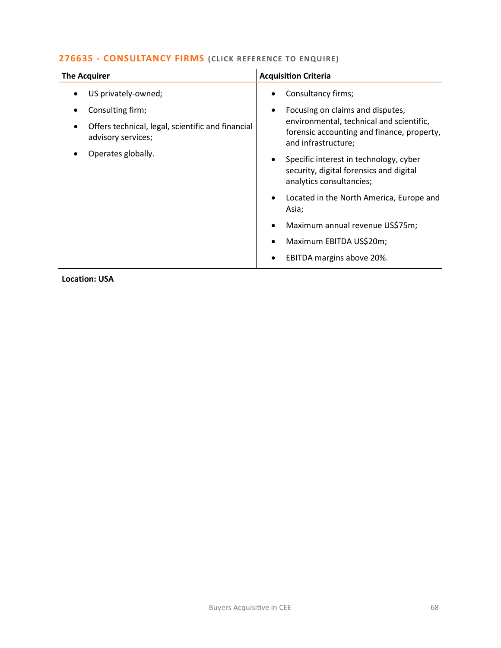# **276635 - [CONSULTANCY FIRMS](mailto:eloka.philip@langcliffeinternational.com?subject=276635%20-%20Consultancy%20Firms) (CLICK REFERENCE TO ENQUIRE)**

| <b>The Acquirer</b>                                                     | <b>Acquisition Criteria</b>                                                                                                |
|-------------------------------------------------------------------------|----------------------------------------------------------------------------------------------------------------------------|
| US privately-owned;                                                     | Consultancy firms;<br>٠                                                                                                    |
| Consulting firm;                                                        | Focusing on claims and disputes,<br>$\bullet$                                                                              |
| Offers technical, legal, scientific and financial<br>advisory services; | environmental, technical and scientific,<br>forensic accounting and finance, property,<br>and infrastructure;              |
| Operates globally.                                                      | Specific interest in technology, cyber<br>$\bullet$<br>security, digital forensics and digital<br>analytics consultancies; |
|                                                                         | Located in the North America, Europe and<br>$\bullet$<br>Asia;                                                             |
|                                                                         | Maximum annual revenue US\$75m;<br>$\bullet$                                                                               |
|                                                                         | Maximum EBITDA US\$20m;<br>$\bullet$                                                                                       |
|                                                                         | EBITDA margins above 20%.<br>٠                                                                                             |

**Location: USA**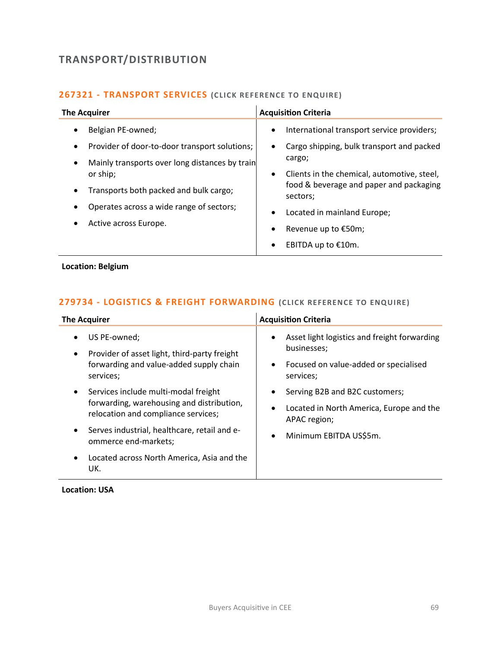# **TRANSPORT/DISTRIBUTION**

# **267321 - [TRANSPORT SERVICES](mailto:poppy.briggs@langcliffeinternational.com?subject=267321%20-%20Transport%20Services%20) (CLICK RE FERENCE TO ENQUIRE)**

| <b>The Acquirer</b>                                                                                                                                                                                                                                                                 | <b>Acquisition Criteria</b>                                                                                                                                                                                                                                                                                                                       |
|-------------------------------------------------------------------------------------------------------------------------------------------------------------------------------------------------------------------------------------------------------------------------------------|---------------------------------------------------------------------------------------------------------------------------------------------------------------------------------------------------------------------------------------------------------------------------------------------------------------------------------------------------|
| Belgian PE-owned;<br>$\bullet$<br>Provider of door-to-door transport solutions;<br>٠<br>Mainly transports over long distances by train<br>٠<br>or ship;<br>Transports both packed and bulk cargo;<br>$\bullet$<br>Operates across a wide range of sectors;<br>Active across Europe. | International transport service providers;<br>$\bullet$<br>Cargo shipping, bulk transport and packed<br>٠<br>cargo;<br>Clients in the chemical, automotive, steel,<br>$\bullet$<br>food & beverage and paper and packaging<br>sectors;<br>Located in mainland Europe;<br>$\bullet$<br>Revenue up to €50m;<br>٠<br>EBITDA up to €10m.<br>$\bullet$ |

## **Location: Belgium**

## **279734 - [LOGISTICS & FREIGHT FORWARDING](mailto:george.davies@langcliffeinternational.com?subject=279734%20-%20Logistics%20and%20Freight%20Forwarding%20) (CLICK RE FERENCE TO ENQUIRE)**

| <b>The Acquirer</b>                                                                    | <b>Acquisition Criteria</b>                                              |
|----------------------------------------------------------------------------------------|--------------------------------------------------------------------------|
| US PE-owned;<br>$\bullet$<br>Provider of asset light, third-party freight<br>$\bullet$ | Asset light logistics and freight forwarding<br>$\bullet$<br>businesses; |
| forwarding and value-added supply chain<br>services;                                   | Focused on value-added or specialised<br>$\bullet$<br>services;          |
| Services include multi-modal freight<br>$\bullet$                                      | Serving B2B and B2C customers;                                           |
| forwarding, warehousing and distribution,<br>relocation and compliance services;       | Located in North America, Europe and the<br>٠<br>APAC region;            |
| Serves industrial, healthcare, retail and e-<br>٠<br>ommerce end-markets;              | Minimum EBITDA US\$5m.<br>$\bullet$                                      |
| Located across North America, Asia and the<br>UK.                                      |                                                                          |

**Location: USA**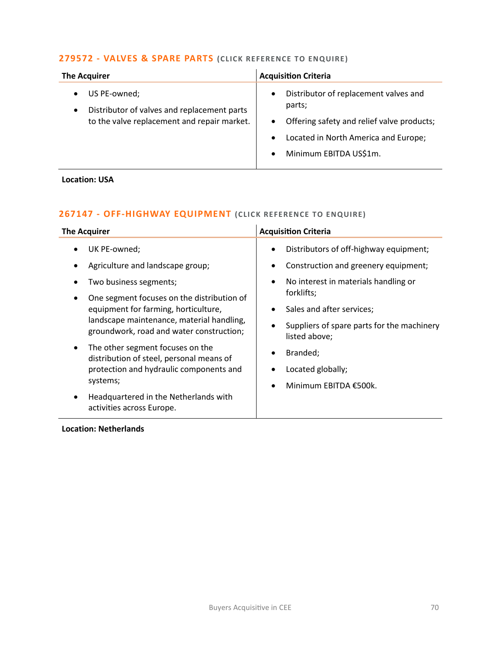# **279572 - [VALVES & SPARE PARTS](mailto:george.davies@langcliffeinternational.com?subject=279572%20-%20Valves%20and%20Spare%20Parts) (CLICK RE FERENCE TO ENQUIRE )**

| <b>The Acquirer</b>                                                                                                     | <b>Acquisition Criteria</b>                                                                                                                                                                                         |
|-------------------------------------------------------------------------------------------------------------------------|---------------------------------------------------------------------------------------------------------------------------------------------------------------------------------------------------------------------|
| US PE-owned;<br>Distributor of valves and replacement parts<br>$\bullet$<br>to the valve replacement and repair market. | Distributor of replacement valves and<br>$\bullet$<br>parts;<br>Offering safety and relief valve products;<br>$\bullet$<br>Located in North America and Europe;<br>$\bullet$<br>Minimum EBITDA US\$1m.<br>$\bullet$ |

## **Location: USA**

# **267147 - [OFF-HIGHWAY EQUIPMENT](mailto:poppy.briggs@langcliffeinternational.com?subject=267147%20-%20Off-Highway%20Equipment%20) (CLICK RE FERENCE TO E NQUIRE)**

| <b>The Acquirer</b>                                                                       | <b>Acquisition Criteria</b>                                     |
|-------------------------------------------------------------------------------------------|-----------------------------------------------------------------|
| UK PE-owned;                                                                              | Distributors of off-highway equipment;                          |
| Agriculture and landscape group;                                                          | Construction and greenery equipment;                            |
| Two business segments;<br>One segment focuses on the distribution of                      | No interest in materials handling or<br>$\bullet$<br>forklifts; |
| equipment for farming, horticulture,                                                      | Sales and after services;<br>٠                                  |
| landscape maintenance, material handling,<br>groundwork, road and water construction;     | Suppliers of spare parts for the machinery<br>listed above;     |
| The other segment focuses on the<br>$\bullet$<br>distribution of steel, personal means of | Branded;                                                        |
| protection and hydraulic components and                                                   | Located globally;                                               |
| systems;                                                                                  | Minimum EBITDA €500k.                                           |
| Headquartered in the Netherlands with<br>$\bullet$<br>activities across Europe.           |                                                                 |

 $\mathbf{r}$ 

## **Location: Netherlands**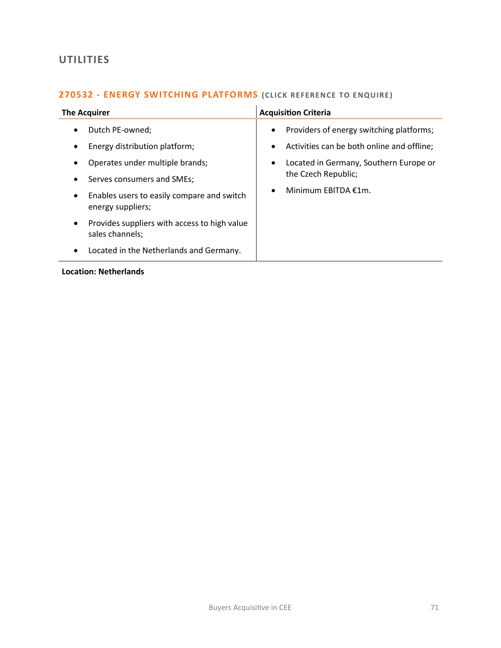# **UTILITIES**

# **270532 - [ENERGY SWITCHING PLATFORMS](mailto:poppy.briggs@langcliffeinternational.com?subject=270532%20-%20Energy%20Switching%20Platforms)** (CLICK REFERENCE TO ENQUIRE)

| Providers of energy switching platforms;<br>Dutch PE-owned;<br>$\bullet$<br>$\bullet$<br>Energy distribution platform;<br>Activities can be both online and offline;<br>$\bullet$<br>٠<br>Located in Germany, Southern Europe or<br>Operates under multiple brands;<br>$\bullet$<br>the Czech Republic;<br>Serves consumers and SMEs;<br>Minimum EBITDA €1m.<br>Enables users to easily compare and switch<br>$\bullet$<br>energy suppliers;<br>Provides suppliers with access to high value<br>$\bullet$<br>sales channels;<br>Located in the Netherlands and Germany.<br>٠ | <b>The Acquirer</b> | <b>Acquisition Criteria</b> |
|------------------------------------------------------------------------------------------------------------------------------------------------------------------------------------------------------------------------------------------------------------------------------------------------------------------------------------------------------------------------------------------------------------------------------------------------------------------------------------------------------------------------------------------------------------------------------|---------------------|-----------------------------|
|                                                                                                                                                                                                                                                                                                                                                                                                                                                                                                                                                                              |                     |                             |

## **Location: Netherlands**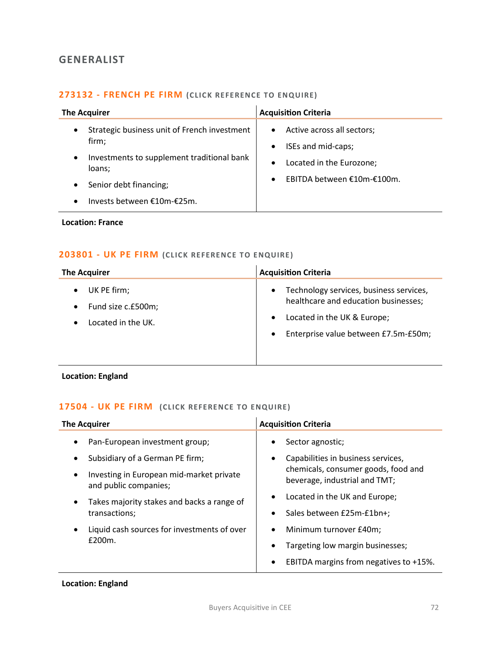# **GENERALIST**

# **273132 - [FRENCH PE FIRM](mailto:charlotte.keane@langcliffeinternational.com?subject=273132%20-%20French%20PE%20Firm%20) (CLICK RE FERENCE TO ENQUIRE)**

| <b>The Acquirer</b>                                                                                                        | <b>Acquisition Criteria</b>                                                                                                                                    |
|----------------------------------------------------------------------------------------------------------------------------|----------------------------------------------------------------------------------------------------------------------------------------------------------------|
| Strategic business unit of French investment<br>$\bullet$<br>firm;<br>Investments to supplement traditional bank<br>loans; | Active across all sectors;<br>$\bullet$<br>ISEs and mid-caps;<br>$\bullet$<br>Located in the Eurozone;<br>$\bullet$<br>EBITDA between €10m-€100m.<br>$\bullet$ |
| Senior debt financing;<br>$\bullet$<br>Invests between €10m-€25m.                                                          |                                                                                                                                                                |

**Location: France**

# **203801 - [UK PE FIRM](mailto:maryia.amrez@langcliffeinternational.com?subject=203801%20-%20UK%20PE%20Firm%20) (CLICK REFERE NCE TO E NQUIRE )**

| <b>The Acquirer</b>                                                  | <b>Acquisition Criteria</b>                                                                                                                                                                   |
|----------------------------------------------------------------------|-----------------------------------------------------------------------------------------------------------------------------------------------------------------------------------------------|
| UK PE firm;<br>Fund size c.£500m;<br>$\bullet$<br>Located in the UK. | Technology services, business services,<br>$\bullet$<br>healthcare and education businesses;<br>Located in the UK & Europe;<br>$\bullet$<br>Enterprise value between £7.5m-£50m;<br>$\bullet$ |

**Location: England**

# **17504 - [UK PE FIRM](mailto:maryia.amrez@langcliffeinternational.com?subject=17504%20-%20UK%20PE%20Firm%20) (CLICK REFERE NCE TO E NQUIRE )**

| <b>The Acquirer</b>                                               | <b>Acquisition Criteria</b>                                          |
|-------------------------------------------------------------------|----------------------------------------------------------------------|
| Pan-European investment group;                                    | Sector agnostic;<br>٠                                                |
| Subsidiary of a German PE firm;                                   | Capabilities in business services,<br>$\bullet$                      |
| Investing in European mid-market private<br>and public companies; | chemicals, consumer goods, food and<br>beverage, industrial and TMT; |
| Takes majority stakes and backs a range of<br>transactions;       | Located in the UK and Europe;<br>$\bullet$                           |
|                                                                   | Sales between £25m-£1bn+;<br>$\bullet$                               |
| Liquid cash sources for investments of over<br>£200m.             | Minimum turnover £40m;<br>$\bullet$                                  |
|                                                                   | Targeting low margin businesses;<br>$\bullet$                        |
|                                                                   | EBITDA margins from negatives to +15%.<br>$\bullet$                  |

# **Location: England**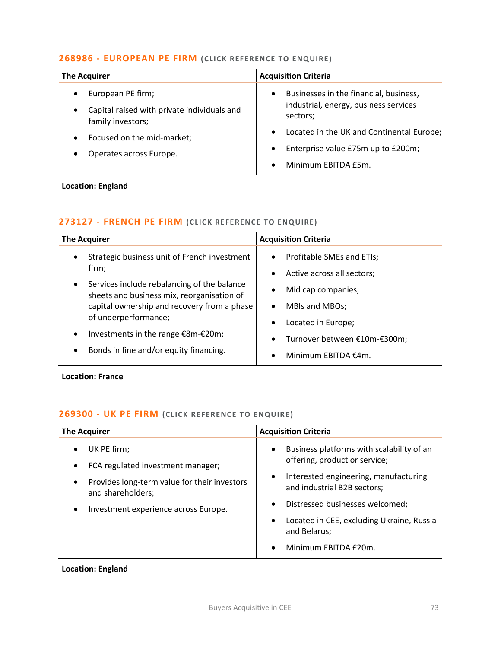## **268986 - [EUROPEAN PE FIRM](mailto:maryia.amrez@langcliffeinternational.com?subject=268986%20-%20European%20PE%20Firm%20) (CLICK REFE RENCE TO E NQUIRE)**

| <b>The Acquirer</b>                                              | <b>Acquisition Criteria</b>                                                                  |
|------------------------------------------------------------------|----------------------------------------------------------------------------------------------|
| European PE firm;<br>Capital raised with private individuals and | Businesses in the financial, business,<br>$\bullet$<br>industrial, energy, business services |
| family investors;                                                | sectors;                                                                                     |
| Focused on the mid-market;                                       | Located in the UK and Continental Europe;<br>$\bullet$                                       |
| Operates across Europe.                                          | Enterprise value £75m up to £200m;<br>$\bullet$                                              |
|                                                                  | Minimum EBITDA £5m.<br>$\bullet$                                                             |

## **Location: England**

## **273127 - [FRENCH PE FIRM](mailto:charlotte.keane@langcliffeinternational.com?subject=273127%20-%20French%20PE%20Firm%20) (CLICK RE FERENCE TO ENQUIRE)**

| <b>The Acquirer</b>                                                                                                                                                           | <b>Acquisition Criteria</b>                                                                              |
|-------------------------------------------------------------------------------------------------------------------------------------------------------------------------------|----------------------------------------------------------------------------------------------------------|
| Strategic business unit of French investment<br>$\bullet$<br>firm;                                                                                                            | Profitable SMEs and ETIs;<br>$\bullet$<br>Active across all sectors;<br>$\bullet$                        |
| Services include rebalancing of the balance<br>$\bullet$<br>sheets and business mix, reorganisation of<br>capital ownership and recovery from a phase<br>of underperformance; | Mid cap companies;<br>$\bullet$<br>MBIs and MBOs;<br>$\bullet$                                           |
| Investments in the range €8m-€20m;<br>Bonds in fine and/or equity financing.<br>$\bullet$                                                                                     | Located in Europe;<br>$\bullet$<br>Turnover between €10m-€300m;<br>٠<br>Minimum EBITDA €4m.<br>$\bullet$ |

**Location: France**

# **269300 - [UK PE FIRM](mailto:emily.mcdermott@langcliffeinternational.com?subject=269300%20-%20UK%20PE%20Firm%20) (CLICK REFERE NCE TO E NQUIRE )**

| <b>The Acquirer</b>                                                                                                                                           | <b>Acquisition Criteria</b>                                                                                                                                                                                                                                                                            |
|---------------------------------------------------------------------------------------------------------------------------------------------------------------|--------------------------------------------------------------------------------------------------------------------------------------------------------------------------------------------------------------------------------------------------------------------------------------------------------|
| UK PE firm;<br>FCA regulated investment manager;<br>Provides long-term value for their investors<br>and shareholders;<br>Investment experience across Europe. | Business platforms with scalability of an<br>$\bullet$<br>offering, product or service;<br>Interested engineering, manufacturing<br>$\bullet$<br>and industrial B2B sectors;<br>Distressed businesses welcomed;<br>$\bullet$<br>Located in CEE, excluding Ukraine, Russia<br>$\bullet$<br>and Belarus; |
|                                                                                                                                                               | Minimum EBITDA £20m.                                                                                                                                                                                                                                                                                   |

**Location: England**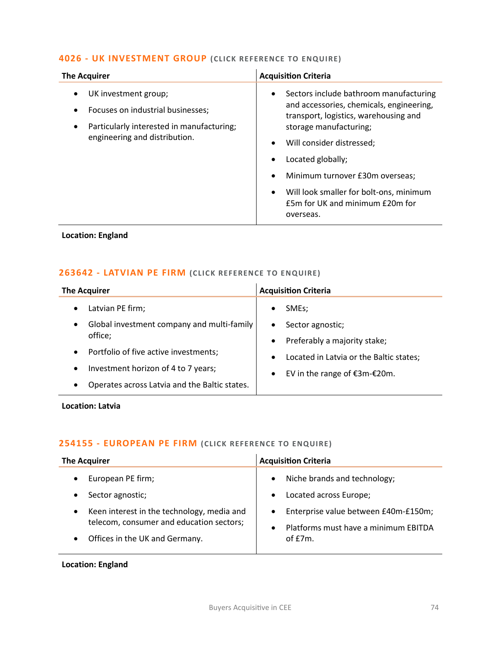## **4026 - [UK INVESTMENT GROUP](mailto:joanna.hughes@langcliffeinternational.com?subject=4026%20-%20UK%20Investment%20Group%20) (CLICK RE FERENCE TO ENQUIRE)**

| <b>The Acquirer</b>                                                                                                                     | <b>Acquisition Criteria</b>                                                                                                                                                                                                                                                                                                                                                               |
|-----------------------------------------------------------------------------------------------------------------------------------------|-------------------------------------------------------------------------------------------------------------------------------------------------------------------------------------------------------------------------------------------------------------------------------------------------------------------------------------------------------------------------------------------|
| UK investment group;<br>Focuses on industrial businesses;<br>Particularly interested in manufacturing;<br>engineering and distribution. | Sectors include bathroom manufacturing<br>$\bullet$<br>and accessories, chemicals, engineering,<br>transport, logistics, warehousing and<br>storage manufacturing;<br>Will consider distressed;<br>$\bullet$<br>Located globally;<br>Minimum turnover £30m overseas;<br>$\bullet$<br>Will look smaller for bolt-ons, minimum<br>$\bullet$<br>£5m for UK and minimum £20m for<br>overseas. |

# **Location: England**

#### **263642 - [LATVIAN PE FIRM](mailto:charlotte.keane@langcliffeinternational.com?subject=263642%20-%20Latvian%20PE%20Firm%20) (CLICK RE FERENCE TO ENQUIRE )**

| <b>The Acquirer</b>                                        | <b>Acquisition Criteria</b>                          |
|------------------------------------------------------------|------------------------------------------------------|
| Latvian PE firm;<br>$\bullet$                              | SME <sub>s</sub> ;                                   |
| Global investment company and multi-family<br>$\bullet$    | Sector agnostic;<br>٠                                |
| office;                                                    | Preferably a majority stake;<br>$\bullet$            |
| Portfolio of five active investments;<br>$\bullet$         | Located in Latvia or the Baltic states;<br>$\bullet$ |
| Investment horizon of 4 to 7 years;<br>$\bullet$           | EV in the range of €3m-€20m.<br>$\bullet$            |
| Operates across Latvia and the Baltic states.<br>$\bullet$ |                                                      |

**Location: Latvia**

### **254155 - [EUROPEAN PE FIRM](mailto:maryia.amrez@langcliffeinternational.com?subject=254155%20-%20European%20PE%20Firm) (CLICK REFE RENCE TO E NQUIRE)**

| <b>The Acquirer</b>                                                                                                                                                                         | <b>Acquisition Criteria</b>                                                                                                                                                                              |
|---------------------------------------------------------------------------------------------------------------------------------------------------------------------------------------------|----------------------------------------------------------------------------------------------------------------------------------------------------------------------------------------------------------|
| European PE firm;<br>Sector agnostic;<br>Keen interest in the technology, media and<br>$\bullet$<br>telecom, consumer and education sectors;<br>Offices in the UK and Germany.<br>$\bullet$ | Niche brands and technology;<br>$\bullet$<br>Located across Europe;<br>$\bullet$<br>Enterprise value between £40m-£150m;<br>$\bullet$<br>Platforms must have a minimum EBITDA<br>$\bullet$<br>of $E7m$ . |

**Location: England**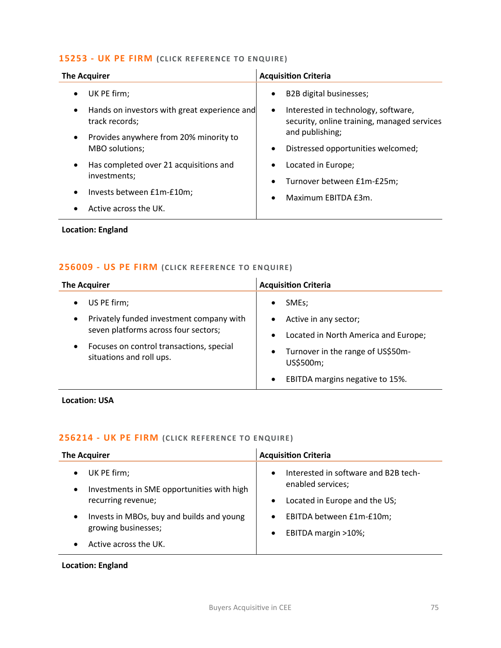# **15253 - [UK PE FIRM](mailto:emily.mcdermott@langcliffeinternational.com?subject=15253%20-%20UK%20PE%20Firm%20) (CLICK REFERE NCE TO E NQUIRE )**

| <b>The Acquirer</b>                                                         | <b>Acquisition Criteria</b>                                                                     |
|-----------------------------------------------------------------------------|-------------------------------------------------------------------------------------------------|
| UK PE firm;<br>٠                                                            | B2B digital businesses;<br>$\bullet$                                                            |
| Hands on investors with great experience and<br>$\bullet$<br>track records; | Interested in technology, software,<br>$\bullet$<br>security, online training, managed services |
| Provides anywhere from 20% minority to<br>MBO solutions;                    | and publishing;<br>Distressed opportunities welcomed;<br>$\bullet$                              |
| Has completed over 21 acquisitions and<br>$\bullet$<br>investments;         | Located in Europe;<br>$\bullet$<br>Turnover between £1m-£25m;                                   |
| Invests between £1m-£10m;<br>Active across the UK.<br>$\bullet$             | Maximum EBITDA £3m.<br>$\bullet$                                                                |
| <b>Location: England</b>                                                    |                                                                                                 |

## **256009 - [US PE FIRM](mailto:george.davies@langcliffeinternational.com?subject=256009%20-%20US%20PE%20Firm%20) (CLICK REFERE NCE TO E NQUIRE )**

| <b>The Acquirer</b>                                                                                                                                                     | <b>Acquisition Criteria</b>                                                                                                                                                                                          |
|-------------------------------------------------------------------------------------------------------------------------------------------------------------------------|----------------------------------------------------------------------------------------------------------------------------------------------------------------------------------------------------------------------|
| US PE firm;<br>Privately funded investment company with<br>seven platforms across four sectors;<br>Focuses on control transactions, special<br>situations and roll ups. | SME <sub>s</sub> :<br>$\bullet$<br>Active in any sector;<br>Located in North America and Europe;<br>$\bullet$<br>Turnover in the range of US\$50m-<br>٠<br>US\$500m;<br>EBITDA margins negative to 15%.<br>$\bullet$ |

## **Location: USA**

### **256214 - [UK PE FIRM](mailto:millie.maddocks@langcliffeinternational.com?subject=256214%20-%20UK%20PE%20Firm%20) (CLICK REFERE NCE TO E NQUIRE )**

| <b>The Acquirer</b>                                                                                       | <b>Acquisition Criteria</b>                                                                             |
|-----------------------------------------------------------------------------------------------------------|---------------------------------------------------------------------------------------------------------|
| UK PE firm;<br>$\bullet$<br>Investments in SME opportunities with high<br>$\bullet$<br>recurring revenue; | Interested in software and B2B tech-<br>$\bullet$<br>enabled services;<br>Located in Europe and the US; |
| Invests in MBOs, buy and builds and young<br>$\bullet$<br>growing businesses;<br>Active across the UK.    | EBITDA between £1m-£10m;<br>$\bullet$<br>EBITDA margin >10%;<br>$\bullet$                               |

## **Location: England**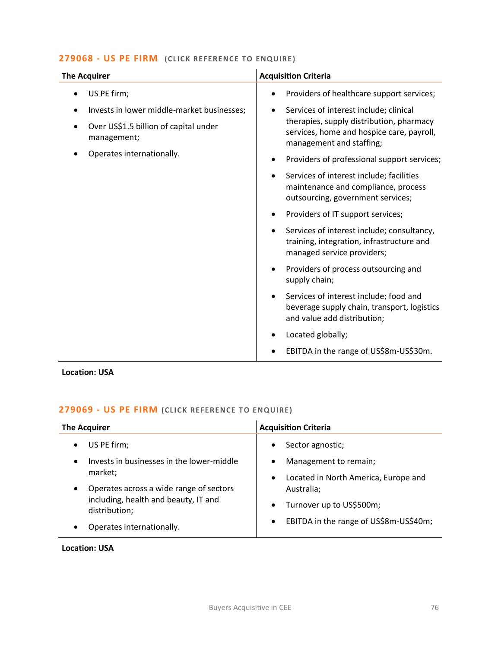# **279068 - [US PE FIRM](mailto:eloka.philip@langcliffeinternational.com?subject=279068%20-%20US%20PE%20Firm%20%20) (CLICK REFERE NCE TO ENQUIRE )**

| <b>The Acquirer</b>                                  | <b>Acquisition Criteria</b>                                                                                                       |
|------------------------------------------------------|-----------------------------------------------------------------------------------------------------------------------------------|
| US PE firm;                                          | Providers of healthcare support services;                                                                                         |
| Invests in lower middle-market businesses;           | Services of interest include; clinical<br>$\bullet$                                                                               |
| Over US\$1.5 billion of capital under<br>management; | therapies, supply distribution, pharmacy<br>services, home and hospice care, payroll,<br>management and staffing;                 |
| Operates internationally.                            | Providers of professional support services;                                                                                       |
|                                                      | Services of interest include; facilities<br>maintenance and compliance, process<br>outsourcing, government services;              |
|                                                      | Providers of IT support services;                                                                                                 |
|                                                      | Services of interest include; consultancy,<br>training, integration, infrastructure and<br>managed service providers;             |
|                                                      | Providers of process outsourcing and<br>supply chain;                                                                             |
|                                                      | Services of interest include; food and<br>$\bullet$<br>beverage supply chain, transport, logistics<br>and value add distribution; |
|                                                      | Located globally;                                                                                                                 |
|                                                      | EBITDA in the range of US\$8m-US\$30m.                                                                                            |

# **Location: USA**

# **279069 - [US PE FIRM](mailto:eloka.philip@langcliffeinternational.com?subject=279069%20-%20US%20PE%20Firm%20) (CLICK REFERE NCE TO E NQUIRE )**

| <b>The Acquirer</b>                                                                                                           | <b>Acquisition Criteria</b>                                                                                 |
|-------------------------------------------------------------------------------------------------------------------------------|-------------------------------------------------------------------------------------------------------------|
| US PE firm;<br>Invests in businesses in the lower-middle<br>market;                                                           | Sector agnostic;<br>$\bullet$<br>Management to remain;<br>Located in North America, Europe and<br>$\bullet$ |
| Operates across a wide range of sectors<br>including, health and beauty, IT and<br>distribution;<br>Operates internationally. | Australia;<br>Turnover up to US\$500m;<br>EBITDA in the range of US\$8m-US\$40m;<br>$\bullet$               |

### **Location: USA**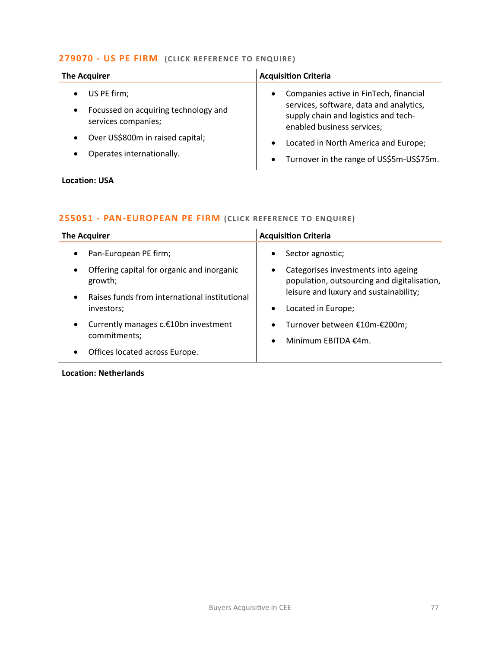## **279070 - [US PE FIRM](mailto:eloka.philip@langcliffeinternational.com?subject=279070%20-%20US%20PE%20Firm%20%20) (CLICK REFERE NCE TO ENQUIRE )**

| <b>The Acquirer</b>                                                        | <b>Acquisition Criteria</b>                                                                                                                                          |
|----------------------------------------------------------------------------|----------------------------------------------------------------------------------------------------------------------------------------------------------------------|
| US PE firm;<br>Focussed on acquiring technology and<br>services companies; | Companies active in FinTech, financial<br>$\bullet$<br>services, software, data and analytics,<br>supply chain and logistics and tech-<br>enabled business services; |
| Over US\$800m in raised capital;<br>Operates internationally.              | Located in North America and Europe;<br>$\bullet$<br>Turnover in the range of US\$5m-US\$75m.<br>$\bullet$                                                           |

### **Location: USA**

# **255051 - [PAN-EUROPEAN PE FIRM](mailto:poppy.briggs@langcliffeinternational.com?subject=255051%20-%20Pan-European%20PE%20Firm) (CLICK REFERENCE TO E NQUIRE )**

| <b>The Acquirer</b>                                                                                              | <b>Acquisition Criteria</b>                                                      |
|------------------------------------------------------------------------------------------------------------------|----------------------------------------------------------------------------------|
| Pan-European PE firm;                                                                                            | Sector agnostic;                                                                 |
| $\bullet$                                                                                                        | $\bullet$                                                                        |
| Offering capital for organic and inorganic                                                                       | Categorises investments into ageing                                              |
| $\bullet$                                                                                                        | $\bullet$                                                                        |
| growth;                                                                                                          | population, outsourcing and digitalisation,                                      |
| Raises funds from international institutional                                                                    | leisure and luxury and sustainability;                                           |
| $\bullet$                                                                                                        | Located in Europe;                                                               |
| investors;                                                                                                       | $\bullet$                                                                        |
| Currently manages c.€10bn investment<br>$\bullet$<br>commitments;<br>Offices located across Europe.<br>$\bullet$ | Turnover between €10m-€200m;<br>$\bullet$<br>Minimum EBITDA $f$ 4m.<br>$\bullet$ |

## **Location: Netherlands**